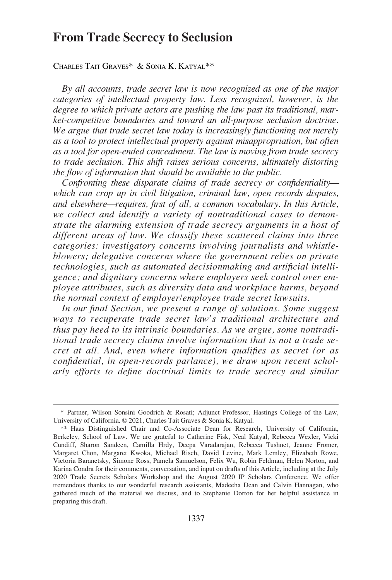# **From Trade Secrecy to Seclusion**

CHARLES TAIT GRAVES\* & SONIA K. KATYAL\*\*

*By all accounts, trade secret law is now recognized as one of the major categories of intellectual property law. Less recognized, however, is the degree to which private actors are pushing the law past its traditional, market-competitive boundaries and toward an all-purpose seclusion doctrine. We argue that trade secret law today is increasingly functioning not merely as a tool to protect intellectual property against misappropriation, but often as a tool for open-ended concealment. The law is moving from trade secrecy to trade seclusion. This shift raises serious concerns, ultimately distorting the flow of information that should be available to the public.* 

*Confronting these disparate claims of trade secrecy or confidentiality which can crop up in civil litigation, criminal law, open records disputes, and elsewhere—requires, first of all, a common vocabulary. In this Article, we collect and identify a variety of nontraditional cases to demonstrate the alarming extension of trade secrecy arguments in a host of different areas of law. We classify these scattered claims into three categories: investigatory concerns involving journalists and whistleblowers; delegative concerns where the government relies on private technologies, such as automated decisionmaking and artificial intelligence; and dignitary concerns where employers seek control over employee attributes, such as diversity data and workplace harms, beyond the normal context of employer/employee trade secret lawsuits.* 

*In our final Section, we present a range of solutions. Some suggest ways to recuperate trade secret law's traditional architecture and thus pay heed to its intrinsic boundaries. As we argue, some nontraditional trade secrecy claims involve information that is not a trade secret at all. And, even where information qualifies as secret (or as confidential, in open-records parlance), we draw upon recent scholarly efforts to define doctrinal limits to trade secrecy and similar* 

<sup>\*</sup> Partner, Wilson Sonsini Goodrich & Rosati; Adjunct Professor, Hastings College of the Law, University of California. © 2021, Charles Tait Graves & Sonia K. Katyal.

<sup>\*\*</sup> Haas Distinguished Chair and Co-Associate Dean for Research, University of California, Berkeley, School of Law. We are grateful to Catherine Fisk, Neal Katyal, Rebecca Wexler, Vicki Cundiff, Sharon Sandeen, Camilla Hrdy, Deepa Varadarajan, Rebecca Tushnet, Jeanne Fromer, Margaret Chon, Margaret Kwoka, Michael Risch, David Levine, Mark Lemley, Elizabeth Rowe, Victoria Baranetsky, Simone Ross, Pamela Samuelson, Felix Wu, Robin Feldman, Helen Norton, and Karina Condra for their comments, conversation, and input on drafts of this Article, including at the July 2020 Trade Secrets Scholars Workshop and the August 2020 IP Scholars Conference. We offer tremendous thanks to our wonderful research assistants, Madeeha Dean and Calvin Hannagan, who gathered much of the material we discuss, and to Stephanie Dorton for her helpful assistance in preparing this draft.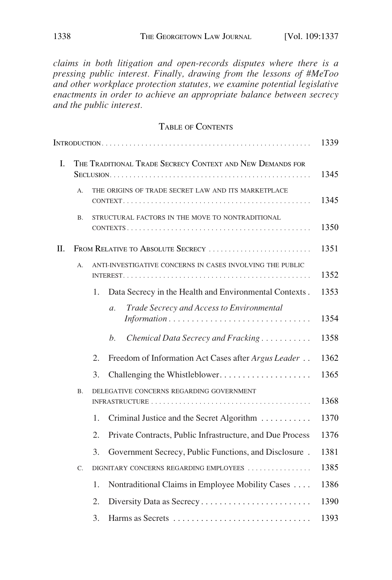*claims in both litigation and open-records disputes where there is a pressing public interest. Finally, drawing from the lessons of #MeToo and other workplace protection statutes, we examine potential legislative enactments in order to achieve an appropriate balance between secrecy and the public interest.* 

## TABLE OF CONTENTS

|    |                                                                 |                                                                             | 1339 |  |  |
|----|-----------------------------------------------------------------|-----------------------------------------------------------------------------|------|--|--|
| I. | THE TRADITIONAL TRADE SECRECY CONTEXT AND NEW DEMANDS FOR       |                                                                             |      |  |  |
|    | A.                                                              | THE ORIGINS OF TRADE SECRET LAW AND ITS MARKETPLACE                         | 1345 |  |  |
|    | STRUCTURAL FACTORS IN THE MOVE TO NONTRADITIONAL<br>Β.          |                                                                             |      |  |  |
| П. | FROM RELATIVE TO ABSOLUTE SECRECY                               |                                                                             |      |  |  |
|    | ANTI-INVESTIGATIVE CONCERNS IN CASES INVOLVING THE PUBLIC<br>A. |                                                                             |      |  |  |
|    |                                                                 | Data Secrecy in the Health and Environmental Contexts.<br>1.                | 1353 |  |  |
|    |                                                                 | Trade Secrecy and Access to Environmental<br>$\mathfrak{a}.$<br>Information | 1354 |  |  |
|    |                                                                 | Chemical Data Secrecy and Fracking<br>b.                                    | 1358 |  |  |
|    |                                                                 | Freedom of Information Act Cases after Argus Leader<br>2.                   | 1362 |  |  |
|    |                                                                 | Challenging the Whistleblower<br>3.                                         | 1365 |  |  |
|    | Β.                                                              | DELEGATIVE CONCERNS REGARDING GOVERNMENT                                    | 1368 |  |  |
|    |                                                                 | Criminal Justice and the Secret Algorithm<br>1.                             | 1370 |  |  |
|    |                                                                 | Private Contracts, Public Infrastructure, and Due Process<br>2.             | 1376 |  |  |
|    |                                                                 | Government Secrecy, Public Functions, and Disclosure.<br>3.                 | 1381 |  |  |
|    | C.                                                              | DIGNITARY CONCERNS REGARDING EMPLOYEES                                      | 1385 |  |  |
|    |                                                                 | Nontraditional Claims in Employee Mobility Cases<br>1.                      | 1386 |  |  |
|    |                                                                 | 2.                                                                          | 1390 |  |  |
|    |                                                                 | 3.<br>Harms as Secrets                                                      | 1393 |  |  |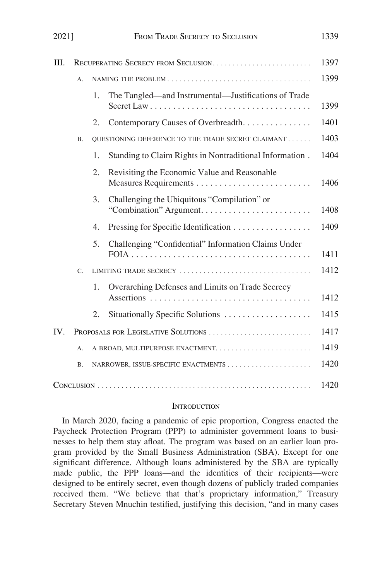<span id="page-2-0"></span>

| 20211 |                                     | FROM TRADE SECRECY TO SECLUSION     |                                                                       | 1339 |  |
|-------|-------------------------------------|-------------------------------------|-----------------------------------------------------------------------|------|--|
| Ш.    | RECUPERATING SECRECY FROM SECLUSION |                                     |                                                                       | 1397 |  |
|       | А.                                  |                                     |                                                                       | 1399 |  |
|       |                                     | 1.                                  | The Tangled—and Instrumental—Justifications of Trade                  | 1399 |  |
|       |                                     | 2.                                  | Contemporary Causes of Overbreadth.                                   | 1401 |  |
|       | <b>B.</b>                           |                                     | QUESTIONING DEFERENCE TO THE TRADE SECRET CLAIMANT                    | 1403 |  |
|       |                                     | 1.                                  | Standing to Claim Rights in Nontraditional Information.               | 1404 |  |
|       |                                     | 2.                                  | Revisiting the Economic Value and Reasonable                          | 1406 |  |
|       |                                     | 3.                                  | Challenging the Ubiquitous "Compilation" or<br>"Combination" Argument | 1408 |  |
|       |                                     | $\overline{4}$ .                    | Pressing for Specific Identification                                  | 1409 |  |
|       |                                     | 5.                                  | Challenging "Confidential" Information Claims Under                   | 1411 |  |
|       | $C_{\cdot}$                         |                                     |                                                                       | 1412 |  |
|       |                                     | 1.                                  | Overarching Defenses and Limits on Trade Secrecy                      | 1412 |  |
|       |                                     | 2.                                  | Situationally Specific Solutions                                      | 1415 |  |
| IV.   |                                     | PROPOSALS FOR LEGISLATIVE SOLUTIONS |                                                                       |      |  |
|       | А.                                  |                                     |                                                                       | 1419 |  |
|       | <b>B.</b>                           |                                     |                                                                       | 1420 |  |
|       |                                     |                                     |                                                                       | 1420 |  |

#### **INTRODUCTION**

In March 2020, facing a pandemic of epic proportion, Congress enacted the Paycheck Protection Program (PPP) to administer government loans to businesses to help them stay afloat. The program was based on an earlier loan program provided by the Small Business Administration (SBA). Except for one significant difference. Although loans administered by the SBA are typically made public, the PPP loans—and the identities of their recipients—were designed to be entirely secret, even though dozens of publicly traded companies received them. "We believe that that's proprietary information," Treasury Secretary Steven Mnuchin testified, justifying this decision, "and in many cases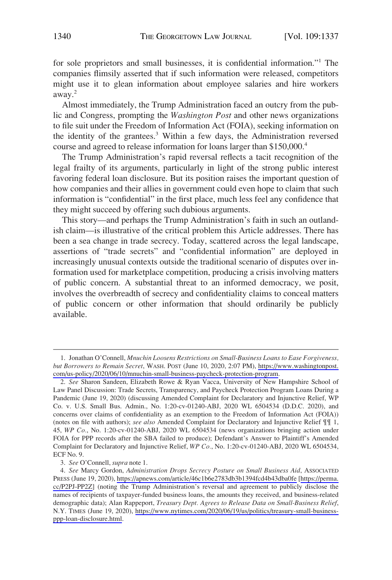for sole proprietors and small businesses, it is confidential information."<sup>1</sup> The companies flimsily asserted that if such information were released, competitors might use it to glean information about employee salaries and hire workers away.<sup>2</sup>

Almost immediately, the Trump Administration faced an outcry from the public and Congress, prompting the *Washington Post* and other news organizations to file suit under the Freedom of Information Act (FOIA), seeking information on the identity of the grantees.<sup>3</sup> Within a few days, the Administration reversed course and agreed to release information for loans larger than \$150,000.4

The Trump Administration's rapid reversal reflects a tacit recognition of the legal frailty of its arguments, particularly in light of the strong public interest favoring federal loan disclosure. But its position raises the important question of how companies and their allies in government could even hope to claim that such information is "confidential" in the first place, much less feel any confidence that they might succeed by offering such dubious arguments.

This story—and perhaps the Trump Administration's faith in such an outlandish claim—is illustrative of the critical problem this Article addresses. There has been a sea change in trade secrecy. Today, scattered across the legal landscape, assertions of "trade secrets" and "confidential information" are deployed in increasingly unusual contexts outside the traditional scenario of disputes over information used for marketplace competition, producing a crisis involving matters of public concern. A substantial threat to an informed democracy, we posit, involves the overbreadth of secrecy and confidentiality claims to conceal matters of public concern or other information that should ordinarily be publicly available.

<sup>1.</sup> Jonathan O'Connell, *Mnuchin Loosens Restrictions on Small-Business Loans to Ease Forgiveness*, *but Borrowers to Remain Secret*, WASH. POST (June 10, 2020, 2:07 PM), [https://www.washingtonpost.](https://www.washingtonpost.com/us-policy/2020/06/10/mnuchin-small-business-paycheck-protection-program)  [com/us-policy/2020/06/10/mnuchin-small-business-paycheck-protection-program](https://www.washingtonpost.com/us-policy/2020/06/10/mnuchin-small-business-paycheck-protection-program).

<sup>2.</sup> *See* Sharon Sandeen, Elizabeth Rowe & Ryan Vacca, University of New Hampshire School of Law Panel Discussion: Trade Secrets, Transparency, and Paycheck Protection Program Loans During a Pandemic (June 19, 2020) (discussing Amended Complaint for Declaratory and Injunctive Relief, WP Co. v. U.S. Small Bus. Admin., No. 1:20-cv-01240-ABJ, 2020 WL 6504534 (D.D.C. 2020), and concerns over claims of confidentiality as an exemption to the Freedom of Information Act (FOIA)) (notes on file with authors); *see also* Amended Complaint for Declaratory and Injunctive Relief ¶¶ 1, 45, *WP Co.*, No. 1:20-cv-01240-ABJ, 2020 WL 6504534 (news organizations bringing action under FOIA for PPP records after the SBA failed to produce); Defendant's Answer to Plaintiff's Amended Complaint for Declaratory and Injunctive Relief, *WP Co.*, No. 1:20-cv-01240-ABJ, 2020 WL 6504534, ECF No. 9.

<sup>3.</sup> *See* O'Connell, *supra* note 1.

*See* Marcy Gordon, *Administration Drops Secrecy Posture on Small Business Aid*, ASSOCIATED 4. PRESS (June 19, 2020),<https://apnews.com/article/46c1b6e2783db3b1394fcd4b43dba0fe> [[https://perma.](https://perma.cc/P2PJ-PP2Z)  [cc/P2PJ-PP2Z\]](https://perma.cc/P2PJ-PP2Z) (noting the Trump Administration's reversal and agreement to publicly disclose the names of recipients of taxpayer-funded business loans, the amounts they received, and business-related demographic data); Alan Rappeport, *Treasury Dept. Agrees to Release Data on Small-Business Relief*, N.Y. TIMES (June 19, 2020), [https://www.nytimes.com/2020/06/19/us/politics/treasury-small-business](https://www.nytimes.com/2020/06/19/us/politics/treasury-small-business-ppp-loan-disclosure.html)[ppp-loan-disclosure.html](https://www.nytimes.com/2020/06/19/us/politics/treasury-small-business-ppp-loan-disclosure.html).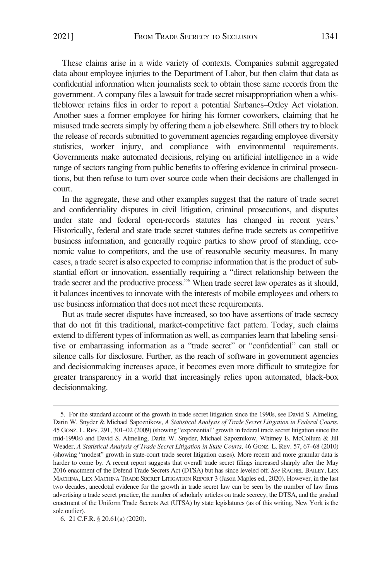These claims arise in a wide variety of contexts. Companies submit aggregated data about employee injuries to the Department of Labor, but then claim that data as confidential information when journalists seek to obtain those same records from the government. A company files a lawsuit for trade secret misappropriation when a whistleblower retains files in order to report a potential Sarbanes–Oxley Act violation. Another sues a former employee for hiring his former coworkers, claiming that he misused trade secrets simply by offering them a job elsewhere. Still others try to block the release of records submitted to government agencies regarding employee diversity statistics, worker injury, and compliance with environmental requirements. Governments make automated decisions, relying on artificial intelligence in a wide range of sectors ranging from public benefits to offering evidence in criminal prosecutions, but then refuse to turn over source code when their decisions are challenged in court.

In the aggregate, these and other examples suggest that the nature of trade secret and confidentiality disputes in civil litigation, criminal prosecutions, and disputes under state and federal open-records statutes has changed in recent years.<sup>5</sup> Historically, federal and state trade secret statutes define trade secrets as competitive business information, and generally require parties to show proof of standing, economic value to competitors, and the use of reasonable security measures. In many cases, a trade secret is also expected to comprise information that is the product of substantial effort or innovation, essentially requiring a "direct relationship between the trade secret and the productive process."6 When trade secret law operates as it should, it balances incentives to innovate with the interests of mobile employees and others to use business information that does not meet these requirements.

But as trade secret disputes have increased, so too have assertions of trade secrecy that do not fit this traditional, market-competitive fact pattern. Today, such claims extend to different types of information as well, as companies learn that labeling sensitive or embarrassing information as a "trade secret" or "confidential" can stall or silence calls for disclosure. Further, as the reach of software in government agencies and decisionmaking increases apace, it becomes even more difficult to strategize for greater transparency in a world that increasingly relies upon automated, black-box decisionmaking.

<sup>5.</sup> For the standard account of the growth in trade secret litigation since the 1990s, see David S. Almeling, Darin W. Snyder & Michael Sapoznikow, *A Statistical Analysis of Trade Secret Litigation in Federal Courts*, 45 GONZ. L. REV. 291, 301–02 (2009) (showing "exponential" growth in federal trade secret litigation since the mid-1990s) and David S. Almeling, Darin W. Snyder, Michael Sapoznikow, Whitney E. McCollum & Jill Weader, *A Statistical Analysis of Trade Secret Litigation in State Courts*, 46 GONZ. L. REV. 57, 67–68 (2010) (showing "modest" growth in state-court trade secret litigation cases). More recent and more granular data is harder to come by. A recent report suggests that overall trade secret filings increased sharply after the May 2016 enactment of the Defend Trade Secrets Act (DTSA) but has since leveled off. *See* RACHEL BAILEY, LEX MACHINA, LEX MACHINA TRADE SECRET LITIGATION REPORT 3 (Jason Maples ed., 2020). However, in the last two decades, anecdotal evidence for the growth in trade secret law can be seen by the number of law firms advertising a trade secret practice, the number of scholarly articles on trade secrecy, the DTSA, and the gradual enactment of the Uniform Trade Secrets Act (UTSA) by state legislatures (as of this writing, New York is the sole outlier).

<sup>6. 21</sup> C.F.R. § 20.61(a) (2020).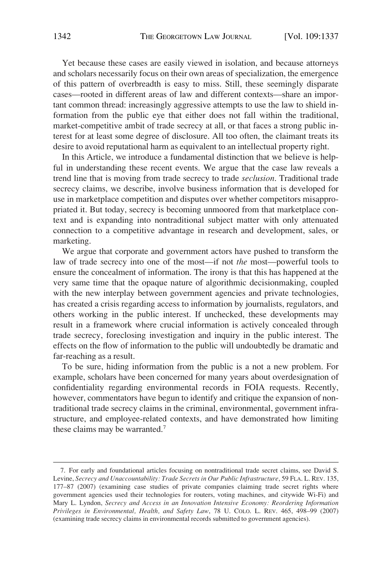Yet because these cases are easily viewed in isolation, and because attorneys and scholars necessarily focus on their own areas of specialization, the emergence of this pattern of overbreadth is easy to miss. Still, these seemingly disparate cases—rooted in different areas of law and different contexts—share an important common thread: increasingly aggressive attempts to use the law to shield information from the public eye that either does not fall within the traditional, market-competitive ambit of trade secrecy at all, or that faces a strong public interest for at least some degree of disclosure. All too often, the claimant treats its desire to avoid reputational harm as equivalent to an intellectual property right.

In this Article, we introduce a fundamental distinction that we believe is helpful in understanding these recent events. We argue that the case law reveals a trend line that is moving from trade secrecy to trade *seclusion*. Traditional trade secrecy claims, we describe, involve business information that is developed for use in marketplace competition and disputes over whether competitors misappropriated it. But today, secrecy is becoming unmoored from that marketplace context and is expanding into nontraditional subject matter with only attenuated connection to a competitive advantage in research and development, sales, or marketing.

We argue that corporate and government actors have pushed to transform the law of trade secrecy into one of the most—if not *the* most—powerful tools to ensure the concealment of information. The irony is that this has happened at the very same time that the opaque nature of algorithmic decisionmaking, coupled with the new interplay between government agencies and private technologies, has created a crisis regarding access to information by journalists, regulators, and others working in the public interest. If unchecked, these developments may result in a framework where crucial information is actively concealed through trade secrecy, foreclosing investigation and inquiry in the public interest. The effects on the flow of information to the public will undoubtedly be dramatic and far-reaching as a result.

To be sure, hiding information from the public is a not a new problem. For example, scholars have been concerned for many years about overdesignation of confidentiality regarding environmental records in FOIA requests. Recently, however, commentators have begun to identify and critique the expansion of nontraditional trade secrecy claims in the criminal, environmental, government infrastructure, and employee-related contexts, and have demonstrated how limiting these claims may be warranted.<sup>7</sup>

<sup>7.</sup> For early and foundational articles focusing on nontraditional trade secret claims, see David S. Levine, *Secrecy and Unaccountability: Trade Secrets in Our Public Infrastructure*, 59 FLA. L. REV. 135, 177–87 (2007) (examining case studies of private companies claiming trade secret rights where government agencies used their technologies for routers, voting machines, and citywide Wi-Fi) and Mary L. Lyndon, *Secrecy and Access in an Innovation Intensive Economy: Reordering Information Privileges in Environmental, Health, and Safety Law*, 78 U. COLO. L. REV. 465, 498–99 (2007) (examining trade secrecy claims in environmental records submitted to government agencies).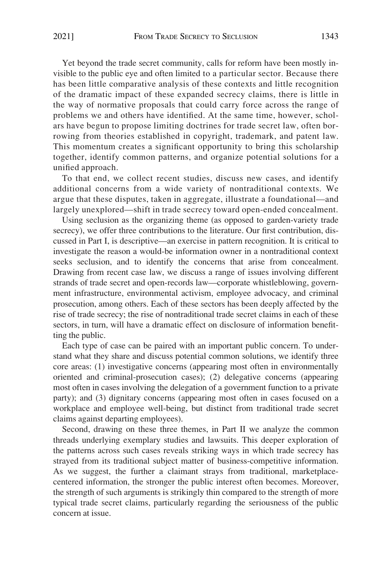Yet beyond the trade secret community, calls for reform have been mostly invisible to the public eye and often limited to a particular sector. Because there has been little comparative analysis of these contexts and little recognition of the dramatic impact of these expanded secrecy claims, there is little in the way of normative proposals that could carry force across the range of problems we and others have identified. At the same time, however, scholars have begun to propose limiting doctrines for trade secret law, often borrowing from theories established in copyright, trademark, and patent law. This momentum creates a significant opportunity to bring this scholarship together, identify common patterns, and organize potential solutions for a unified approach.

To that end, we collect recent studies, discuss new cases, and identify additional concerns from a wide variety of nontraditional contexts. We argue that these disputes, taken in aggregate, illustrate a foundational—and largely unexplored—shift in trade secrecy toward open-ended concealment.

Using seclusion as the organizing theme (as opposed to garden-variety trade secrecy), we offer three contributions to the literature. Our first contribution, discussed in Part I, is descriptive—an exercise in pattern recognition. It is critical to investigate the reason a would-be information owner in a nontraditional context seeks seclusion, and to identify the concerns that arise from concealment. Drawing from recent case law, we discuss a range of issues involving different strands of trade secret and open-records law—corporate whistleblowing, government infrastructure, environmental activism, employee advocacy, and criminal prosecution, among others. Each of these sectors has been deeply affected by the rise of trade secrecy; the rise of nontraditional trade secret claims in each of these sectors, in turn, will have a dramatic effect on disclosure of information benefitting the public.

Each type of case can be paired with an important public concern. To understand what they share and discuss potential common solutions, we identify three core areas: (1) investigative concerns (appearing most often in environmentally oriented and criminal-prosecution cases); (2) delegative concerns (appearing most often in cases involving the delegation of a government function to a private party); and (3) dignitary concerns (appearing most often in cases focused on a workplace and employee well-being, but distinct from traditional trade secret claims against departing employees).

Second, drawing on these three themes, in Part II we analyze the common threads underlying exemplary studies and lawsuits. This deeper exploration of the patterns across such cases reveals striking ways in which trade secrecy has strayed from its traditional subject matter of business-competitive information. As we suggest, the further a claimant strays from traditional, marketplacecentered information, the stronger the public interest often becomes. Moreover, the strength of such arguments is strikingly thin compared to the strength of more typical trade secret claims, particularly regarding the seriousness of the public concern at issue.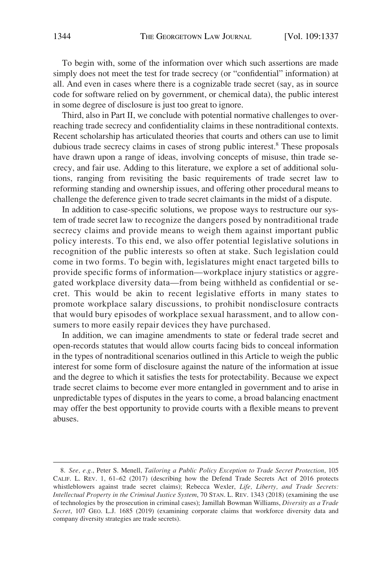To begin with, some of the information over which such assertions are made simply does not meet the test for trade secrecy (or "confidential" information) at all. And even in cases where there is a cognizable trade secret (say, as in source code for software relied on by government, or chemical data), the public interest in some degree of disclosure is just too great to ignore.

Third, also in Part II, we conclude with potential normative challenges to overreaching trade secrecy and confidentiality claims in these nontraditional contexts. Recent scholarship has articulated theories that courts and others can use to limit dubious trade secrecy claims in cases of strong public interest.<sup>8</sup> These proposals have drawn upon a range of ideas, involving concepts of misuse, thin trade secrecy, and fair use. Adding to this literature, we explore a set of additional solutions, ranging from revisiting the basic requirements of trade secret law to reforming standing and ownership issues, and offering other procedural means to challenge the deference given to trade secret claimants in the midst of a dispute.

In addition to case-specific solutions, we propose ways to restructure our system of trade secret law to recognize the dangers posed by nontraditional trade secrecy claims and provide means to weigh them against important public policy interests. To this end, we also offer potential legislative solutions in recognition of the public interests so often at stake. Such legislation could come in two forms. To begin with, legislatures might enact targeted bills to provide specific forms of information—workplace injury statistics or aggregated workplace diversity data—from being withheld as confidential or secret. This would be akin to recent legislative efforts in many states to promote workplace salary discussions, to prohibit nondisclosure contracts that would bury episodes of workplace sexual harassment, and to allow consumers to more easily repair devices they have purchased.

In addition, we can imagine amendments to state or federal trade secret and open-records statutes that would allow courts facing bids to conceal information in the types of nontraditional scenarios outlined in this Article to weigh the public interest for some form of disclosure against the nature of the information at issue and the degree to which it satisfies the tests for protectability. Because we expect trade secret claims to become ever more entangled in government and to arise in unpredictable types of disputes in the years to come, a broad balancing enactment may offer the best opportunity to provide courts with a flexible means to prevent abuses.

<sup>8.</sup> *See, e.g.*, Peter S. Menell, *Tailoring a Public Policy Exception to Trade Secret Protection*, 105 CALIF. L. REV. 1, 61–62 (2017) (describing how the Defend Trade Secrets Act of 2016 protects whistleblowers against trade secret claims); Rebecca Wexler, *Life, Liberty, and Trade Secrets: Intellectual Property in the Criminal Justice System*, 70 STAN. L. REV. 1343 (2018) (examining the use of technologies by the prosecution in criminal cases); Jamillah Bowman Williams, *Diversity as a Trade Secret*, 107 GEO. L.J. 1685 (2019) (examining corporate claims that workforce diversity data and company diversity strategies are trade secrets).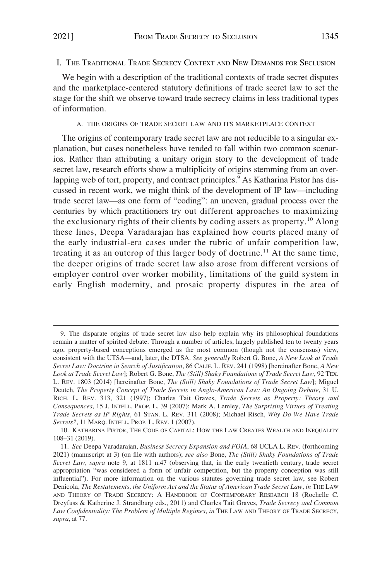## <span id="page-8-0"></span>I. THE TRADITIONAL TRADE SECRECY CONTEXT AND NEW DEMANDS FOR SECLUSION

We begin with a description of the traditional contexts of trade secret disputes and the marketplace-centered statutory definitions of trade secret law to set the stage for the shift we observe toward trade secrecy claims in less traditional types of information.

#### A. THE ORIGINS OF TRADE SECRET LAW AND ITS MARKETPLACE CONTEXT

The origins of contemporary trade secret law are not reducible to a singular explanation, but cases nonetheless have tended to fall within two common scenarios. Rather than attributing a unitary origin story to the development of trade secret law, research efforts show a multiplicity of origins stemming from an overlapping web of tort, property, and contract principles.<sup>9</sup> As Katharina Pistor has discussed in recent work, we might think of the development of IP law—including trade secret law—as one form of "coding": an uneven, gradual process over the centuries by which practitioners try out different approaches to maximizing the exclusionary rights of their clients by coding assets as property.10 Along these lines, Deepa Varadarajan has explained how courts placed many of the early industrial-era cases under the rubric of unfair competition law, treating it as an outcrop of this larger body of doctrine.<sup>11</sup> At the same time, the deeper origins of trade secret law also arose from different versions of employer control over worker mobility, limitations of the guild system in early English modernity, and prosaic property disputes in the area of

<sup>9.</sup> The disparate origins of trade secret law also help explain why its philosophical foundations remain a matter of spirited debate. Through a number of articles, largely published ten to twenty years ago, property-based conceptions emerged as the most common (though not the consensus) view, consistent with the UTSA—and, later, the DTSA. *See generally* Robert G. Bone, *A New Look at Trade Secret Law: Doctrine in Search of Justification*, 86 CALIF. L. REV. 241 (1998) [hereinafter Bone, *A New Look at Trade Secret Law*]; Robert G. Bone, *The (Still) Shaky Foundations of Trade Secret Law*, 92 TEX. L. REV. 1803 (2014) [hereinafter Bone, *The (Still) Shaky Foundations of Trade Secret Law*]; Miguel Deutch, *The Property Concept of Trade Secrets in Anglo-American Law: An Ongoing Debate*, 31 U. RICH. L. REV. 313, 321 (1997); Charles Tait Graves, *Trade Secrets as Property: Theory and Consequences*, 15 J. INTELL. PROP. L. 39 (2007); Mark A. Lemley, *The Surprising Virtues of Treating Trade Secrets as IP Rights*, 61 STAN. L. REV. 311 (2008); Michael Risch, *Why Do We Have Trade Secrets?*, 11 MARQ. INTELL. PROP. L. REV. 1 (2007).

<sup>10.</sup> KATHARINA PISTOR, THE CODE OF CAPITAL: HOW THE LAW CREATES WEALTH AND INEQUALITY 108–31 (2019).

<sup>11.</sup> *See* Deepa Varadarajan, *Business Secrecy Expansion and FOIA*, 68 UCLA L. REV. (forthcoming 2021) (manuscript at 3) (on file with authors); *see also* Bone, *The (Still) Shaky Foundations of Trade Secret Law*, *supra* note 9, at 1811 n.47 (observing that, in the early twentieth century, trade secret appropriation "was considered a form of unfair competition, but the property conception was still influential"). For more information on the various statutes governing trade secret law, see Robert Denicola, *The Restatements, the Uniform Act and the Status of American Trade Secret Law*, *in* THE LAW AND THEORY OF TRADE SECRECY: A HANDBOOK OF CONTEMPORARY RESEARCH 18 (Rochelle C. Dreyfuss & Katherine J. Strandburg eds., 2011) and Charles Tait Graves, *Trade Secrecy and Common Law Confidentiality: The Problem of Multiple Regimes*, *in* THE LAW AND THEORY OF TRADE SECRECY, *supra*, at 77.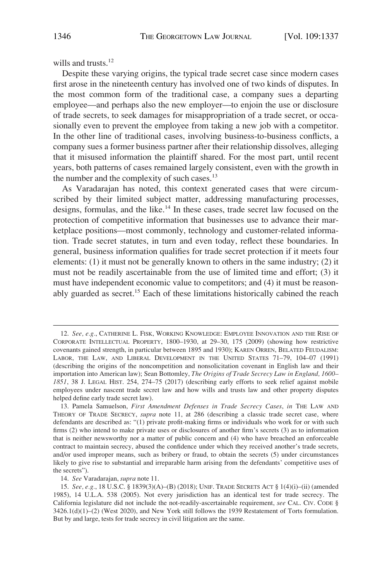wills and trusts.<sup>12</sup>

Despite these varying origins, the typical trade secret case since modern cases first arose in the nineteenth century has involved one of two kinds of disputes. In the most common form of the traditional case, a company sues a departing employee—and perhaps also the new employer—to enjoin the use or disclosure of trade secrets, to seek damages for misappropriation of a trade secret, or occasionally even to prevent the employee from taking a new job with a competitor. In the other line of traditional cases, involving business-to-business conflicts, a company sues a former business partner after their relationship dissolves, alleging that it misused information the plaintiff shared. For the most part, until recent years, both patterns of cases remained largely consistent, even with the growth in the number and the complexity of such cases.<sup>13</sup>

As Varadarajan has noted, this context generated cases that were circumscribed by their limited subject matter, addressing manufacturing processes, designs, formulas, and the like.<sup>14</sup> In these cases, trade secret law focused on the protection of competitive information that businesses use to advance their marketplace positions—most commonly, technology and customer-related information. Trade secret statutes, in turn and even today, reflect these boundaries. In general, business information qualifies for trade secret protection if it meets four elements: (1) it must not be generally known to others in the same industry; (2) it must not be readily ascertainable from the use of limited time and effort; (3) it must have independent economic value to competitors; and (4) it must be reasonably guarded as secret.15 Each of these limitations historically cabined the reach

<sup>12.</sup> *See, e.g.*, CATHERINE L. FISK, WORKING KNOWLEDGE: EMPLOYEE INNOVATION AND THE RISE OF CORPORATE INTELLECTUAL PROPERTY, 1800–1930, at 29–30, 175 (2009) (showing how restrictive covenants gained strength, in particular between 1895 and 1930); KAREN ORREN, BELATED FEUDALISM: LABOR, THE LAW, AND LIBERAL DEVELOPMENT IN THE UNITED STATES 71–79, 104–07 (1991) (describing the origins of the noncompetition and nonsolicitation covenant in English law and their importation into American law); Sean Bottomley, *The Origins of Trade Secrecy Law in England, 1600– 1851*, 38 J. LEGAL HIST. 254, 274–75 (2017) (describing early efforts to seek relief against mobile employees under nascent trade secret law and how wills and trusts law and other property disputes helped define early trade secret law).

<sup>13.</sup> Pamela Samuelson, *First Amendment Defenses in Trade Secrecy Cases*, *in* THE LAW AND THEORY OF TRADE SECRECY, *supra* note 11, at 286 (describing a classic trade secret case, where defendants are described as: "(1) private profit-making firms or individuals who work for or with such firms (2) who intend to make private uses or disclosures of another firm's secrets (3) as to information that is neither newsworthy nor a matter of public concern and (4) who have breached an enforceable contract to maintain secrecy, abused the confidence under which they received another's trade secrets, and/or used improper means, such as bribery or fraud, to obtain the secrets (5) under circumstances likely to give rise to substantial and irreparable harm arising from the defendants' competitive uses of the secrets").

<sup>14.</sup> *See* Varadarajan, *supra* note 11.

<sup>15.</sup> *See, e.g.*, 18 U.S.C. § 1839(3)(A)–(B) (2018); UNIF. TRADE SECRETS ACT § 1(4)(i)–(ii) (amended 1985), 14 U.L.A. 538 (2005). Not every jurisdiction has an identical test for trade secrecy. The California legislature did not include the not-readily-ascertainable requirement, *see* CAL. CIV. CODE § 3426.1(d)(1)–(2) (West 2020), and New York still follows the 1939 Restatement of Torts formulation. But by and large, tests for trade secrecy in civil litigation are the same.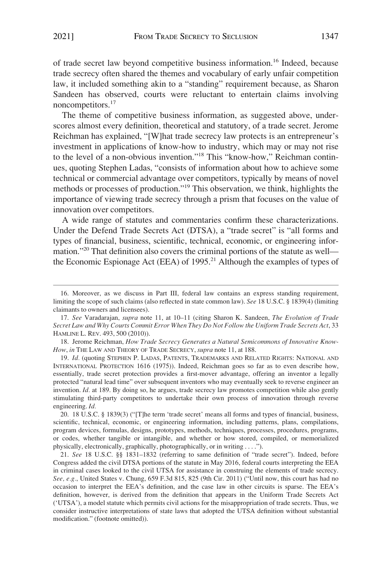of trade secret law beyond competitive business information.16 Indeed, because trade secrecy often shared the themes and vocabulary of early unfair competition law, it included something akin to a "standing" requirement because, as Sharon Sandeen has observed, courts were reluctant to entertain claims involving noncompetitors.17

The theme of competitive business information, as suggested above, underscores almost every definition, theoretical and statutory, of a trade secret. Jerome Reichman has explained, "[W]hat trade secrecy law protects is an entrepreneur's investment in applications of know-how to industry, which may or may not rise to the level of a non-obvious invention."18 This "know-how," Reichman continues, quoting Stephen Ladas, "consists of information about how to achieve some technical or commercial advantage over competitors, typically by means of novel methods or processes of production."19 This observation, we think, highlights the importance of viewing trade secrecy through a prism that focuses on the value of innovation over competitors.

A wide range of statutes and commentaries confirm these characterizations. Under the Defend Trade Secrets Act (DTSA), a "trade secret" is "all forms and types of financial, business, scientific, technical, economic, or engineering information."<sup>20</sup> That definition also covers the criminal portions of the statute as wellthe Economic Espionage Act (EEA) of  $1995<sup>21</sup>$  Although the examples of types of

18. Jerome Reichman, *How Trade Secrecy Generates a Natural Semicommons of Innovative Know-How*, *in* THE LAW AND THEORY OF TRADE SECRECY, *supra* note 11, at 188.

19. *Id.* (quoting STEPHEN P. LADAS, PATENTS, TRADEMARKS AND RELATED RIGHTS: NATIONAL AND INTERNATIONAL PROTECTION 1616 (1975)). Indeed, Reichman goes so far as to even describe how, essentially, trade secret protection provides a first-mover advantage, offering an inventor a legally protected "natural lead time" over subsequent inventors who may eventually seek to reverse engineer an invention. *Id.* at 189. By doing so, he argues, trade secrecy law promotes competition while also gently stimulating third-party competitors to undertake their own process of innovation through reverse engineering. *Id.* 

20. 18 U.S.C. § 1839(3) ("[T]he term 'trade secret' means all forms and types of financial, business, scientific, technical, economic, or engineering information, including patterns, plans, compilations, program devices, formulas, designs, prototypes, methods, techniques, processes, procedures, programs, or codes, whether tangible or intangible, and whether or how stored, compiled, or memorialized physically, electronically, graphically, photographically, or in writing . . . .").

21. *See* 18 U.S.C. §§ 1831–1832 (referring to same definition of "trade secret"). Indeed, before Congress added the civil DTSA portions of the statute in May 2016, federal courts interpreting the EEA in criminal cases looked to the civil UTSA for assistance in construing the elements of trade secrecy. *See, e.g.*, United States v. Chung, 659 F.3d 815, 825 (9th Cir. 2011) ("Until now, this court has had no occasion to interpret the EEA's definition, and the case law in other circuits is sparse. The EEA's definition, however, is derived from the definition that appears in the Uniform Trade Secrets Act ('UTSA'), a model statute which permits civil actions for the misappropriation of trade secrets. Thus, we consider instructive interpretations of state laws that adopted the UTSA definition without substantial modification." (footnote omitted)).

<sup>16.</sup> Moreover, as we discuss in Part III, federal law contains an express standing requirement, limiting the scope of such claims (also reflected in state common law). *See* 18 U.S.C. § 1839(4) (limiting claimants to owners and licensees).

<sup>17.</sup> *See* Varadarajan, *supra* note 11, at 10–11 (citing Sharon K. Sandeen, *The Evolution of Trade Secret Law and Why Courts Commit Error When They Do Not Follow the Uniform Trade Secrets Act*, 33 HAMLINE L. REV. 493, 500 (2010)).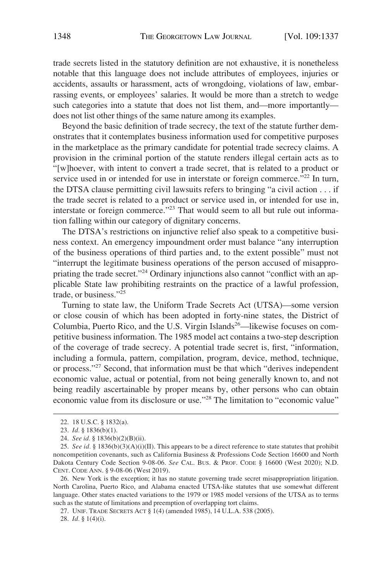trade secrets listed in the statutory definition are not exhaustive, it is nonetheless notable that this language does not include attributes of employees, injuries or accidents, assaults or harassment, acts of wrongdoing, violations of law, embarrassing events, or employees' salaries. It would be more than a stretch to wedge such categories into a statute that does not list them, and—more importantly does not list other things of the same nature among its examples.

Beyond the basic definition of trade secrecy, the text of the statute further demonstrates that it contemplates business information used for competitive purposes in the marketplace as the primary candidate for potential trade secrecy claims. A provision in the criminal portion of the statute renders illegal certain acts as to "[w]hoever, with intent to convert a trade secret, that is related to a product or service used in or intended for use in interstate or foreign commerce."<sup>22</sup> In turn, the DTSA clause permitting civil lawsuits refers to bringing "a civil action . . . if the trade secret is related to a product or service used in, or intended for use in, interstate or foreign commerce."<sup>23</sup> That would seem to all but rule out information falling within our category of dignitary concerns.

The DTSA's restrictions on injunctive relief also speak to a competitive business context. An emergency impoundment order must balance "any interruption of the business operations of third parties and, to the extent possible" must not "interrupt the legitimate business operations of the person accused of misappropriating the trade secret."<sup>24</sup> Ordinary injunctions also cannot "conflict with an applicable State law prohibiting restraints on the practice of a lawful profession, trade, or business."25

Turning to state law, the Uniform Trade Secrets Act (UTSA)—some version or close cousin of which has been adopted in forty-nine states, the District of Columbia, Puerto Rico, and the U.S. Virgin Islands<sup>26</sup>—likewise focuses on competitive business information. The 1985 model act contains a two-step description of the coverage of trade secrecy. A potential trade secret is, first, "information, including a formula, pattern, compilation, program, device, method, technique, or process."27 Second, that information must be that which "derives independent economic value, actual or potential, from not being generally known to, and not being readily ascertainable by proper means by, other persons who can obtain economic value from its disclosure or use."28 The limitation to "economic value"

27. UNIF. TRADE SECRETS ACT § 1(4) (amended 1985), 14 U.L.A. 538 (2005).

28. *Id.* § 1(4)(i).

<sup>22. 18</sup> U.S.C. § 1832(a).

<sup>23.</sup> *Id.* § 1836(b)(1).

<sup>24.</sup> *See id.* § 1836(b)(2)(B)(ii).

<sup>25.</sup> *See id.* § 1836(b)(3)(A)(i)(II). This appears to be a direct reference to state statutes that prohibit noncompetition covenants, such as California Business & Professions Code Section 16600 and North Dakota Century Code Section 9-08-06. *See* CAL. BUS. & PROF. CODE § 16600 (West 2020); N.D. CENT. CODE ANN. § 9-08-06 (West 2019).

<sup>26.</sup> New York is the exception; it has no statute governing trade secret misappropriation litigation. North Carolina, Puerto Rico, and Alabama enacted UTSA-like statutes that use somewhat different language. Other states enacted variations to the 1979 or 1985 model versions of the UTSA as to terms such as the statute of limitations and preemption of overlapping tort claims.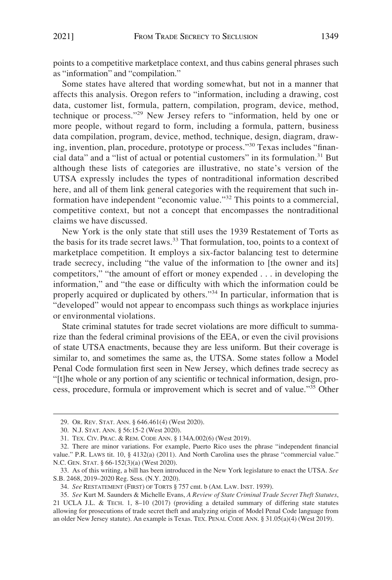points to a competitive marketplace context, and thus cabins general phrases such as "information" and "compilation."

Some states have altered that wording somewhat, but not in a manner that affects this analysis. Oregon refers to "information, including a drawing, cost data, customer list, formula, pattern, compilation, program, device, method, technique or process."29 New Jersey refers to "information, held by one or more people, without regard to form, including a formula, pattern, business data compilation, program, device, method, technique, design, diagram, drawing, invention, plan, procedure, prototype or process."30 Texas includes "financial data" and a "list of actual or potential customers" in its formulation.<sup>31</sup> But although these lists of categories are illustrative, no state's version of the UTSA expressly includes the types of nontraditional information described here, and all of them link general categories with the requirement that such information have independent "economic value."32 This points to a commercial, competitive context, but not a concept that encompasses the nontraditional claims we have discussed.

New York is the only state that still uses the 1939 Restatement of Torts as the basis for its trade secret laws.<sup>33</sup> That formulation, too, points to a context of marketplace competition. It employs a six-factor balancing test to determine trade secrecy, including "the value of the information to [the owner and its] competitors," "the amount of effort or money expended . . . in developing the information," and "the ease or difficulty with which the information could be properly acquired or duplicated by others."34 In particular, information that is "developed" would not appear to encompass such things as workplace injuries or environmental violations.

State criminal statutes for trade secret violations are more difficult to summarize than the federal criminal provisions of the EEA, or even the civil provisions of state UTSA enactments, because they are less uniform. But their coverage is similar to, and sometimes the same as, the UTSA. Some states follow a Model Penal Code formulation first seen in New Jersey, which defines trade secrecy as "[t]he whole or any portion of any scientific or technical information, design, process, procedure, formula or improvement which is secret and of value."35 Other

<sup>29.</sup> OR. REV. STAT. ANN. § 646.461(4) (West 2020).

<sup>30.</sup> N.J. STAT. ANN. § 56:15-2 (West 2020).

<sup>31.</sup> TEX. CIV. PRAC. & REM. CODE ANN. § 134A.002(6) (West 2019).

<sup>32.</sup> There are minor variations. For example, Puerto Rico uses the phrase "independent financial value." P.R. LAWS tit. 10, § 4132(a) (2011). And North Carolina uses the phrase "commercial value." N.C. GEN. STAT. § 66-152(3)(a) (West 2020).

<sup>33.</sup> As of this writing, a bill has been introduced in the New York legislature to enact the UTSA. *See*  S.B. 2468, 2019–2020 Reg. Sess. (N.Y. 2020).

<sup>34.</sup> *See* RESTATEMENT (FIRST) OF TORTS § 757 cmt. b (AM. LAW. INST. 1939).

<sup>35.</sup> *See* Kurt M. Saunders & Michelle Evans, *A Review of State Criminal Trade Secret Theft Statutes*, 21 UCLA J.L. & TECH. 1, 8–10 (2017) (providing a detailed summary of differing state statutes allowing for prosecutions of trade secret theft and analyzing origin of Model Penal Code language from an older New Jersey statute). An example is Texas. TEX. PENAL CODE ANN. § 31.05(a)(4) (West 2019).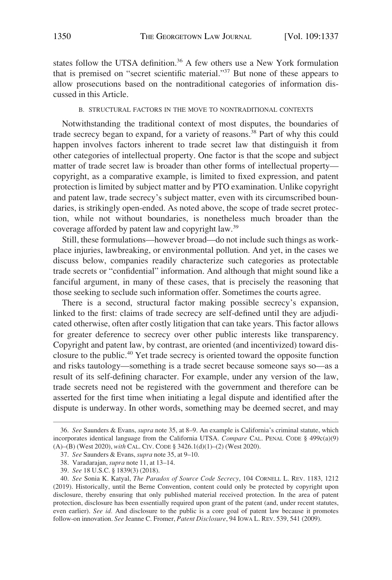<span id="page-13-0"></span>states follow the UTSA definition.<sup>36</sup> A few others use a New York formulation that is premised on "secret scientific material."37 But none of these appears to allow prosecutions based on the nontraditional categories of information discussed in this Article.

#### B. STRUCTURAL FACTORS IN THE MOVE TO NONTRADITIONAL CONTEXTS

Notwithstanding the traditional context of most disputes, the boundaries of trade secrecy began to expand, for a variety of reasons.<sup>38</sup> Part of why this could happen involves factors inherent to trade secret law that distinguish it from other categories of intellectual property. One factor is that the scope and subject matter of trade secret law is broader than other forms of intellectual property copyright, as a comparative example, is limited to fixed expression, and patent protection is limited by subject matter and by PTO examination. Unlike copyright and patent law, trade secrecy's subject matter, even with its circumscribed boundaries, is strikingly open-ended. As noted above, the scope of trade secret protection, while not without boundaries, is nonetheless much broader than the coverage afforded by patent law and copyright law.39

Still, these formulations—however broad—do not include such things as workplace injuries, lawbreaking, or environmental pollution. And yet, in the cases we discuss below, companies readily characterize such categories as protectable trade secrets or "confidential" information. And although that might sound like a fanciful argument, in many of these cases, that is precisely the reasoning that those seeking to seclude such information offer. Sometimes the courts agree.

There is a second, structural factor making possible secrecy's expansion, linked to the first: claims of trade secrecy are self-defined until they are adjudicated otherwise, often after costly litigation that can take years. This factor allows for greater deference to secrecy over other public interests like transparency. Copyright and patent law, by contrast, are oriented (and incentivized) toward disclosure to the public.40 Yet trade secrecy is oriented toward the opposite function and risks tautology—something is a trade secret because someone says so—as a result of its self-defining character. For example, under any version of the law, trade secrets need not be registered with the government and therefore can be asserted for the first time when initiating a legal dispute and identified after the dispute is underway. In other words, something may be deemed secret, and may

<sup>36.</sup> *See* Saunders & Evans, *supra* note 35, at 8–9. An example is California's criminal statute, which incorporates identical language from the California UTSA. *Compare* CAL. PENAL CODE § 499c(a)(9) (A)–(B) (West 2020), *with* CAL. CIV. CODE § 3426.1(d)(1)–(2) (West 2020).

<sup>37.</sup> *See* Saunders & Evans, *supra* note 35, at 9–10.

<sup>38.</sup> Varadarajan, *supra* note 11, at 13–14.

<sup>39.</sup> *See* 18 U.S.C. § 1839(3) (2018).

<sup>40.</sup> *See* Sonia K. Katyal, *The Paradox of Source Code Secrecy*, 104 CORNELL L. REV. 1183, 1212 (2019). Historically, until the Berne Convention, content could only be protected by copyright upon disclosure, thereby ensuring that only published material received protection. In the area of patent protection, disclosure has been essentially required upon grant of the patent (and, under recent statutes, even earlier). *See id.* And disclosure to the public is a core goal of patent law because it promotes follow-on innovation. *See* Jeanne C. Fromer, *Patent Disclosure*, 94 IOWA L. REV. 539, 541 (2009).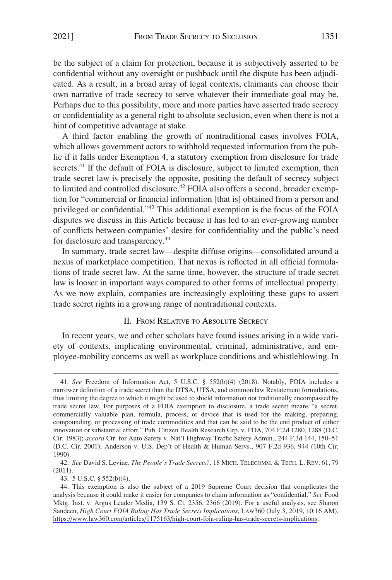<span id="page-14-0"></span>be the subject of a claim for protection, because it is subjectively asserted to be confidential without any oversight or pushback until the dispute has been adjudicated. As a result, in a broad array of legal contexts, claimants can choose their own narrative of trade secrecy to serve whatever their immediate goal may be. Perhaps due to this possibility, more and more parties have asserted trade secrecy or confidentiality as a general right to absolute seclusion, even when there is not a hint of competitive advantage at stake.

A third factor enabling the growth of nontraditional cases involves FOIA, which allows government actors to withhold requested information from the public if it falls under Exemption 4, a statutory exemption from disclosure for trade secrets.<sup>41</sup> If the default of FOIA is disclosure, subject to limited exemption, then trade secret law is precisely the opposite, positing the default of secrecy subject to limited and controlled disclosure.<sup>42</sup> FOIA also offers a second, broader exemption for "commercial or financial information [that is] obtained from a person and privileged or confidential."43 This additional exemption is the focus of the FOIA disputes we discuss in this Article because it has led to an ever-growing number of conflicts between companies' desire for confidentiality and the public's need for disclosure and transparency.44

In summary, trade secret law—despite diffuse origins—consolidated around a nexus of marketplace competition. That nexus is reflected in all official formulations of trade secret law. At the same time, however, the structure of trade secret law is looser in important ways compared to other forms of intellectual property. As we now explain, companies are increasingly exploiting these gaps to assert trade secret rights in a growing range of nontraditional contexts.

## II. FROM RELATIVE TO ABSOLUTE SECRECY

In recent years, we and other scholars have found issues arising in a wide variety of contexts, implicating environmental, criminal, administrative, and employee-mobility concerns as well as workplace conditions and whistleblowing. In

<sup>41.</sup> *See* Freedom of Information Act, 5 U.S.C. § 552(b)(4) (2018). Notably, FOIA includes a narrower definition of a trade secret than the DTSA, UTSA, and common law Restatement formulations, thus limiting the degree to which it might be used to shield information not traditionally encompassed by trade secret law. For purposes of a FOIA exemption to disclosure, a trade secret means "a secret, commercially valuable plan, formula, process, or device that is used for the making, preparing, compounding, or processing of trade commodities and that can be said to be the end product of either innovation or substantial effort." Pub. Citizen Health Research Grp. v. FDA, 704 F.2d 1280, 1288 (D.C. Cir. 1983); *accord* Ctr. for Auto Safety v. Nat'l Highway Traffic Safety Admin., 244 F.3d 144, 150–51 (D.C. Cir. 2001); Anderson v. U.S. Dep't of Health & Human Servs., 907 F.2d 936, 944 (10th Cir. 1990).

<sup>42.</sup> *See* David S. Levine, *The People's Trade Secrets?*, 18 MICH. TELECOMM. & TECH. L. REV. 61, 79 (2011).

<sup>43. 5</sup> U.S.C. § 552(b)(4).

This exemption is also the subject of a 2019 Supreme Court decision that complicates the 44. analysis because it could make it easier for companies to claim information as "confidential." *See* Food Mktg. Inst. v. Argus Leader Media, 139 S. Ct. 2356, 2366 (2019). For a useful analysis, see Sharon Sandeen, *High Court FOIA Ruling Has Trade Secrets Implications*, LAW360 (July 3, 2019, 10:16 AM), [https://www.law360.com/articles/1175163/high-court-foia-ruling-has-trade-secrets-implications.](https://www.law360.com/articles/1175163/high-court-foia-ruling-has-trade-secrets-implications)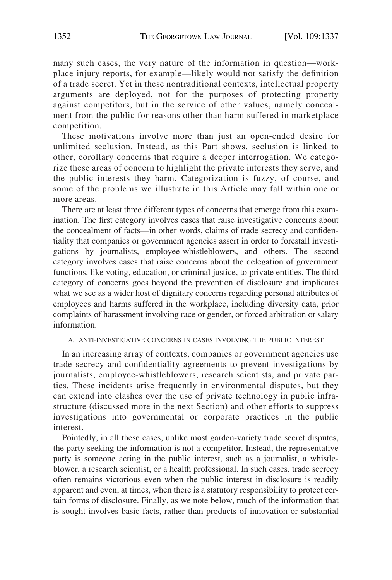<span id="page-15-0"></span>many such cases, the very nature of the information in question—workplace injury reports, for example—likely would not satisfy the definition of a trade secret. Yet in these nontraditional contexts, intellectual property arguments are deployed, not for the purposes of protecting property against competitors, but in the service of other values, namely concealment from the public for reasons other than harm suffered in marketplace competition.

These motivations involve more than just an open-ended desire for unlimited seclusion. Instead, as this Part shows, seclusion is linked to other, corollary concerns that require a deeper interrogation. We categorize these areas of concern to highlight the private interests they serve, and the public interests they harm. Categorization is fuzzy, of course, and some of the problems we illustrate in this Article may fall within one or more areas.

There are at least three different types of concerns that emerge from this examination. The first category involves cases that raise investigative concerns about the concealment of facts—in other words, claims of trade secrecy and confidentiality that companies or government agencies assert in order to forestall investigations by journalists, employee-whistleblowers, and others. The second category involves cases that raise concerns about the delegation of government functions, like voting, education, or criminal justice, to private entities. The third category of concerns goes beyond the prevention of disclosure and implicates what we see as a wider host of dignitary concerns regarding personal attributes of employees and harms suffered in the workplace, including diversity data, prior complaints of harassment involving race or gender, or forced arbitration or salary information.

#### A. ANTI-INVESTIGATIVE CONCERNS IN CASES INVOLVING THE PUBLIC INTEREST

In an increasing array of contexts, companies or government agencies use trade secrecy and confidentiality agreements to prevent investigations by journalists, employee-whistleblowers, research scientists, and private parties. These incidents arise frequently in environmental disputes, but they can extend into clashes over the use of private technology in public infrastructure (discussed more in the next Section) and other efforts to suppress investigations into governmental or corporate practices in the public interest.

Pointedly, in all these cases, unlike most garden-variety trade secret disputes, the party seeking the information is not a competitor. Instead, the representative party is someone acting in the public interest, such as a journalist, a whistleblower, a research scientist, or a health professional. In such cases, trade secrecy often remains victorious even when the public interest in disclosure is readily apparent and even, at times, when there is a statutory responsibility to protect certain forms of disclosure. Finally, as we note below, much of the information that is sought involves basic facts, rather than products of innovation or substantial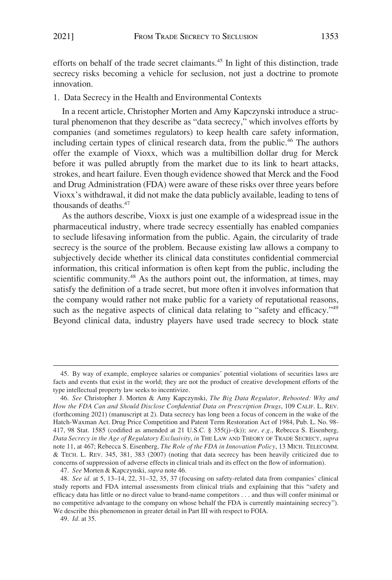<span id="page-16-0"></span>efforts on behalf of the trade secret claimants.45 In light of this distinction, trade secrecy risks becoming a vehicle for seclusion, not just a doctrine to promote innovation.

1. Data Secrecy in the Health and Environmental Contexts

In a recent article, Christopher Morten and Amy Kapczynski introduce a structural phenomenon that they describe as "data secrecy," which involves efforts by companies (and sometimes regulators) to keep health care safety information, including certain types of clinical research data, from the public.<sup>46</sup> The authors offer the example of Vioxx, which was a multibillion dollar drug for Merck before it was pulled abruptly from the market due to its link to heart attacks, strokes, and heart failure. Even though evidence showed that Merck and the Food and Drug Administration (FDA) were aware of these risks over three years before Vioxx's withdrawal, it did not make the data publicly available, leading to tens of thousands of deaths.<sup>47</sup>

As the authors describe, Vioxx is just one example of a widespread issue in the pharmaceutical industry, where trade secrecy essentially has enabled companies to seclude lifesaving information from the public. Again, the circularity of trade secrecy is the source of the problem. Because existing law allows a company to subjectively decide whether its clinical data constitutes confidential commercial information, this critical information is often kept from the public, including the scientific community.<sup>48</sup> As the authors point out, the information, at times, may satisfy the definition of a trade secret, but more often it involves information that the company would rather not make public for a variety of reputational reasons, such as the negative aspects of clinical data relating to "safety and efficacy."<sup>49</sup> Beyond clinical data, industry players have used trade secrecy to block state

<sup>45.</sup> By way of example, employee salaries or companies' potential violations of securities laws are facts and events that exist in the world; they are not the product of creative development efforts of the type intellectual property law seeks to incentivize.

<sup>46.</sup> *See* Christopher J. Morten & Amy Kapczynski, *The Big Data Regulator, Rebooted: Why and How the FDA Can and Should Disclose Confidential Data on Prescription Drugs*, 109 CALIF. L. REV. (forthcoming 2021) (manuscript at 2). Data secrecy has long been a focus of concern in the wake of the Hatch-Waxman Act. Drug Price Competition and Patent Term Restoration Act of 1984, Pub. L. No. 98- 417, 98 Stat. 1585 (codified as amended at 21 U.S.C. § 355(j)–(k)); *see, e.g.*, Rebecca S. Eisenberg, *Data Secrecy in the Age of Regulatory Exclusivity*, *in* THE LAW AND THEORY OF TRADE SECRECY, *supra*  note 11, at 467; Rebecca S. Eisenberg, *The Role of the FDA in Innovation Policy*, 13 MICH. TELECOMM. & TECH. L. REV. 345, 381, 383 (2007) (noting that data secrecy has been heavily criticized due to concerns of suppression of adverse effects in clinical trials and its effect on the flow of information).

<sup>47.</sup> *See* Morten & Kapczynski, *supra* note 46.

<sup>48.</sup> *See id.* at 5, 13–14, 22, 31–32, 35, 37 (focusing on safety-related data from companies' clinical study reports and FDA internal assessments from clinical trials and explaining that this "safety and efficacy data has little or no direct value to brand-name competitors . . . and thus will confer minimal or no competitive advantage to the company on whose behalf the FDA is currently maintaining secrecy"). We describe this phenomenon in greater detail in Part III with respect to FOIA.

<sup>49.</sup> *Id.* at 35.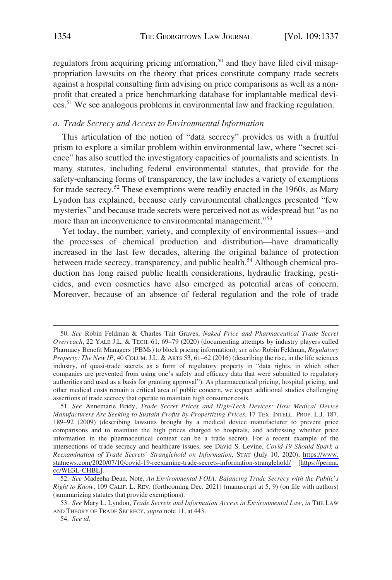<span id="page-17-0"></span>regulators from acquiring pricing information,<sup>50</sup> and they have filed civil misappropriation lawsuits on the theory that prices constitute company trade secrets against a hospital consulting firm advising on price comparisons as well as a nonprofit that created a price benchmarking database for implantable medical devices.<sup>51</sup> We see analogous problems in environmental law and fracking regulation.

#### *a. Trade Secrecy and Access to Environmental Information*

This articulation of the notion of "data secrecy" provides us with a fruitful prism to explore a similar problem within environmental law, where "secret science" has also scuttled the investigatory capacities of journalists and scientists. In many statutes, including federal environmental statutes, that provide for the safety-enhancing forms of transparency, the law includes a variety of exemptions for trade secrecy.<sup>52</sup> These exemptions were readily enacted in the 1960s, as Mary Lyndon has explained, because early environmental challenges presented "few mysteries" and because trade secrets were perceived not as widespread but "as no more than an inconvenience to environmental management."<sup>53</sup>

Yet today, the number, variety, and complexity of environmental issues—and the processes of chemical production and distribution—have dramatically increased in the last few decades, altering the original balance of protection between trade secrecy, transparency, and public health.<sup>54</sup> Although chemical production has long raised public health considerations, hydraulic fracking, pesticides, and even cosmetics have also emerged as potential areas of concern. Moreover, because of an absence of federal regulation and the role of trade

<sup>50.</sup> *See* Robin Feldman & Charles Tait Graves, *Naked Price and Pharmaceutical Trade Secret Overreach*, 22 YALE J.L. & TECH. 61, 69–79 (2020) (documenting attempts by industry players called Pharmacy Benefit Managers (PBMs) to block pricing information); *see also* Robin Feldman, *Regulatory Property: The New IP*, 40 COLUM. J.L. & ARTS 53, 61–62 (2016) (describing the rise, in the life sciences industry, of quasi-trade secrets as a form of regulatory property in "data rights, in which other companies are prevented from using one's safety and efficacy data that were submitted to regulatory authorities and used as a basis for granting approval"). As pharmaceutical pricing, hospital pricing, and other medical costs remain a critical area of public concern, we expect additional studies challenging assertions of trade secrecy that operate to maintain high consumer costs.

*See* Annemarie Bridy, *Trade Secret Prices and High-Tech Devices: How Medical Device*  51. *Manufacturers Are Seeking to Sustain Profits by Propertizing Prices*, 17 TEX. INTELL. PROP. L.J. 187, 189–92 (2009) (describing lawsuits brought by a medical device manufacturer to prevent price comparisons and to maintain the high prices charged to hospitals, and addressing whether price information in the pharmaceutical context can be a trade secret). For a recent example of the intersections of trade secrecy and healthcare issues, see David S. Levine, *Covid-19 Should Spark a Reexamination of Trade Secrets' Stranglehold on Information*, STAT (July 10, 2020), [https://www.](https://www.statnews.com/2020/07/10/covid-19-reexamine-trade-secrets-information-stranglehold/)  [statnews.com/2020/07/10/covid-19-reexamine-trade-secrets-information-stranglehold/](https://www.statnews.com/2020/07/10/covid-19-reexamine-trade-secrets-information-stranglehold/) [[https://perma.](https://perma.cc/WE3L-CHBL)  [cc/WE3L-CHBL](https://perma.cc/WE3L-CHBL)].

<sup>52.</sup> *See* Madeeha Dean, Note, *An Environmental FOIA: Balancing Trade Secrecy with the Public's Right to Know*, 109 CALIF. L. REV. (forthcoming Dec. 2021) (manuscript at 5, 9) (on file with authors) (summarizing statutes that provide exemptions).

<sup>53.</sup> *See* Mary L. Lyndon, *Trade Secrets and Information Access in Environmental Law*, *in* THE LAW AND THEORY OF TRADE SECRECY, *supra* note 11, at 443.

<sup>54.</sup> *See id.*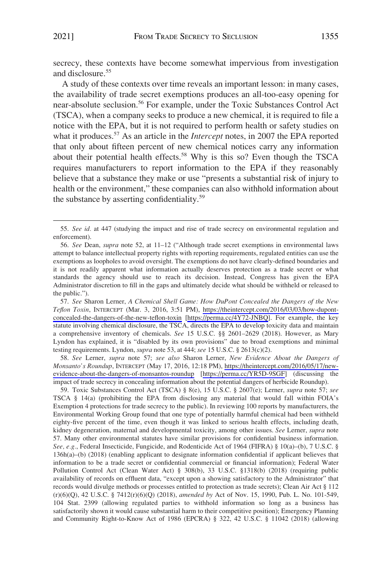secrecy, these contexts have become somewhat impervious from investigation and disclosure.<sup>55</sup>

A study of these contexts over time reveals an important lesson: in many cases, the availability of trade secret exemptions produces an all-too-easy opening for near-absolute seclusion.56 For example, under the Toxic Substances Control Act (TSCA), when a company seeks to produce a new chemical, it is required to file a notice with the EPA, but it is not required to perform health or safety studies on what it produces.<sup>57</sup> As an article in the *Intercept* notes, in 2007 the EPA reported that only about fifteen percent of new chemical notices carry any information about their potential health effects.<sup>58</sup> Why is this so? Even though the TSCA requires manufacturers to report information to the EPA if they reasonably believe that a substance they make or use "presents a substantial risk of injury to health or the environment," these companies can also withhold information about the substance by asserting confidentiality.59

*See* Sharon Lerner, *A Chemical Shell Game: How DuPont Concealed the Dangers of the New*  57. *Teflon Toxin*, INTERCEPT (Mar. 3, 2016, 3:51 PM), [https://theintercept.com/2016/03/03/how-dupont](https://theintercept.com/2016/03/03/how-dupont-concealed-the-dangers-of-the-new-teflon-toxin)[concealed-the-dangers-of-the-new-teflon-toxin](https://theintercept.com/2016/03/03/how-dupont-concealed-the-dangers-of-the-new-teflon-toxin) [[https://perma.cc/4Y72-JNBQ\]](https://perma.cc/4Y72-JNBQ). For example, the key statute involving chemical disclosure, the TSCA, directs the EPA to develop toxicity data and maintain a comprehensive inventory of chemicals. *See* 15 U.S.C. §§ 2601–2629 (2018). However, as Mary Lyndon has explained, it is "disabled by its own provisions" due to broad exemptions and minimal testing requirements. Lyndon, *supra* note 53, at 444; *see* 15 U.S.C. § 2613(c)(2).

*See* Lerner, *supra* note 57; *see also* Sharon Lerner, *New Evidence About the Dangers of*  58. *Monsanto's Roundup*, INTERCEPT (May 17, 2016, 12:18 PM), [https://theintercept.com/2016/05/17/new](https://theintercept.com/2016/05/17/new-evidence-about-the-dangers-of-monsantos-roundup)[evidence-about-the-dangers-of-monsantos-roundup](https://theintercept.com/2016/05/17/new-evidence-about-the-dangers-of-monsantos-roundup) [\[https://perma.cc/YR5D-9SGF](https://perma.cc/YR5D-9SGF)] (discussing the impact of trade secrecy in concealing information about the potential dangers of herbicide Roundup).

59. Toxic Substances Control Act (TSCA) § 8(e), 15 U.S.C. § 2607(e); Lerner, *supra* note 57; *see*  TSCA § 14(a) (prohibiting the EPA from disclosing any material that would fall within FOIA's Exemption 4 protections for trade secrecy to the public). In reviewing 100 reports by manufacturers, the Environmental Working Group found that one type of potentially harmful chemical had been withheld eighty-five percent of the time, even though it was linked to serious health effects, including death, kidney degeneration, maternal and developmental toxicity, among other issues. *See* Lerner, *supra* note 57. Many other environmental statutes have similar provisions for confidential business information. *See, e.g.*, Federal Insecticide, Fungicide, and Rodenticide Act of 1964 (FIFRA) § 10(a)–(b), 7 U.S.C. § 136h(a)–(b) (2018) (enabling applicant to designate information confidential if applicant believes that information to be a trade secret or confidential commercial or financial information); Federal Water Pollution Control Act (Clean Water Act) § 308(b), 33 U.S.C. §1318(b) (2018) (requiring public availability of records on effluent data, "except upon a showing satisfactory to the Administrator" that records would divulge methods or processes entitled to protection as trade secrets); Clean Air Act § 112 (r)(6)(Q), 42 U.S.C. § 7412(r)(6)(Q) (2018), *amended by* Act of Nov. 15, 1990, Pub. L. No. 101-549, 104 Stat. 2399 (allowing regulated parties to withhold information so long as a business has satisfactorily shown it would cause substantial harm to their competitive position); Emergency Planning and Community Right-to-Know Act of 1986 (EPCRA) § 322, 42 U.S.C. § 11042 (2018) (allowing

<sup>55.</sup> *See id.* at 447 (studying the impact and rise of trade secrecy on environmental regulation and enforcement).

<sup>56.</sup> *See* Dean, *supra* note 52, at 11–12 ("Although trade secret exemptions in environmental laws attempt to balance intellectual property rights with reporting requirements, regulated entities can use the exemptions as loopholes to avoid oversight. The exemptions do not have clearly-defined boundaries and it is not readily apparent what information actually deserves protection as a trade secret or what standards the agency should use to reach its decision. Instead, Congress has given the EPA Administrator discretion to fill in the gaps and ultimately decide what should be withheld or released to the public.").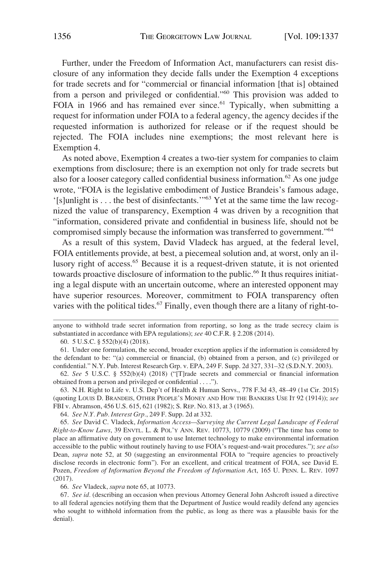Further, under the Freedom of Information Act, manufacturers can resist disclosure of any information they decide falls under the Exemption 4 exceptions for trade secrets and for "commercial or financial information [that is] obtained from a person and privileged or confidential."<sup>60</sup> This provision was added to FOIA in 1966 and has remained ever since.<sup>61</sup> Typically, when submitting a request for information under FOIA to a federal agency, the agency decides if the requested information is authorized for release or if the request should be rejected. The FOIA includes nine exemptions; the most relevant here is Exemption 4.

As noted above, Exemption 4 creates a two-tier system for companies to claim exemptions from disclosure; there is an exemption not only for trade secrets but also for a looser category called confidential business information.<sup>62</sup> As one judge wrote, "FOIA is the legislative embodiment of Justice Brandeis's famous adage, '[s]unlight is . . . the best of disinfectants.'"63 Yet at the same time the law recognized the value of transparency, Exemption 4 was driven by a recognition that "information, considered private and confidential in business life, should not be compromised simply because the information was transferred to government."<sup>64</sup>

As a result of this system, David Vladeck has argued, at the federal level, FOIA entitlements provide, at best, a piecemeal solution and, at worst, only an illusory right of access.65 Because it is a request-driven statute, it is not oriented towards proactive disclosure of information to the public.<sup>66</sup> It thus requires initiating a legal dispute with an uncertain outcome, where an interested opponent may have superior resources. Moreover, commitment to FOIA transparency often varies with the political tides.<sup>67</sup> Finally, even though there are a litany of right-to-

63. N.H. Right to Life v. U.S. Dep't of Health & Human Servs., 778 F.3d 43, 48–49 (1st Cir. 2015) (quoting LOUIS D. BRANDEIS, OTHER PEOPLE'S MONEY AND HOW THE BANKERS USE IT 92 (1914)); *see*  FBI v. Abramson, 456 U.S. 615, 621 (1982); S. REP. NO. 813, at 3 (1965).

64. *See N.Y. Pub. Interest Grp.*, 249 F. Supp. 2d at 332.

65. *See* David C. Vladeck, *Information Access—Surveying the Current Legal Landscape of Federal Right-to-Know Laws*, 39 ENVTL. L. & POL'Y ANN. REV. 10773, 10779 (2009) ("The time has come to place an affirmative duty on government to use Internet technology to make environmental information accessible to the public without routinely having to use FOIA's request-and-wait procedures."); *see also*  Dean, *supra* note 52, at 50 (suggesting an environmental FOIA to "require agencies to proactively disclose records in electronic form"). For an excellent, and critical treatment of FOIA, see David E. Pozen, *Freedom of Information Beyond the Freedom of Information Ac*t, 165 U. PENN. L. REV. 1097 (2017).

66. *See* Vladeck, *supra* note 65, at 10773.

67. *See id.* (describing an occasion when previous Attorney General John Ashcroft issued a directive to all federal agencies notifying them that the Department of Justice would readily defend any agencies who sought to withhold information from the public, as long as there was a plausible basis for the denial).

anyone to withhold trade secret information from reporting, so long as the trade secrecy claim is substantiated in accordance with EPA regulations); *see* 40 C.F.R. § 2.208 (2014).

<sup>60. 5</sup> U.S.C. § 552(b)(4) (2018).

<sup>61.</sup> Under one formulation, the second, broader exception applies if the information is considered by the defendant to be: "(a) commercial or financial, (b) obtained from a person, and (c) privileged or confidential." N.Y. Pub. Interest Research Grp. v. EPA, 249 F. Supp. 2d 327, 331–32 (S.D.N.Y. 2003).

<sup>62.</sup> *See* 5 U.S.C. § 552(b)(4) (2018) ("[T]rade secrets and commercial or financial information obtained from a person and privileged or confidential . . . .").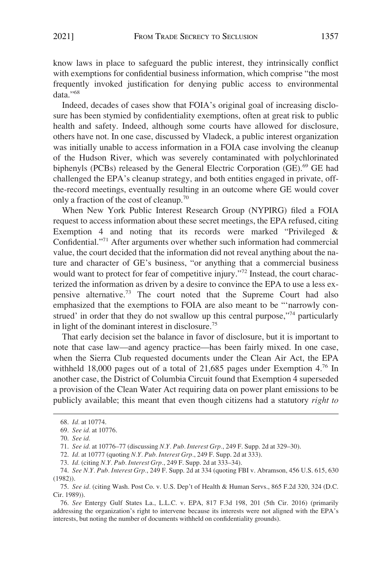know laws in place to safeguard the public interest, they intrinsically conflict with exemptions for confidential business information, which comprise "the most frequently invoked justification for denying public access to environmental data."<sup>68</sup>

Indeed, decades of cases show that FOIA's original goal of increasing disclosure has been stymied by confidentiality exemptions, often at great risk to public health and safety. Indeed, although some courts have allowed for disclosure, others have not. In one case, discussed by Vladeck, a public interest organization was initially unable to access information in a FOIA case involving the cleanup of the Hudson River, which was severely contaminated with polychlorinated biphenyls (PCBs) released by the General Electric Corporation (GE).<sup>69</sup> GE had challenged the EPA's cleanup strategy, and both entities engaged in private, offthe-record meetings, eventually resulting in an outcome where GE would cover only a fraction of the cost of cleanup.70

When New York Public Interest Research Group (NYPIRG) filed a FOIA request to access information about these secret meetings, the EPA refused, citing Exemption 4 and noting that its records were marked "Privileged & Confidential."71 After arguments over whether such information had commercial value, the court decided that the information did not reveal anything about the nature and character of GE's business, "or anything that a commercial business would want to protect for fear of competitive injury."<sup>72</sup> Instead, the court characterized the information as driven by a desire to convince the EPA to use a less expensive alternative.73 The court noted that the Supreme Court had also emphasized that the exemptions to FOIA are also meant to be "'narrowly construed' in order that they do not swallow up this central purpose,"<sup>74</sup> particularly in light of the dominant interest in disclosure.75

That early decision set the balance in favor of disclosure, but it is important to note that case law—and agency practice—has been fairly mixed. In one case, when the Sierra Club requested documents under the Clean Air Act, the EPA withheld 18,000 pages out of a total of 21,685 pages under Exemption  $4^{76}$  In another case, the District of Columbia Circuit found that Exemption 4 superseded a provision of the Clean Water Act requiring data on power plant emissions to be publicly available; this meant that even though citizens had a statutory *right to* 

<sup>68.</sup> *Id.* at 10774.

<sup>69.</sup> *See id.* at 10776.

<sup>70.</sup> *See id.* 

<sup>71.</sup> *See id.* at 10776–77 (discussing *N.Y. Pub. Interest Grp.*, 249 F. Supp. 2d at 329–30).

<sup>72.</sup> *Id.* at 10777 (quoting *N.Y. Pub. Interest Grp.*, 249 F. Supp. 2d at 333).

<sup>73.</sup> *Id.* (citing *N.Y. Pub. Interest Grp.*, 249 F. Supp. 2d at 333–34).

<sup>74.</sup> *See N.Y. Pub. Interest Grp.*, 249 F. Supp. 2d at 334 (quoting FBI v. Abramson, 456 U.S. 615, 630 (1982)).

<sup>75.</sup> *See id.* (citing Wash. Post Co. v. U.S. Dep't of Health & Human Servs., 865 F.2d 320, 324 (D.C. Cir. 1989)).

<sup>76.</sup> *See* Entergy Gulf States La., L.L.C. v. EPA, 817 F.3d 198, 201 (5th Cir. 2016) (primarily addressing the organization's right to intervene because its interests were not aligned with the EPA's interests, but noting the number of documents withheld on confidentiality grounds).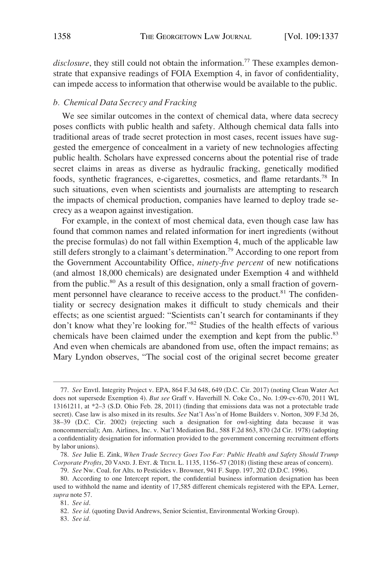<span id="page-21-0"></span>*disclosure*, they still could not obtain the information.<sup>77</sup> These examples demonstrate that expansive readings of FOIA Exemption 4, in favor of confidentiality, can impede access to information that otherwise would be available to the public.

#### *b. Chemical Data Secrecy and Fracking*

We see similar outcomes in the context of chemical data, where data secrecy poses conflicts with public health and safety. Although chemical data falls into traditional areas of trade secret protection in most cases, recent issues have suggested the emergence of concealment in a variety of new technologies affecting public health. Scholars have expressed concerns about the potential rise of trade secret claims in areas as diverse as hydraulic fracking, genetically modified foods, synthetic fragrances, e-cigarettes, cosmetics, and flame retardants.78 In such situations, even when scientists and journalists are attempting to research the impacts of chemical production, companies have learned to deploy trade secrecy as a weapon against investigation.

For example, in the context of most chemical data, even though case law has found that common names and related information for inert ingredients (without the precise formulas) do not fall within Exemption 4, much of the applicable law still defers strongly to a claimant's determination.<sup>79</sup> According to one report from the Government Accountability Office, *ninety-five percent* of new notifications (and almost 18,000 chemicals) are designated under Exemption 4 and withheld from the public.80 As a result of this designation, only a small fraction of government personnel have clearance to receive access to the product.<sup>81</sup> The confidentiality or secrecy designation makes it difficult to study chemicals and their effects; as one scientist argued: "Scientists can't search for contaminants if they don't know what they're looking for."82 Studies of the health effects of various chemicals have been claimed under the exemption and kept from the public.<sup>83</sup> And even when chemicals are abandoned from use, often the impact remains; as Mary Lyndon observes, "The social cost of the original secret become greater

<sup>77.</sup> *See* Envtl. Integrity Project v. EPA, 864 F.3d 648, 649 (D.C. Cir. 2017) (noting Clean Water Act does not supersede Exemption 4). *But see* Graff v. Haverhill N. Coke Co., No. 1:09-cv-670, 2011 WL 13161211, at \*2–3 (S.D. Ohio Feb. 28, 2011) (finding that emissions data was not a protectable trade secret). Case law is also mixed in its results. *See* Nat'l Ass'n of Home Builders v. Norton, 309 F.3d 26, 38–39 (D.C. Cir. 2002) (rejecting such a designation for owl-sighting data because it was noncommercial); Am. Airlines, Inc. v. Nat'l Mediation Bd., 588 F.2d 863, 870 (2d Cir. 1978) (adopting a confidentiality designation for information provided to the government concerning recruitment efforts by labor unions).

<sup>78.</sup> *See* Julie E. Zink, *When Trade Secrecy Goes Too Far: Public Health and Safety Should Trump Corporate Profits*, 20 VAND. J. ENT. & TECH. L. 1135, 1156–57 (2018) (listing these areas of concern).

<sup>79.</sup> *See* Nw. Coal. for Alts. to Pesticides v. Browner, 941 F. Supp. 197, 202 (D.D.C. 1996).

<sup>80.</sup> According to one Intercept report, the confidential business information designation has been used to withhold the name and identity of 17,585 different chemicals registered with the EPA. Lerner, *supra* note 57.

<sup>81.</sup> *See id*.

<sup>82.</sup> *See id.* (quoting David Andrews, Senior Scientist, Environmental Working Group).

<sup>83.</sup> *See id.*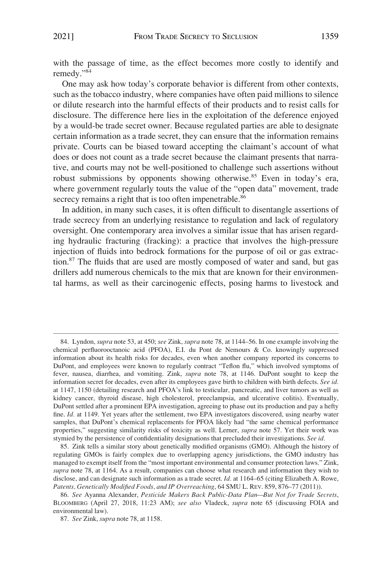with the passage of time, as the effect becomes more costly to identify and remedy."<sup>84</sup>

One may ask how today's corporate behavior is different from other contexts, such as the tobacco industry, where companies have often paid millions to silence or dilute research into the harmful effects of their products and to resist calls for disclosure. The difference here lies in the exploitation of the deference enjoyed by a would-be trade secret owner. Because regulated parties are able to designate certain information as a trade secret, they can ensure that the information remains private. Courts can be biased toward accepting the claimant's account of what does or does not count as a trade secret because the claimant presents that narrative, and courts may not be well-positioned to challenge such assertions without robust submissions by opponents showing otherwise.<sup>85</sup> Even in today's era, where government regularly touts the value of the "open data" movement, trade secrecy remains a right that is too often impenetrable.<sup>86</sup>

In addition, in many such cases, it is often difficult to disentangle assertions of trade secrecy from an underlying resistance to regulation and lack of regulatory oversight. One contemporary area involves a similar issue that has arisen regarding hydraulic fracturing (fracking): a practice that involves the high-pressure injection of fluids into bedrock formations for the purpose of oil or gas extraction.87 The fluids that are used are mostly composed of water and sand, but gas drillers add numerous chemicals to the mix that are known for their environmental harms, as well as their carcinogenic effects, posing harms to livestock and

<sup>84.</sup> Lyndon, *supra* note 53, at 450; *see* Zink, *supra* note 78, at 1144–56. In one example involving the chemical perfluorooctanoic acid (PFOA), E.I. du Pont de Nemours & Co. knowingly suppressed information about its health risks for decades, even when another company reported its concerns to DuPont, and employees were known to regularly contract "Teflon flu," which involved symptoms of fever, nausea, diarrhea, and vomiting. Zink, *supra* note 78, at 1146. DuPont sought to keep the information secret for decades, even after its employees gave birth to children with birth defects. *See id.*  at 1147, 1150 (detailing research and PFOA's link to testicular, pancreatic, and liver tumors as well as kidney cancer, thyroid disease, high cholesterol, preeclampsia, and ulcerative colitis). Eventually, DuPont settled after a prominent EPA investigation, agreeing to phase out its production and pay a hefty fine. *Id.* at 1149. Yet years after the settlement, two EPA investigators discovered, using nearby water samples, that DuPont's chemical replacements for PFOA likely had "the same chemical performance properties," suggesting similarity risks of toxicity as well. Lerner, *supra* note 57. Yet their work was stymied by the persistence of confidentiality designations that precluded their investigations. *See id.* 

<sup>85.</sup> Zink tells a similar story about genetically modified organisms (GMO). Although the history of regulating GMOs is fairly complex due to overlapping agency jurisdictions, the GMO industry has managed to exempt itself from the "most important environmental and consumer protection laws." Zink, *supra* note 78, at 1164. As a result, companies can choose what research and information they wish to disclose, and can designate such information as a trade secret. *Id.* at 1164–65 (citing Elizabeth A. Rowe, *Patents, Genetically Modified Foods, and IP Overreaching*, 64 SMU L. REV. 859, 876–77 (2011)).

<sup>86.</sup> *See* Ayanna Alexander, *Pesticide Makers Back Public-Data Plan—But Not for Trade Secrets*, BLOOMBERG (April 27, 2018, 11:23 AM); *see also* Vladeck, *supra* note 65 (discussing FOIA and environmental law).

<sup>87.</sup> *See* Zink, *supra* note 78, at 1158.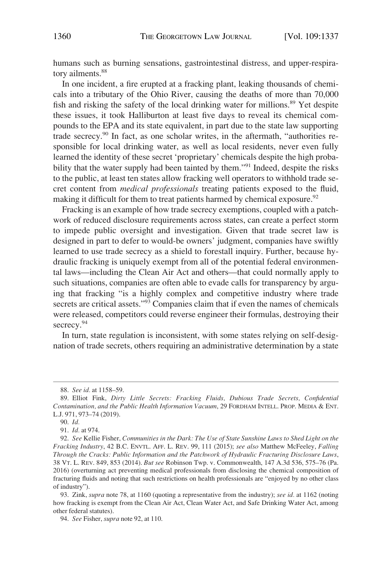humans such as burning sensations, gastrointestinal distress, and upper-respiratory ailments.<sup>88</sup>

In one incident, a fire erupted at a fracking plant, leaking thousands of chemicals into a tributary of the Ohio River, causing the deaths of more than 70,000 fish and risking the safety of the local drinking water for millions.<sup>89</sup> Yet despite these issues, it took Halliburton at least five days to reveal its chemical compounds to the EPA and its state equivalent, in part due to the state law supporting trade secrecy.90 In fact, as one scholar writes, in the aftermath, "authorities responsible for local drinking water, as well as local residents, never even fully learned the identity of these secret 'proprietary' chemicals despite the high probability that the water supply had been tainted by them."<sup>91</sup> Indeed, despite the risks to the public, at least ten states allow fracking well operators to withhold trade secret content from *medical professionals* treating patients exposed to the fluid, making it difficult for them to treat patients harmed by chemical exposure.<sup>92</sup>

Fracking is an example of how trade secrecy exemptions, coupled with a patchwork of reduced disclosure requirements across states, can create a perfect storm to impede public oversight and investigation. Given that trade secret law is designed in part to defer to would-be owners' judgment, companies have swiftly learned to use trade secrecy as a shield to forestall inquiry. Further, because hydraulic fracking is uniquely exempt from all of the potential federal environmental laws—including the Clean Air Act and others—that could normally apply to such situations, companies are often able to evade calls for transparency by arguing that fracking "is a highly complex and competitive industry where trade secrets are critical assets."<sup>93</sup> Companies claim that if even the names of chemicals were released, competitors could reverse engineer their formulas, destroying their secrecy.<sup>94</sup>

In turn, state regulation is inconsistent, with some states relying on self-designation of trade secrets, others requiring an administrative determination by a state

<sup>88.</sup> *See id.* at 1158–59.

<sup>89.</sup> Elliot Fink, *Dirty Little Secrets: Fracking Fluids, Dubious Trade Secrets, Confidential Contamination, and the Public Health Information Vacuum*, 29 FORDHAM INTELL. PROP. MEDIA & ENT. L.J. 971, 973–74 (2019).

<sup>90.</sup> *Id.* 

<sup>91.</sup> *Id.* at 974.

<sup>92.</sup> *See* Kellie Fisher, *Communities in the Dark: The Use of State Sunshine Laws to Shed Light on the Fracking Industry*, 42 B.C. ENVTL. AFF. L. REV. 99, 111 (2015); *see also* Matthew McFeeley, *Falling Through the Cracks: Public Information and the Patchwork of Hydraulic Fracturing Disclosure Laws*, 38 VT. L. REV. 849, 853 (2014). *But see* Robinson Twp. v. Commonwealth, 147 A.3d 536, 575–76 (Pa. 2016) (overturning act preventing medical professionals from disclosing the chemical composition of fracturing fluids and noting that such restrictions on health professionals are "enjoyed by no other class of industry").

<sup>93.</sup> Zink, *supra* note 78, at 1160 (quoting a representative from the industry); *see id.* at 1162 (noting how fracking is exempt from the Clean Air Act, Clean Water Act, and Safe Drinking Water Act, among other federal statutes).

<sup>94.</sup> *See* Fisher, *supra* note 92, at 110.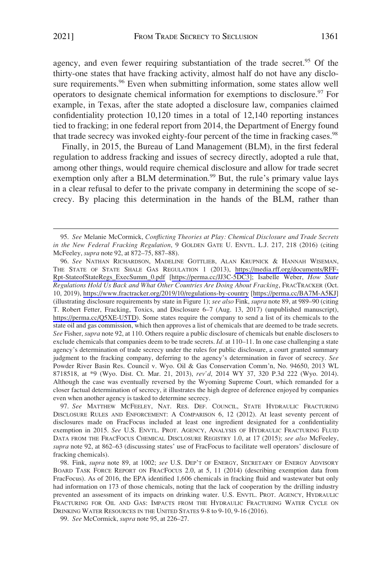agency, and even fewer requiring substantiation of the trade secret.<sup>95</sup> Of the thirty-one states that have fracking activity, almost half do not have any disclosure requirements.<sup>96</sup> Even when submitting information, some states allow well operators to designate chemical information for exemptions to disclosure.<sup>97</sup> For example, in Texas, after the state adopted a disclosure law, companies claimed confidentiality protection 10,120 times in a total of 12,140 reporting instances tied to fracking; in one federal report from 2014, the Department of Energy found that trade secrecy was invoked eighty-four percent of the time in fracking cases.<sup>98</sup>

Finally, in 2015, the Bureau of Land Management (BLM), in the first federal regulation to address fracking and issues of secrecy directly, adopted a rule that, among other things, would require chemical disclosure and allow for trade secret exemption only after a BLM determination.<sup>99</sup> But, the rule's primary value lays in a clear refusal to defer to the private company in determining the scope of secrecy. By placing this determination in the hands of the BLM, rather than

<sup>95.</sup> *See* Melanie McCormick, *Conflicting Theories at Play: Chemical Disclosure and Trade Secrets in the New Federal Fracking Regulation*, 9 GOLDEN GATE U. ENVTL. L.J. 217, 218 (2016) (citing McFeeley, *supra* note 92, at 872–75, 887–88).

*See* NATHAN RICHARDSON, MADELINE GOTTLIEB, ALAN KRUPNICK & HANNAH WISEMAN, 96. THE STATE OF STATE SHALE GAS REGULATION 1 (2013), [https://media.rff.org/documents/RFF-](https://media.rff.org/documents/RFF-Rpt-StateofStateRegs_ExecSumm_0.pdf)[Rpt-StateofStateRegs\\_ExecSumm\\_0.pdf](https://media.rff.org/documents/RFF-Rpt-StateofStateRegs_ExecSumm_0.pdf) [[https://perma.cc/JJ3C-5DC3\]](https://perma.cc/JJ3C-5DC3); Isabelle Weber, *How State Regulations Hold Us Back and What Other Countries Are Doing About Fracking*, FRACTRACKER (Oct. 10, 2019),<https://www.fractracker.org/2019/10/regulations-by-country>[<https://perma.cc/BA7M-A5KJ>] (illustrating disclosure requirements by state in Figure 1); *see also* Fink, *supra* note 89, at 989–90 (citing T. Robert Fetter, Fracking, Toxics, and Disclosure 6–7 (Aug. 13, 2017) (unpublished manuscript), <https://perma.cc/Q5XE-U5TD>). Some states require the company to send a list of its chemicals to the state oil and gas commission, which then approves a list of chemicals that are deemed to be trade secrets. *See* Fisher, *supra* note 92, at 110. Others require a public disclosure of chemicals but enable disclosers to exclude chemicals that companies deem to be trade secrets. *Id.* at 110–11. In one case challenging a state agency's determination of trade secrecy under the rules for public disclosure, a court granted summary judgment to the fracking company, deferring to the agency's determination in favor of secrecy. *See*  Powder River Basin Res. Council v. Wyo. Oil & Gas Conservation Comm'n, No. 94650, 2013 WL 8718518, at \*9 (Wyo. Dist. Ct. Mar. 21, 2013), *rev'd*, 2014 WY 37, 320 P.3d 222 (Wyo. 2014). Although the case was eventually reversed by the Wyoming Supreme Court, which remanded for a closer factual determination of secrecy, it illustrates the high degree of deference enjoyed by companies even when another agency is tasked to determine secrecy.

<sup>97.</sup> *See* MATTHEW MCFEELEY, NAT. RES. DEF. COUNCIL, STATE HYDRAULIC FRACTURING DISCLOSURE RULES AND ENFORCEMENT: A COMPARISON 6, 12 (2012). At least seventy percent of disclosures made on FracFocus included at least one ingredient designated for a confidentiality exemption in 2015. *See* U.S. ENVTL. PROT. AGENCY, ANALYSIS OF HYDRAULIC FRACTURING FLUID DATA FROM THE FRACFOCUS CHEMICAL DISCLOSURE REGISTRY 1.0, at 17 (2015); *see also* McFeeley, *supra* note 92, at 862–63 (discussing states' use of FracFocus to facilitate well operators' disclosure of fracking chemicals).

<sup>98.</sup> Fink, *supra* note 89, at 1002; *see* U.S. DEP'T OF ENERGY, SECRETARY OF ENERGY ADVISORY BOARD TASK FORCE REPORT ON FRACFOCUS 2.0, at 5, 11 (2014) (describing exemption data from FracFocus). As of 2016, the EPA identified 1,606 chemicals in fracking fluid and wastewater but only had information on 173 of those chemicals, noting that the lack of cooperation by the drilling industry prevented an assessment of its impacts on drinking water. U.S. ENVTL. PROT. AGENCY, HYDRAULIC FRACTURING FOR OIL AND GAS: IMPACTS FROM THE HYDRAULIC FRACTURING WATER CYCLE ON DRINKING WATER RESOURCES IN THE UNITED STATES 9-8 to 9-10, 9-16 (2016).

<sup>99.</sup> *See* McCormick, *supra* note 95, at 226–27.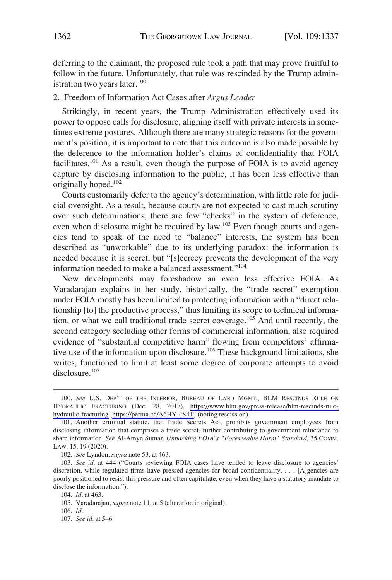<span id="page-25-0"></span>deferring to the claimant, the proposed rule took a path that may prove fruitful to follow in the future. Unfortunately, that rule was rescinded by the Trump administration two years later.<sup>100</sup>

## 2. Freedom of Information Act Cases after *Argus Leader*

Strikingly, in recent years, the Trump Administration effectively used its power to oppose calls for disclosure, aligning itself with private interests in sometimes extreme postures. Although there are many strategic reasons for the government's position, it is important to note that this outcome is also made possible by the deference to the information holder's claims of confidentiality that FOIA facilitates.101 As a result, even though the purpose of FOIA is to avoid agency capture by disclosing information to the public, it has been less effective than originally hoped.102

Courts customarily defer to the agency's determination, with little role for judicial oversight. As a result, because courts are not expected to cast much scrutiny over such determinations, there are few "checks" in the system of deference, even when disclosure might be required by law.<sup>103</sup> Even though courts and agencies tend to speak of the need to "balance" interests, the system has been described as "unworkable" due to its underlying paradox: the information is needed because it is secret, but "[s]ecrecy prevents the development of the very information needed to make a balanced assessment."104

New developments may foreshadow an even less effective FOIA. As Varadarajan explains in her study, historically, the "trade secret" exemption under FOIA mostly has been limited to protecting information with a "direct relationship [to] the productive process," thus limiting its scope to technical information, or what we call traditional trade secret coverage.105 And until recently, the second category secluding other forms of commercial information, also required evidence of "substantial competitive harm" flowing from competitors' affirmative use of the information upon disclosure.<sup>106</sup> These background limitations, she writes, functioned to limit at least some degree of corporate attempts to avoid disclosure.<sup>107</sup>

<sup>100.</sup> See U.S. DEP'T OF THE INTERIOR, BUREAU OF LAND MGMT., BLM RESCINDS RULE ON HYDRAULIC FRACTURING (Dec. 28, 2017), [https://www.blm.gov/press-release/blm-rescinds-rule](https://www.blm.gov/press-release/blm-rescinds-rule-hydraulic-fracturing)[hydraulic-fracturing](https://www.blm.gov/press-release/blm-rescinds-rule-hydraulic-fracturing) [\[https://perma.cc/A6HY-4S4T](https://perma.cc/A6HY-4S4T)] (noting rescission).

<sup>101.</sup> Another criminal statute, the Trade Secrets Act, prohibits government employees from disclosing information that comprises a trade secret, further contributing to government reluctance to share information. *See* Al-Amyn Sumar, *Unpacking FOIA's "Foreseeable Harm" Standard*, 35 COMM. LAW. 15, 19 (2020).

<sup>102.</sup> *See* Lyndon, *supra* note 53, at 463.

<sup>103.</sup> *See id.* at 444 ("Courts reviewing FOIA cases have tended to leave disclosure to agencies' discretion, while regulated firms have pressed agencies for broad confidentiality. . . . [A]gencies are poorly positioned to resist this pressure and often capitulate, even when they have a statutory mandate to disclose the information.").

<sup>104.</sup> *Id.* at 463.

<sup>105.</sup> Varadarajan, *supra* note 11, at 5 (alteration in original).

<sup>106.</sup> *Id.* 

<sup>107.</sup> *See id.* at 5–6.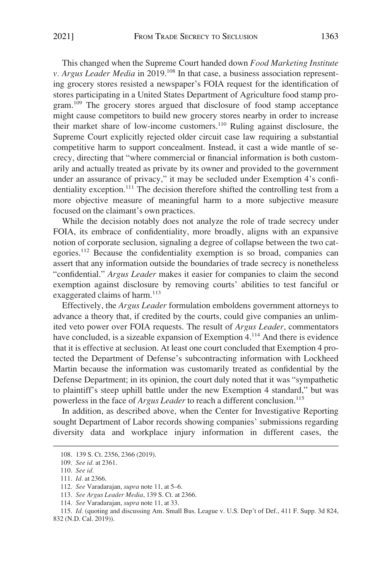This changed when the Supreme Court handed down *Food Marketing Institute v. Argus Leader Media* in 2019.<sup>108</sup> In that case, a business association representing grocery stores resisted a newspaper's FOIA request for the identification of stores participating in a United States Department of Agriculture food stamp program.<sup>109</sup> The grocery stores argued that disclosure of food stamp acceptance might cause competitors to build new grocery stores nearby in order to increase their market share of low-income customers.110 Ruling against disclosure, the Supreme Court explicitly rejected older circuit case law requiring a substantial competitive harm to support concealment. Instead, it cast a wide mantle of secrecy, directing that "where commercial or financial information is both customarily and actually treated as private by its owner and provided to the government under an assurance of privacy," it may be secluded under Exemption 4's confidentiality exception.111 The decision therefore shifted the controlling test from a more objective measure of meaningful harm to a more subjective measure focused on the claimant's own practices.

While the decision notably does not analyze the role of trade secrecy under FOIA, its embrace of confidentiality, more broadly, aligns with an expansive notion of corporate seclusion, signaling a degree of collapse between the two categories.112 Because the confidentiality exemption is so broad, companies can assert that any information outside the boundaries of trade secrecy is nonetheless "confidential." *Argus Leader* makes it easier for companies to claim the second exemption against disclosure by removing courts' abilities to test fanciful or exaggerated claims of harm. $113$ 

Effectively, the *Argus Leader* formulation emboldens government attorneys to advance a theory that, if credited by the courts, could give companies an unlimited veto power over FOIA requests. The result of *Argus Leader*, commentators have concluded, is a sizeable expansion of Exemption 4.<sup>114</sup> And there is evidence that it is effective at seclusion. At least one court concluded that Exemption 4 protected the Department of Defense's subcontracting information with Lockheed Martin because the information was customarily treated as confidential by the Defense Department; in its opinion, the court duly noted that it was "sympathetic to plaintiff's steep uphill battle under the new Exemption 4 standard," but was powerless in the face of *Argus Leader* to reach a different conclusion.<sup>115</sup>

In addition, as described above, when the Center for Investigative Reporting sought Department of Labor records showing companies' submissions regarding diversity data and workplace injury information in different cases, the

<sup>108. 139</sup> S. Ct. 2356, 2366 (2019).

<sup>109.</sup> *See id.* at 2361.

<sup>110.</sup> *See id.* 

<sup>111.</sup> *Id.* at 2366.

<sup>112.</sup> *See* Varadarajan, *supra* note 11, at 5–6.

<sup>113.</sup> *See Argus Leader Media*, 139 S. Ct. at 2366.

<sup>114.</sup> *See* Varadarajan, *supra* note 11, at 33.

<sup>115.</sup> *Id.* (quoting and discussing Am. Small Bus. League v. U.S. Dep't of Def., 411 F. Supp. 3d 824, 832 (N.D. Cal. 2019)).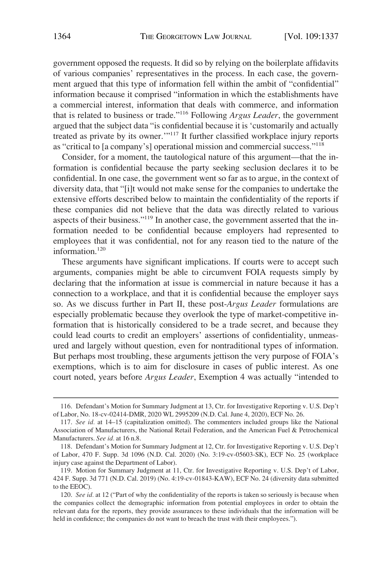government opposed the requests. It did so by relying on the boilerplate affidavits of various companies' representatives in the process. In each case, the government argued that this type of information fell within the ambit of "confidential" information because it comprised "information in which the establishments have a commercial interest, information that deals with commerce, and information that is related to business or trade."116 Following *Argus Leader*, the government argued that the subject data "is confidential because it is 'customarily and actually treated as private by its owner.'"117 It further classified workplace injury reports as "critical to [a company's] operational mission and commercial success."<sup>118</sup>

Consider, for a moment, the tautological nature of this argument—that the information is confidential because the party seeking seclusion declares it to be confidential. In one case, the government went so far as to argue, in the context of diversity data, that "[i]t would not make sense for the companies to undertake the extensive efforts described below to maintain the confidentiality of the reports if these companies did not believe that the data was directly related to various aspects of their business."119 In another case, the government asserted that the information needed to be confidential because employers had represented to employees that it was confidential, not for any reason tied to the nature of the information.<sup>120</sup>

These arguments have significant implications. If courts were to accept such arguments, companies might be able to circumvent FOIA requests simply by declaring that the information at issue is commercial in nature because it has a connection to a workplace, and that it is confidential because the employer says so. As we discuss further in Part II, these post-*Argus Leader* formulations are especially problematic because they overlook the type of market-competitive information that is historically considered to be a trade secret, and because they could lead courts to credit an employers' assertions of confidentiality, unmeasured and largely without question, even for nontraditional types of information. But perhaps most troubling, these arguments jettison the very purpose of FOIA's exemptions, which is to aim for disclosure in cases of public interest. As one court noted, years before *Argus Leader*, Exemption 4 was actually "intended to

<sup>116.</sup> Defendant's Motion for Summary Judgment at 13, Ctr. for Investigative Reporting v. U.S. Dep't of Labor, No. 18-cv-02414-DMR, 2020 WL 2995209 (N.D. Cal. June 4, 2020), ECF No. 26.

<sup>117.</sup> *See id.* at 14–15 (capitalization omitted). The commenters included groups like the National Association of Manufacturers, the National Retail Federation, and the American Fuel & Petrochemical Manufacturers. *See id.* at 16 n.8.

<sup>118.</sup> Defendant's Motion for Summary Judgment at 12, Ctr. for Investigative Reporting v. U.S. Dep't of Labor, 470 F. Supp. 3d 1096 (N.D. Cal. 2020) (No. 3:19-cv-05603-SK), ECF No. 25 (workplace injury case against the Department of Labor).

<sup>119.</sup> Motion for Summary Judgment at 11, Ctr. for Investigative Reporting v. U.S. Dep't of Labor, 424 F. Supp. 3d 771 (N.D. Cal. 2019) (No. 4:19-cv-01843-KAW), ECF No. 24 (diversity data submitted to the EEOC).

<sup>120.</sup> *See id.* at 12 ("Part of why the confidentiality of the reports is taken so seriously is because when the companies collect the demographic information from potential employees in order to obtain the relevant data for the reports, they provide assurances to these individuals that the information will be held in confidence; the companies do not want to breach the trust with their employees.").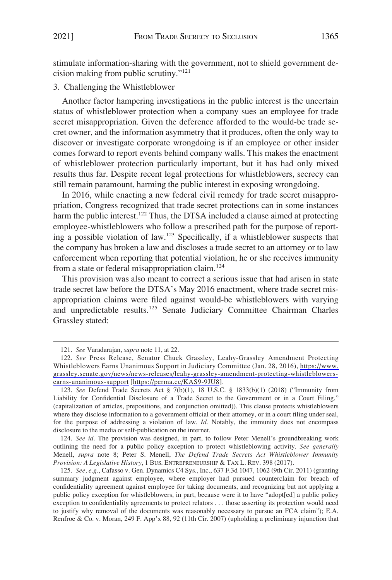<span id="page-28-0"></span>stimulate information-sharing with the government, not to shield government decision making from public scrutiny."<sup>121</sup>

#### 3. Challenging the Whistleblower

Another factor hampering investigations in the public interest is the uncertain status of whistleblower protection when a company sues an employee for trade secret misappropriation. Given the deference afforded to the would-be trade secret owner, and the information asymmetry that it produces, often the only way to discover or investigate corporate wrongdoing is if an employee or other insider comes forward to report events behind company walls. This makes the enactment of whistleblower protection particularly important, but it has had only mixed results thus far. Despite recent legal protections for whistleblowers, secrecy can still remain paramount, harming the public interest in exposing wrongdoing.

In 2016, while enacting a new federal civil remedy for trade secret misappropriation, Congress recognized that trade secret protections can in some instances harm the public interest.<sup>122</sup> Thus, the DTSA included a clause aimed at protecting employee-whistleblowers who follow a prescribed path for the purpose of reporting a possible violation of law.123 Specifically, if a whistleblower suspects that the company has broken a law and discloses a trade secret to an attorney or to law enforcement when reporting that potential violation, he or she receives immunity from a state or federal misappropriation claim.<sup>124</sup>

This provision was also meant to correct a serious issue that had arisen in state trade secret law before the DTSA's May 2016 enactment, where trade secret misappropriation claims were filed against would-be whistleblowers with varying and unpredictable results.125 Senate Judiciary Committee Chairman Charles Grassley stated:

124. *See id.* The provision was designed, in part, to follow Peter Menell's groundbreaking work outlining the need for a public policy exception to protect whistleblowing activity. *See generally*  Menell, *supra* note 8; Peter S. Menell, *The Defend Trade Secrets Act Whistleblower Immunity Provision: A Legislative History*, 1 BUS. ENTREPRENEURSHIP & TAX L. REV. 398 (2017).

125. *See, e.g.*, Cafasso v. Gen. Dynamics C4 Sys., Inc., 637 F.3d 1047, 1062 (9th Cir. 2011) (granting summary judgment against employee, where employer had pursued counterclaim for breach of confidentiality agreement against employee for taking documents, and recognizing but not applying a public policy exception for whistleblowers, in part, because were it to have "adopt[ed] a public policy exception to confidentiality agreements to protect relators . . . those asserting its protection would need to justify why removal of the documents was reasonably necessary to pursue an FCA claim"); E.A. Renfroe & Co. v. Moran, 249 F. App'x 88, 92 (11th Cir. 2007) (upholding a preliminary injunction that

<sup>121.</sup> *See* Varadarajan, *supra* note 11, at 22.

<sup>122.</sup> See Press Release, Senator Chuck Grassley, Leahy-Grassley Amendment Protecting Whistleblowers Earns Unanimous Support in Judiciary Committee (Jan. 28, 2016), [https://www.](https://www.grassley.senate.gov/news/news-releases/leahy-grassley-amendment-protecting-whistleblowers-earns-unanimous-support) [grassley.senate.gov/news/news-releases/leahy-grassley-amendment-protecting-whistleblowers](https://www.grassley.senate.gov/news/news-releases/leahy-grassley-amendment-protecting-whistleblowers-earns-unanimous-support)[earns-unanimous-support](https://www.grassley.senate.gov/news/news-releases/leahy-grassley-amendment-protecting-whistleblowers-earns-unanimous-support) [<https://perma.cc/KAS9-9JU8>].

<sup>123.</sup> *See* Defend Trade Secrets Act § 7(b)(1), 18 U.S.C. § 1833(b)(1) (2018) ("Immunity from Liability for Confidential Disclosure of a Trade Secret to the Government or in a Court Filing." (capitalization of articles, prepositions, and conjunction omitted)). This clause protects whistleblowers where they disclose information to a government official or their attorney, or in a court filing under seal, for the purpose of addressing a violation of law. *Id.* Notably, the immunity does not encompass disclosure to the media or self-publication on the internet.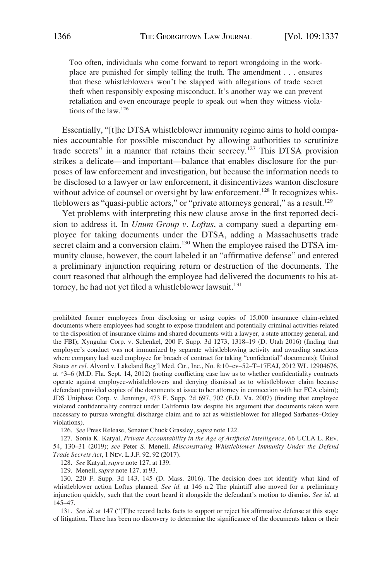Too often, individuals who come forward to report wrongdoing in the workplace are punished for simply telling the truth. The amendment . . . ensures that these whistleblowers won't be slapped with allegations of trade secret theft when responsibly exposing misconduct. It's another way we can prevent retaliation and even encourage people to speak out when they witness violations of the law.<sup>126</sup>

Essentially, "[t]he DTSA whistleblower immunity regime aims to hold companies accountable for possible misconduct by allowing authorities to scrutinize trade secrets" in a manner that retains their secrecy.<sup>127</sup> This DTSA provision strikes a delicate—and important—balance that enables disclosure for the purposes of law enforcement and investigation, but because the information needs to be disclosed to a lawyer or law enforcement, it disincentivizes wanton disclosure without advice of counsel or oversight by law enforcement.<sup>128</sup> It recognizes whistleblowers as "quasi-public actors," or "private attorneys general," as a result.<sup>129</sup>

Yet problems with interpreting this new clause arose in the first reported decision to address it. In *Unum Group v. Loftus*, a company sued a departing employee for taking documents under the DTSA, adding a Massachusetts trade secret claim and a conversion claim.<sup>130</sup> When the employee raised the DTSA immunity clause, however, the court labeled it an "affirmative defense" and entered a preliminary injunction requiring return or destruction of the documents. The court reasoned that although the employee had delivered the documents to his attorney, he had not yet filed a whistleblower lawsuit.<sup>131</sup>

prohibited former employees from disclosing or using copies of 15,000 insurance claim-related documents where employees had sought to expose fraudulent and potentially criminal activities related to the disposition of insurance claims and shared documents with a lawyer, a state attorney general, and the FBI); Xyngular Corp. v. Schenkel, 200 F. Supp. 3d 1273, 1318–19 (D. Utah 2016) (finding that employee's conduct was not immunized by separate whistleblowing activity and awarding sanctions where company had sued employee for breach of contract for taking "confidential" documents); United States *ex rel.* Alvord v. Lakeland Reg'l Med. Ctr., Inc., No. 8:10–cv–52–T–17EAJ, 2012 WL 12904676, at \*3–6 (M.D. Fla. Sept. 14, 2012) (noting conflicting case law as to whether confidentiality contracts operate against employee-whistleblowers and denying dismissal as to whistleblower claim because defendant provided copies of the documents at issue to her attorney in connection with her FCA claim); JDS Uniphase Corp. v. Jennings, 473 F. Supp. 2d 697, 702 (E.D. Va. 2007) (finding that employee violated confidentiality contract under California law despite his argument that documents taken were necessary to pursue wrongful discharge claim and to act as whistleblower for alleged Sarbanes–Oxley violations).

<sup>126.</sup> *See* Press Release, Senator Chuck Grassley, *supra* note 122.

<sup>127.</sup> Sonia K. Katyal, *Private Accountability in the Age of Artificial Intelligence*, 66 UCLA L. REV. 54, 130–31 (2019); *see* Peter S. Menell, *Misconstruing Whistleblower Immunity Under the Defend Trade Secrets Act*, 1 NEV. L.J.F. 92, 92 (2017).

<sup>128.</sup> *See* Katyal, *supra* note 127, at 139.

<sup>129.</sup> Menell, *supra* note 127, at 93.

<sup>130. 220</sup> F. Supp. 3d 143, 145 (D. Mass. 2016). The decision does not identify what kind of whistleblower action Loftus planned. *See id.* at 146 n.2 The plaintiff also moved for a preliminary injunction quickly, such that the court heard it alongside the defendant's motion to dismiss. *See id.* at 145–47.

<sup>131.</sup> *See id.* at 147 ("[T]he record lacks facts to support or reject his affirmative defense at this stage of litigation. There has been no discovery to determine the significance of the documents taken or their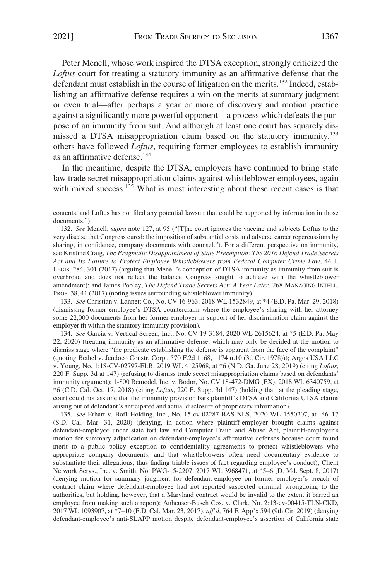Peter Menell, whose work inspired the DTSA exception, strongly criticized the *Loftus* court for treating a statutory immunity as an affirmative defense that the defendant must establish in the course of litigation on the merits.<sup>132</sup> Indeed, establishing an affirmative defense requires a win on the merits at summary judgment or even trial—after perhaps a year or more of discovery and motion practice against a significantly more powerful opponent—a process which defeats the purpose of an immunity from suit. And although at least one court has squarely dismissed a DTSA misappropriation claim based on the statutory immunity,<sup>133</sup> others have followed *Loftus*, requiring former employees to establish immunity as an affirmative defense.<sup>134</sup>

In the meantime, despite the DTSA, employers have continued to bring state law trade secret misappropriation claims against whistleblower employees, again with mixed success.<sup>135</sup> What is most interesting about these recent cases is that

133. *See* Christian v. Lannett Co., No. CV 16-963, 2018 WL 1532849, at \*4 (E.D. Pa. Mar. 29, 2018) (dismissing former employee's DTSA counterclaim where the employee's sharing with her attorney some 22,000 documents from her former employer in support of her discrimination claim against the employer fit within the statutory immunity provision).

134. *See* Garcia v. Vertical Screen, Inc., No. CV 19-3184, 2020 WL 2615624, at \*5 (E.D. Pa. May 22, 2020) (treating immunity as an affirmative defense, which may only be decided at the motion to dismiss stage where "the predicate establishing the defense is apparent from the face of the complaint" (quoting Bethel v. Jendoco Constr. Corp., 570 F.2d 1168, 1174 n.10 (3d Cir. 1978))); Argos USA LLC v. Young, No. 1:18-CV-02797-ELR, 2019 WL 4125968, at \*6 (N.D. Ga. June 28, 2019) (citing *Loftus*, 220 F. Supp. 3d at 147) (refusing to dismiss trade secret misappropriation claims based on defendants' immunity argument); 1-800 Remodel, Inc. v. Bodor, No. CV 18-472-DMG (EX), 2018 WL 6340759, at \*6 (C.D. Cal. Oct. 17, 2018) (citing *Loftus*, 220 F. Supp. 3d 147) (holding that, at the pleading stage, court could not assume that the immunity provision bars plaintiff's DTSA and California UTSA claims arising out of defendant's anticipated and actual disclosure of proprietary information).

135. *See* Erhart v. BofI Holding, Inc., No. 15-cv-02287-BAS-NLS, 2020 WL 1550207, at \*6–17 (S.D. Cal. Mar. 31, 2020) (denying, in action where plaintiff-employer brought claims against defendant-employee under state tort law and Computer Fraud and Abuse Act, plaintiff-employer's motion for summary adjudication on defendant-employee's affirmative defenses because court found merit to a public policy exception to confidentiality agreements to protect whistleblowers who appropriate company documents, and that whistleblowers often need documentary evidence to substantiate their allegations, thus finding triable issues of fact regarding employee's conduct); Client Network Servs., Inc. v. Smith, No. PWG-15-2207, 2017 WL 3968471, at \*5–6 (D. Md. Sept. 8, 2017) (denying motion for summary judgment for defendant-employee on former employer's breach of contract claim where defendant-employee had not reported suspected criminal wrongdoing to the authorities, but holding, however, that a Maryland contract would be invalid to the extent it barred an employee from making such a report); Anheuser-Busch Cos. v. Clark, No. 2:13-cv-00415-TLN-CKD, 2017 WL 1093907, at \*7–10 (E.D. Cal. Mar. 23, 2017), *aff'd*, 764 F. App'x 594 (9th Cir. 2019) (denying defendant-employee's anti-SLAPP motion despite defendant-employee's assertion of California state

contents, and Loftus has not filed any potential lawsuit that could be supported by information in those documents.").

<sup>132.</sup> *See* Menell, *supra* note 127, at 95 ("[T]he court ignores the vaccine and subjects Loftus to the very disease that Congress cured: the imposition of substantial costs and adverse career repercussions by sharing, in confidence, company documents with counsel."). For a different perspective on immunity, see Kristine Craig, *The Pragmatic Disappointment of State Preemption: The 2016 Defend Trade Secrets Act and Its Failure to Protect Employee Whistleblowers from Federal Computer Crime Law*, 44 J. LEGIS. 284, 301 (2017) (arguing that Menell's conception of DTSA immunity as immunity from suit is overbroad and does not reflect the balance Congress sought to achieve with the whistleblower amendment); and James Pooley, *The Defend Trade Secrets Act: A Year Later*, 268 MANAGING INTELL. PROP. 38, 41 (2017) (noting issues surrounding whistleblower immunity).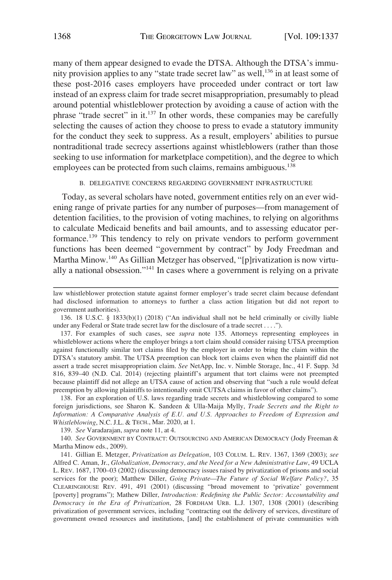<span id="page-31-0"></span>many of them appear designed to evade the DTSA. Although the DTSA's immunity provision applies to any "state trade secret law" as well,<sup>136</sup> in at least some of these post-2016 cases employers have proceeded under contract or tort law instead of an express claim for trade secret misappropriation, presumably to plead around potential whistleblower protection by avoiding a cause of action with the phrase "trade secret" in it.137 In other words, these companies may be carefully selecting the causes of action they choose to press to evade a statutory immunity for the conduct they seek to suppress. As a result, employers' abilities to pursue nontraditional trade secrecy assertions against whistleblowers (rather than those seeking to use information for marketplace competition), and the degree to which employees can be protected from such claims, remains ambiguous.<sup>138</sup>

## B. DELEGATIVE CONCERNS REGARDING GOVERNMENT INFRASTRUCTURE

Today, as several scholars have noted, government entities rely on an ever widening range of private parties for any number of purposes—from management of detention facilities, to the provision of voting machines, to relying on algorithms to calculate Medicaid benefits and bail amounts, and to assessing educator performance.139 This tendency to rely on private vendors to perform government functions has been deemed "government by contract" by Jody Freedman and Martha Minow.<sup>140</sup> As Gillian Metzger has observed, "[p]rivatization is now virtually a national obsession."141 In cases where a government is relying on a private

138. For an exploration of U.S. laws regarding trade secrets and whistleblowing compared to some foreign jurisdictions, see Sharon K. Sandeen & Ulla-Maija Mylly, *Trade Secrets and the Right to Information: A Comparative Analysis of E.U. and U.S. Approaches to Freedom of Expression and Whistleblowing*, N.C. J.L. & TECH., Mar. 2020, at 1.

139. *See* Varadarajan, *supra* note 11, at 4.

140. *See* GOVERNMENT BY CONTRACT: OUTSOURCING AND AMERICAN DEMOCRACY (Jody Freeman & Martha Minow eds., 2009).

141. Gillian E. Metzger, *Privatization as Delegation*, 103 COLUM. L. REV. 1367, 1369 (2003); *see*  Alfred C. Aman, Jr., *Globalization, Democracy, and the Need for a New Administrative Law*, 49 UCLA L. REV. 1687, 1700–03 (2002) (discussing democracy issues raised by privatization of prisons and social services for the poor); Matthew Diller, *Going Private—The Future of Social Welfare Policy?*, 35 CLEARINGHOUSE REV. 491, 491 (2001) (discussing "broad movement to 'privatize' government [poverty] programs"); Mathew Diller, *Introduction: Redefining the Public Sector: Accountability and Democracy in the Era of Privatization*, 28 FORDHAM URB. L.J. 1307, 1308 (2001) (describing privatization of government services, including "contracting out the delivery of services, divestiture of government owned resources and institutions, [and] the establishment of private communities with

law whistleblower protection statute against former employer's trade secret claim because defendant had disclosed information to attorneys to further a class action litigation but did not report to government authorities).

<sup>136. 18</sup> U.S.C. § 1833(b)(1) (2018) ("An individual shall not be held criminally or civilly liable under any Federal or State trade secret law for the disclosure of a trade secret . . . .").

<sup>137.</sup> For examples of such cases, see *supra* note 135. Attorneys representing employees in whistleblower actions where the employer brings a tort claim should consider raising UTSA preemption against functionally similar tort claims filed by the employer in order to bring the claim within the DTSA's statutory ambit. The UTSA preemption can block tort claims even when the plaintiff did not assert a trade secret misappropriation claim. *See* NetApp, Inc. v. Nimble Storage, Inc., 41 F. Supp. 3d 816, 839–40 (N.D. Cal. 2014) (rejecting plaintiff's argument that tort claims were not preempted because plaintiff did not allege an UTSA cause of action and observing that "such a rule would defeat preemption by allowing plaintiffs to intentionally omit CUTSA claims in favor of other claims").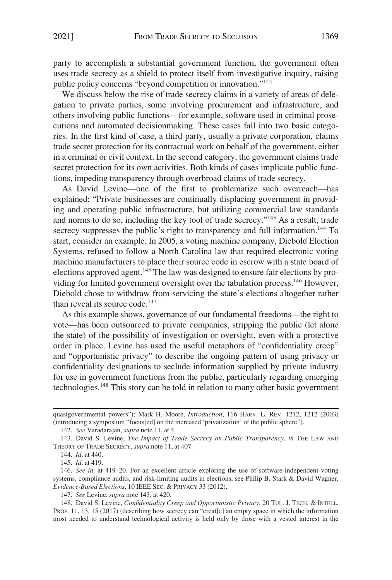party to accomplish a substantial government function, the government often uses trade secrecy as a shield to protect itself from investigative inquiry, raising public policy concerns "beyond competition or innovation."142

We discuss below the rise of trade secrecy claims in a variety of areas of delegation to private parties, some involving procurement and infrastructure, and others involving public functions—for example, software used in criminal prosecutions and automated decisionmaking. These cases fall into two basic categories. In the first kind of case, a third party, usually a private corporation, claims trade secret protection for its contractual work on behalf of the government, either in a criminal or civil context. In the second category, the government claims trade secret protection for its own activities. Both kinds of cases implicate public functions, impeding transparency through overbroad claims of trade secrecy.

As David Levine—one of the first to problematize such overreach—has explained: "Private businesses are continually displacing government in providing and operating public infrastructure, but utilizing commercial law standards and norms to do so, including the key tool of trade secrecy."143 As a result, trade secrecy suppresses the public's right to transparency and full information.<sup>144</sup> To start, consider an example. In 2005, a voting machine company, Diebold Election Systems, refused to follow a North Carolina law that required electronic voting machine manufacturers to place their source code in escrow with a state board of elections approved agent.<sup>145</sup> The law was designed to ensure fair elections by providing for limited government oversight over the tabulation process.<sup>146</sup> However, Diebold chose to withdraw from servicing the state's elections altogether rather than reveal its source code.<sup>147</sup>

As this example shows, governance of our fundamental freedoms—the right to vote—has been outsourced to private companies, stripping the public (let alone the state) of the possibility of investigation or oversight, even with a protective order in place. Levine has used the useful metaphors of "confidentiality creep" and "opportunistic privacy" to describe the ongoing pattern of using privacy or confidentiality designations to seclude information supplied by private industry for use in government functions from the public, particularly regarding emerging technologies.148 This story can be told in relation to many other basic government

142. *See* Varadarajan, *supra* note 11, at 4.

145. *Id.* at 419.

147. *See* Levine, *supra* note 143, at 420.

148. David S. Levine, *Confidentiality Creep and Opportunistic Privacy*, 20 TUL. J. TECH. & INTELL. PROP. 11, 13, 15 (2017) (describing how secrecy can "creat[e] an empty space in which the information most needed to understand technological activity is held only by those with a vested interest in the

quasigovernmental powers"); Mark H. Moore, *Introduction*, 116 HARV. L. REV. 1212, 1212 (2003) (introducing a symposium "focus[ed] on the increased 'privatization' of the public sphere").

<sup>143.</sup> David S. Levine, *The Impact of Trade Secrecy on Public Transparency*, *in* THE LAW AND THEORY OF TRADE SECRECY, *supra* note 11, at 407.

<sup>144.</sup> *Id.* at 440.

<sup>146.</sup> *See id.* at 419–20. For an excellent article exploring the use of software-independent voting systems, compliance audits, and risk-limiting audits in elections, see Philip B. Stark & David Wagner, *Evidence-Based Elections*, 10 IEEE SEC. & PRIVACY 33 (2012).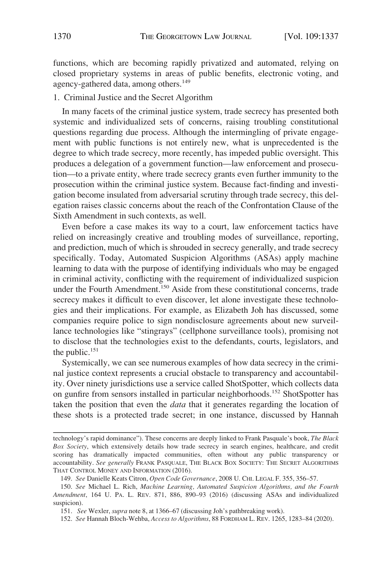<span id="page-33-0"></span>functions, which are becoming rapidly privatized and automated, relying on closed proprietary systems in areas of public benefits, electronic voting, and agency-gathered data, among others.<sup>149</sup>

## 1. Criminal Justice and the Secret Algorithm

In many facets of the criminal justice system, trade secrecy has presented both systemic and individualized sets of concerns, raising troubling constitutional questions regarding due process. Although the intermingling of private engagement with public functions is not entirely new, what is unprecedented is the degree to which trade secrecy, more recently, has impeded public oversight. This produces a delegation of a government function—law enforcement and prosecution—to a private entity, where trade secrecy grants even further immunity to the prosecution within the criminal justice system. Because fact-finding and investigation become insulated from adversarial scrutiny through trade secrecy, this delegation raises classic concerns about the reach of the Confrontation Clause of the Sixth Amendment in such contexts, as well.

Even before a case makes its way to a court, law enforcement tactics have relied on increasingly creative and troubling modes of surveillance, reporting, and prediction, much of which is shrouded in secrecy generally, and trade secrecy specifically. Today, Automated Suspicion Algorithms (ASAs) apply machine learning to data with the purpose of identifying individuals who may be engaged in criminal activity, conflicting with the requirement of individualized suspicion under the Fourth Amendment.<sup>150</sup> Aside from these constitutional concerns, trade secrecy makes it difficult to even discover, let alone investigate these technologies and their implications. For example, as Elizabeth Joh has discussed, some companies require police to sign nondisclosure agreements about new surveillance technologies like "stingrays" (cellphone surveillance tools), promising not to disclose that the technologies exist to the defendants, courts, legislators, and the public.<sup>151</sup>

Systemically, we can see numerous examples of how data secrecy in the criminal justice context represents a crucial obstacle to transparency and accountability. Over ninety jurisdictions use a service called ShotSpotter, which collects data on gunfire from sensors installed in particular neighborhoods.152 ShotSpotter has taken the position that even the *data* that it generates regarding the location of these shots is a protected trade secret; in one instance, discussed by Hannah

technology's rapid dominance"). These concerns are deeply linked to Frank Pasquale's book, *The Black Box Society*, which extensively details how trade secrecy in search engines, healthcare, and credit scoring has dramatically impacted communities, often without any public transparency or accountability. *See generally* FRANK PASQUALE, THE BLACK BOX SOCIETY: THE SECRET ALGORITHMS THAT CONTROL MONEY AND INFORMATION (2016).

<sup>149.</sup> *See* Danielle Keats Citron, *Open Code Governance*, 2008 U. CHI. LEGAL F. 355, 356–57.

<sup>150.</sup> *See* Michael L. Rich, *Machine Learning, Automated Suspicion Algorithms, and the Fourth Amendment*, 164 U. PA. L. REV. 871, 886, 890–93 (2016) (discussing ASAs and individualized suspicion).

<sup>151.</sup> *See* Wexler, *supra* note 8, at 1366–67 (discussing Joh's pathbreaking work).

<sup>152.</sup> *See* Hannah Bloch-Wehba, *Access to Algorithms*, 88 FORDHAM L. REV. 1265, 1283–84 (2020).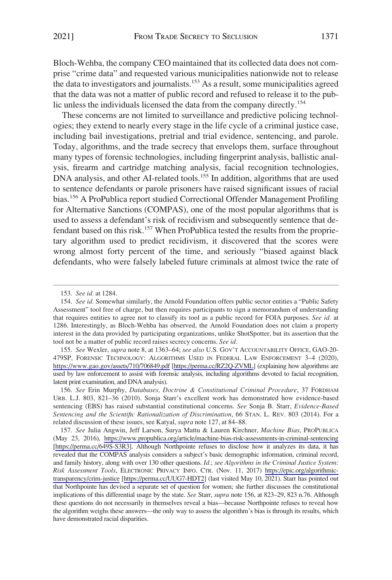Bloch-Wehba, the company CEO maintained that its collected data does not comprise "crime data" and requested various municipalities nationwide not to release the data to investigators and journalists.153 As a result, some municipalities agreed that the data was not a matter of public record and refused to release it to the public unless the individuals licensed the data from the company directly.<sup>154</sup>

These concerns are not limited to surveillance and predictive policing technologies; they extend to nearly every stage in the life cycle of a criminal justice case, including bail investigations, pretrial and trial evidence, sentencing, and parole. Today, algorithms, and the trade secrecy that envelops them, surface throughout many types of forensic technologies, including fingerprint analysis, ballistic analysis, firearm and cartridge matching analysis, facial recognition technologies, DNA analysis, and other AI-related tools.<sup>155</sup> In addition, algorithms that are used to sentence defendants or parole prisoners have raised significant issues of racial bias.156 A ProPublica report studied Correctional Offender Management Profiling for Alternative Sanctions (COMPAS), one of the most popular algorithms that is used to assess a defendant's risk of recidivism and subsequently sentence that defendant based on this risk.<sup>157</sup> When ProPublica tested the results from the proprietary algorithm used to predict recidivism, it discovered that the scores were wrong almost forty percent of the time, and seriously "biased against black defendants, who were falsely labeled future criminals at almost twice the rate of

*See* Wexler, *supra* note 8, at 1363–64; *see also* U.S. GOV'T ACCOUNTABILITY OFFICE, GAO-20- 155. 479SP, FORENSIC TECHNOLOGY: ALGORITHMS USED IN FEDERAL LAW ENFORCEMENT 3–4 (2020), <https://www.gao.gov/assets/710/706849.pdf>[<https://perma.cc/RZ2Q-ZVML>] (explaining how algorithms are used by law enforcement to assist with forensic analysis, including algorithms devoted to facial recognition, latent print examination, and DNA analysis).

156. *See* Erin Murphy, *Databases, Doctrine & Constitutional Criminal Procedure*, 37 FORDHAM URB. L.J. 803, 821–36 (2010). Sonja Starr's excellent work has demonstrated how evidence-based sentencing (EBS) has raised substantial constitutional concerns. *See* Sonja B. Starr, *Evidence-Based Sentencing and the Scientific Rationalization of Discrimination*, 66 STAN. L. REV. 803 (2014). For a related discussion of these issues, see Katyal, *supra* note 127, at 84–88.

*See* Julia Angwin, Jeff Larson, Surya Mattu & Lauren Kirchner, *Machine Bias*, PROPUBLICA 157. (May 23, 2016), <https://www.propublica.org/article/machine-bias-risk-assessments-in-criminal-sentencing> [[https://perma.cc/649S-S3R3\]](https://perma.cc/649S-S3R3). Although Northpointe refuses to disclose how it analyzes its data, it has revealed that the COMPAS analysis considers a subject's basic demographic information, criminal record, and family history, along with over 130 other questions. *Id.*; *see Algorithms in the Criminal Justice System: Risk Assessment Tools*, ELECTRONIC PRIVACY INFO. CTR. (Nov. 11, 2017) [https://epic.org/algorithmic](https://epic.org/algorithmic-transparency/crim-justice)[transparency/crim-justice](https://epic.org/algorithmic-transparency/crim-justice) [\[https://perma.cc/UUG7-HDT2](https://perma.cc/UUG7-HDT2)] (last visited May 10, 2021). Starr has pointed out that Northpointe has devised a separate set of question for women; she further discusses the constitutional implications of this differential usage by the state. *See* Starr, *supra* note 156, at 823–29, 823 n.76. Although these questions do not necessarily in themselves reveal a bias—because Northpointe refuses to reveal how the algorithm weighs these answers—the only way to assess the algorithm's bias is through its results, which have demonstrated racial disparities.

<sup>153.</sup> *See id.* at 1284.

<sup>154.</sup> *See id.* Somewhat similarly, the Arnold Foundation offers public sector entities a "Public Safety Assessment" tool free of charge, but then requires participants to sign a memorandum of understanding that requires entities to agree not to classify its tool as a public record for FOIA purposes. *See id.* at 1286. Interestingly, as Bloch-Wehba has observed, the Arnold Foundation does not claim a property interest in the data provided by participating organizations, unlike ShotSpotter, but its assertion that the tool not be a matter of public record raises secrecy concerns. *See id.*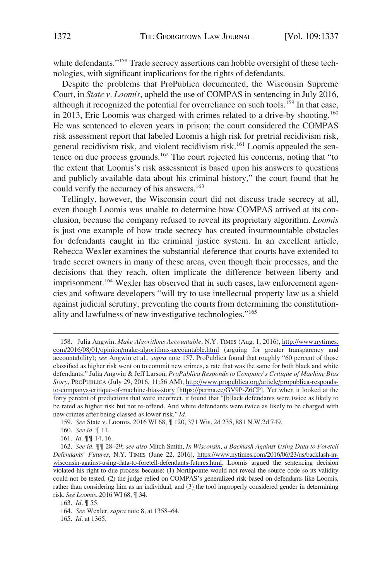white defendants."<sup>158</sup> Trade secrecy assertions can hobble oversight of these technologies, with significant implications for the rights of defendants.

Despite the problems that ProPublica documented, the Wisconsin Supreme Court, in *State v. Loomis*, upheld the use of COMPAS in sentencing in July 2016, although it recognized the potential for overreliance on such tools.<sup>159</sup> In that case, in 2013, Eric Loomis was charged with crimes related to a drive-by shooting.<sup>160</sup> He was sentenced to eleven years in prison; the court considered the COMPAS risk assessment report that labeled Loomis a high risk for pretrial recidivism risk, general recidivism risk, and violent recidivism risk.161 Loomis appealed the sentence on due process grounds.<sup>162</sup> The court rejected his concerns, noting that "to the extent that Loomis's risk assessment is based upon his answers to questions and publicly available data about his criminal history," the court found that he could verify the accuracy of his answers.<sup>163</sup>

Tellingly, however, the Wisconsin court did not discuss trade secrecy at all, even though Loomis was unable to determine how COMPAS arrived at its conclusion, because the company refused to reveal its proprietary algorithm. *Loomis*  is just one example of how trade secrecy has created insurmountable obstacles for defendants caught in the criminal justice system. In an excellent article, Rebecca Wexler examines the substantial deference that courts have extended to trade secret owners in many of these areas, even though their processes, and the decisions that they reach, often implicate the difference between liberty and imprisonment.<sup>164</sup> Wexler has observed that in such cases, law enforcement agencies and software developers "will try to use intellectual property law as a shield against judicial scrutiny, preventing the courts from determining the constitutionality and lawfulness of new investigative technologies."<sup>165</sup>

<sup>158.</sup> Julia Angwin, *Make Algorithms Accountable*, N.Y. TIMES (Aug. 1, 2016), http://www.nytimes. [com/2016/08/01/opinion/make-algorithms-accountable.html](http://www.nytimes.com/2016/08/01/opinion/make-algorithms-accountable.html) (arguing for greater transparency and accountability); *see* Angwin et al., *supra* note 157. ProPublica found that roughly "60 percent of those classified as higher risk went on to commit new crimes, a rate that was the same for both black and white defendants." Julia Angwin & Jeff Larson, *ProPublica Responds to Company's Critique of Machine Bias Story*, PROPUBLICA (July 29, 2016, 11:56 AM), [http://www.propublica.org/article/propublica-responds](http://www.propublica.org/article/propublica-responds-to-companys-critique-of-machine-bias-story)[to-companys-critique-of-machine-bias-story](http://www.propublica.org/article/propublica-responds-to-companys-critique-of-machine-bias-story) [[https://perma.cc/GV9P-Z6CP\]](https://perma.cc/GV9P-Z6CP). Yet when it looked at the forty percent of predictions that were incorrect, it found that "[b]lack defendants were twice as likely to be rated as higher risk but not re-offend. And white defendants were twice as likely to be charged with new crimes after being classed as lower risk." *Id.* 

<sup>159.</sup> *See* State v. Loomis, 2016 WI 68, ¶ 120, 371 Wis. 2d 235, 881 N.W.2d 749.

<sup>160.</sup> *See id.* ¶ 11.

<sup>161.</sup> *Id.* ¶¶ 14, 16.

*See id.* ¶¶ 28–29; *see also* Mitch Smith, *In Wisconsin, a Backlash Against Using Data to Foretell*  162. *Defendants' Futures*, N.Y. TIMES (June 22, 2016), [https://www.nytimes.com/2016/06/23/us/backlash-in](https://www.nytimes.com/2016/06/23/us/backlash-in-wisconsin-against-using-data-to-foretell-defendants-futures.html)[wisconsin-against-using-data-to-foretell-defendants-futures.html](https://www.nytimes.com/2016/06/23/us/backlash-in-wisconsin-against-using-data-to-foretell-defendants-futures.html). Loomis argued the sentencing decision violated his right to due process because: (1) Northpointe would not reveal the source code so its validity could not be tested, (2) the judge relied on COMPAS's generalized risk based on defendants like Loomis, rather than considering him as an individual, and (3) the tool improperly considered gender in determining risk. *See Loomis*, 2016 WI 68, ¶ 34.

<sup>163.</sup> *Id.* ¶ 55.

<sup>164.</sup> *See* Wexler, *supra* note 8, at 1358–64.

<sup>165.</sup> *Id.* at 1365.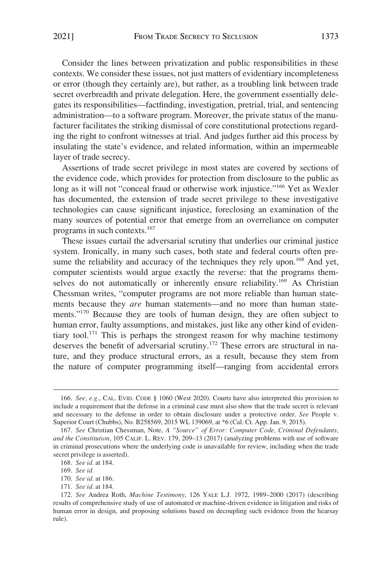Consider the lines between privatization and public responsibilities in these contexts. We consider these issues, not just matters of evidentiary incompleteness or error (though they certainly are), but rather, as a troubling link between trade secret overbreadth and private delegation. Here, the government essentially delegates its responsibilities—factfinding, investigation, pretrial, trial, and sentencing administration—to a software program. Moreover, the private status of the manufacturer facilitates the striking dismissal of core constitutional protections regarding the right to confront witnesses at trial. And judges further aid this process by insulating the state's evidence, and related information, within an impermeable layer of trade secrecy.

Assertions of trade secret privilege in most states are covered by sections of the evidence code, which provides for protection from disclosure to the public as long as it will not "conceal fraud or otherwise work injustice."<sup>166</sup> Yet as Wexler has documented, the extension of trade secret privilege to these investigative technologies can cause significant injustice, foreclosing an examination of the many sources of potential error that emerge from an overreliance on computer programs in such contexts.167

These issues curtail the adversarial scrutiny that underlies our criminal justice system. Ironically, in many such cases, both state and federal courts often presume the reliability and accuracy of the techniques they rely upon.<sup>168</sup> And yet, computer scientists would argue exactly the reverse: that the programs themselves do not automatically or inherently ensure reliability.<sup>169</sup> As Christian Chessman writes, "computer programs are not more reliable than human statements because they *are* human statements—and no more than human statements."<sup>170</sup> Because they are tools of human design, they are often subject to human error, faulty assumptions, and mistakes, just like any other kind of evidentiary tool.171 This is perhaps the strongest reason for why machine testimony deserves the benefit of adversarial scrutiny.<sup>172</sup> These errors are structural in nature, and they produce structural errors, as a result, because they stem from the nature of computer programming itself—ranging from accidental errors

<sup>166.</sup> *See, e.g.*, CAL. EVID. CODE § 1060 (West 2020). Courts have also interpreted this provision to include a requirement that the defense in a criminal case must also show that the trade secret is relevant and necessary to the defense in order to obtain disclosure under a protective order. *See* People v. Superior Court (Chubbs), No. B258569, 2015 WL 139069, at \*6 (Cal. Ct. App. Jan. 9, 2015).

<sup>167.</sup> *See* Christian Chessman, Note, *A "Source" of Error: Computer Code, Criminal Defendants, and the Constitution*, 105 CALIF. L. REV. 179, 209–13 (2017) (analyzing problems with use of software in criminal prosecutions where the underlying code is unavailable for review, including when the trade secret privilege is asserted).

<sup>168.</sup> *See id.* at 184.

<sup>169.</sup> *See id.* 

<sup>170.</sup> *See id.* at 186.

<sup>171.</sup> *See id.* at 184.

<sup>172.</sup> *See* Andrea Roth, *Machine Testimony*, 126 YALE L.J. 1972, 1989–2000 (2017) (describing results of comprehensive study of use of automated or machine-driven evidence in litigation and risks of human error in design, and proposing solutions based on decoupling such evidence from the hearsay rule).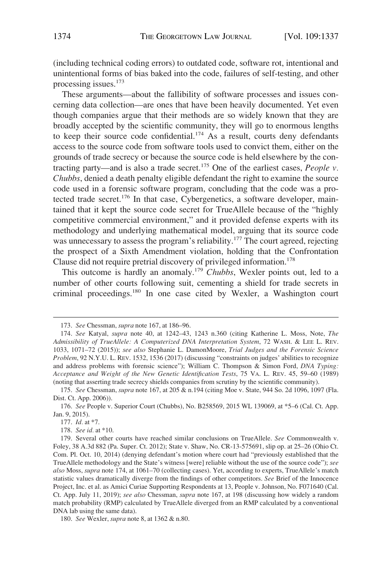(including technical coding errors) to outdated code, software rot, intentional and unintentional forms of bias baked into the code, failures of self-testing, and other processing issues.173

These arguments—about the fallibility of software processes and issues concerning data collection—are ones that have been heavily documented. Yet even though companies argue that their methods are so widely known that they are broadly accepted by the scientific community, they will go to enormous lengths to keep their source code confidential.<sup>174</sup> As a result, courts deny defendants access to the source code from software tools used to convict them, either on the grounds of trade secrecy or because the source code is held elsewhere by the contracting party—and is also a trade secret.175 One of the earliest cases, *People v. Chubbs*, denied a death penalty eligible defendant the right to examine the source code used in a forensic software program, concluding that the code was a protected trade secret.<sup>176</sup> In that case, Cybergenetics, a software developer, maintained that it kept the source code secret for TrueAllele because of the "highly competitive commercial environment," and it provided defense experts with its methodology and underlying mathematical model, arguing that its source code was unnecessary to assess the program's reliability.<sup>177</sup> The court agreed, rejecting the prospect of a Sixth Amendment violation, holding that the Confrontation Clause did not require pretrial discovery of privileged information.<sup>178</sup>

This outcome is hardly an anomaly.<sup>179</sup>*Chubbs*, Wexler points out, led to a number of other courts following suit, cementing a shield for trade secrets in criminal proceedings.180 In one case cited by Wexler, a Washington court

<sup>173.</sup> *See* Chessman, *supra* note 167, at 186–96.

<sup>174.</sup> *See* Katyal, *supra* note 40, at 1242–43, 1243 n.360 (citing Katherine L. Moss, Note, *The Admissibility of TrueAllele: A Computerized DNA Interpretation System*, 72 WASH. & LEE L. REV. 1033, 1071–72 (2015)); *see also* Stephanie L. DamonMoore, *Trial Judges and the Forensic Science Problem*, 92 N.Y.U. L. REV. 1532, 1536 (2017) (discussing "constraints on judges' abilities to recognize and address problems with forensic science"); William C. Thompson & Simon Ford, *DNA Typing: Acceptance and Weight of the New Genetic Identification Tests*, 75 VA. L. REV. 45, 59–60 (1989) (noting that asserting trade secrecy shields companies from scrutiny by the scientific community).

<sup>175.</sup> *See* Chessman, *supra* note 167, at 205 & n.194 (citing Moe v. State, 944 So. 2d 1096, 1097 (Fla. Dist. Ct. App. 2006)).

<sup>176.</sup> *See* People v. Superior Court (Chubbs), No. B258569, 2015 WL 139069, at \*5–6 (Cal. Ct. App. Jan. 9, 2015).

<sup>177.</sup> *Id.* at \*7.

<sup>178.</sup> *See id.* at \*10.

<sup>179.</sup> Several other courts have reached similar conclusions on TrueAllele. *See* Commonwealth v. Foley, 38 A.3d 882 (Pa. Super. Ct. 2012); State v. Shaw, No. CR-13-575691, slip op. at 25–26 (Ohio Ct. Com. Pl. Oct. 10, 2014) (denying defendant's motion where court had "previously established that the TrueAllele methodology and the State's witness [were] reliable without the use of the source code"); *see also* Moss, *supra* note 174, at 1061–70 (collecting cases). Yet, according to experts, TrueAllele's match statistic values dramatically diverge from the findings of other competitors. *See* Brief of the Innocence Project, Inc. et al. as Amici Curiae Supporting Respondents at 13, People v. Johnson, No. F071640 (Cal. Ct. App. July 11, 2019); *see also* Chessman, *supra* note 167, at 198 (discussing how widely a random match probability (RMP) calculated by TrueAllele diverged from an RMP calculated by a conventional DNA lab using the same data).

<sup>180.</sup> *See* Wexler, *supra* note 8, at 1362 & n.80.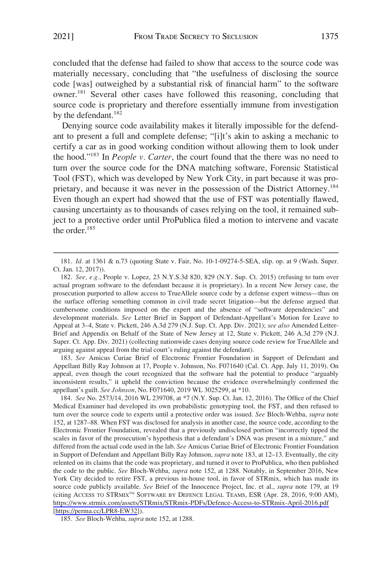concluded that the defense had failed to show that access to the source code was materially necessary, concluding that "the usefulness of disclosing the source code [was] outweighed by a substantial risk of financial harm" to the software owner.181 Several other cases have followed this reasoning, concluding that source code is proprietary and therefore essentially immune from investigation by the defendant.<sup>182</sup>

Denying source code availability makes it literally impossible for the defendant to present a full and complete defense; "[i]t's akin to asking a mechanic to certify a car as in good working condition without allowing them to look under the hood."183 In *People v. Carter*, the court found that the there was no need to turn over the source code for the DNA matching software, Forensic Statistical Tool (FST), which was developed by New York City, in part because it was proprietary, and because it was never in the possession of the District Attorney.<sup>184</sup> Even though an expert had showed that the use of FST was potentially flawed, causing uncertainty as to thousands of cases relying on the tool, it remained subject to a protective order until ProPublica filed a motion to intervene and vacate the order. $185$ 

183. *See* Amicus Curiae Brief of Electronic Frontier Foundation in Support of Defendant and Appellant Billy Ray Johnson at 17, People v. Johnson, No. F071640 (Cal. Ct. App. July 11, 2019). On appeal, even though the court recognized that the software had the potential to produce "arguably inconsistent results," it upheld the conviction because the evidence overwhelmingly confirmed the appellant's guilt. *See Johnson*, No. F071640, 2019 WL 3025299, at \*10.

184. See No. 2573/14, 2016 WL 239708, at  $*7$  (N.Y. Sup. Ct. Jan. 12, 2016). The Office of the Chief Medical Examiner had developed its own probabilistic genotyping tool, the FST, and then refused to turn over the source code to experts until a protective order was issued. *See* Bloch-Wehba, *supra* note 152, at 1287–88. When FST was disclosed for analysis in another case, the source code, according to the Electronic Frontier Foundation, revealed that a previously undisclosed portion "incorrectly tipped the scales in favor of the prosecution's hypothesis that a defendant's DNA was present in a mixture," and differed from the actual code used in the lab. *See* Amicus Curiae Brief of Electronic Frontier Foundation in Support of Defendant and Appellant Billy Ray Johnson, *supra* note 183, at 12–13. Eventually, the city relented on its claims that the code was proprietary, and turned it over to ProPublica, who then published the code to the public. *See* Bloch-Wehba, *supra* note 152, at 1288. Notably, in September 2016, New York City decided to retire FST, a previous in-house tool, in favor of STRmix, which has made its source code publicly available. *See* Brief of the Innocence Project, Inc. et al., *supra* note 179, at 19 (citing ACCESS TO STRMIXTM SOFTWARE BY DEFENCE LEGAL TEAMS, ESR (Apr. 28, 2016, 9:00 AM), <https://www.strmix.com/assets/STRmix/STRmix-PDFs/Defence-Access-to-STRmix-April-2016.pdf> [<https://perma.cc/LPR8-EW32>]).

185. *See* Bloch-Wehba, *supra* note 152, at 1288.

<sup>181.</sup> *Id.* at 1361 & n.73 (quoting State v. Fair, No. 10-1-09274-5-SEA, slip. op. at 9 (Wash. Super. Ct. Jan. 12, 2017)).

<sup>182.</sup> *See, e.g.*, People v. Lopez, 23 N.Y.S.3d 820, 829 (N.Y. Sup. Ct. 2015) (refusing to turn over actual program software to the defendant because it is proprietary). In a recent New Jersey case, the prosecution purported to allow access to TrueAllele source code by a defense expert witness—thus on the surface offering something common in civil trade secret litigation—but the defense argued that cumbersome conditions imposed on the expert and the absence of "software dependencies" and development materials. *See* Letter Brief in Support of Defendant-Appellant's Motion for Leave to Appeal at 3–4, State v. Pickett, 246 A.3d 279 (N.J. Sup. Ct. App. Div. 2021); *see also* Amended Letter-Brief and Appendix on Behalf of the State of New Jersey at 12, State v. Pickett, 246 A.3d 279 (N.J. Super. Ct. App. Div. 2021) (collecting nationwide cases denying source code review for TrueAllele and arguing against appeal from the trial court's ruling against the defendant).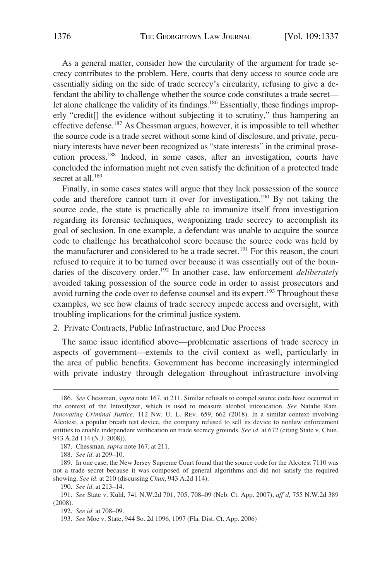As a general matter, consider how the circularity of the argument for trade secrecy contributes to the problem. Here, courts that deny access to source code are essentially siding on the side of trade secrecy's circularity, refusing to give a defendant the ability to challenge whether the source code constitutes a trade secret let alone challenge the validity of its findings.<sup>186</sup> Essentially, these findings improperly "credit[] the evidence without subjecting it to scrutiny," thus hampering an effective defense.187 As Chessman argues, however, it is impossible to tell whether the source code is a trade secret without some kind of disclosure, and private, pecuniary interests have never been recognized as "state interests" in the criminal prosecution process.188 Indeed, in some cases, after an investigation, courts have concluded the information might not even satisfy the definition of a protected trade secret at all.<sup>189</sup>

Finally, in some cases states will argue that they lack possession of the source code and therefore cannot turn it over for investigation.<sup>190</sup> By not taking the source code, the state is practically able to immunize itself from investigation regarding its forensic techniques, weaponizing trade secrecy to accomplish its goal of seclusion. In one example, a defendant was unable to acquire the source code to challenge his breathalcohol score because the source code was held by the manufacturer and considered to be a trade secret.<sup>191</sup> For this reason, the court refused to require it to be turned over because it was essentially out of the boundaries of the discovery order.<sup>192</sup> In another case, law enforcement *deliberately* avoided taking possession of the source code in order to assist prosecutors and avoid turning the code over to defense counsel and its expert.<sup>193</sup> Throughout these examples, we see how claims of trade secrecy impede access and oversight, with troubling implications for the criminal justice system.

# 2. Private Contracts, Public Infrastructure, and Due Process

The same issue identified above—problematic assertions of trade secrecy in aspects of government—extends to the civil context as well, particularly in the area of public benefits. Government has become increasingly intermingled with private industry through delegation throughout infrastructure involving

<sup>186.</sup> *See* Chessman, *supra* note 167, at 211. Similar refusals to compel source code have occurred in the context of the Intoxilyzer, which is used to measure alcohol intoxication. *See* Natalie Ram, *Innovating Criminal Justice*, 112 NW. U. L. REV. 659, 662 (2018). In a similar context involving Alcotest, a popular breath test device, the company refused to sell its device to nonlaw enforcement entities to enable independent verification on trade secrecy grounds. *See id.* at 672 (citing State v. Chun, 943 A.2d 114 (N.J. 2008)).

<sup>187.</sup> Chessman, *supra* note 167, at 211.

<sup>188.</sup> *See id.* at 209–10.

<sup>189.</sup> In one case, the New Jersey Supreme Court found that the source code for the Alcotest 7110 was not a trade secret because it was composed of general algorithms and did not satisfy the required showing. *See id.* at 210 (discussing *Chun*, 943 A.2d 114).

<sup>190.</sup> *See id.* at 213–14.

<sup>191.</sup> *See* State v. Kuhl, 741 N.W.2d 701, 705, 708–09 (Neb. Ct. App. 2007), *aff'd*, 755 N.W.2d 389 (2008).

<sup>192.</sup> *See id.* at 708–09.

<sup>193.</sup> *See* Moe v. State, 944 So. 2d 1096, 1097 (Fla. Dist. Ct. App. 2006)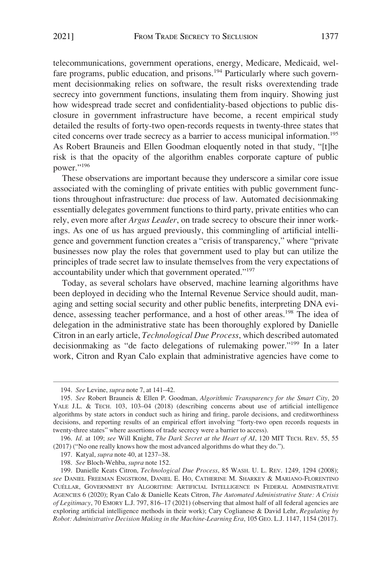telecommunications, government operations, energy, Medicare, Medicaid, welfare programs, public education, and prisons.<sup>194</sup> Particularly where such government decisionmaking relies on software, the result risks overextending trade secrecy into government functions, insulating them from inquiry. Showing just how widespread trade secret and confidentiality-based objections to public disclosure in government infrastructure have become, a recent empirical study detailed the results of forty-two open-records requests in twenty-three states that cited concerns over trade secrecy as a barrier to access municipal information.195 As Robert Brauneis and Ellen Goodman eloquently noted in that study, "[t]he risk is that the opacity of the algorithm enables corporate capture of public power."196

These observations are important because they underscore a similar core issue associated with the comingling of private entities with public government functions throughout infrastructure: due process of law. Automated decisionmaking essentially delegates government functions to third party, private entities who can rely, even more after *Argus Leader*, on trade secrecy to obscure their inner workings. As one of us has argued previously, this commingling of artificial intelligence and government function creates a "crisis of transparency," where "private businesses now play the roles that government used to play but can utilize the principles of trade secret law to insulate themselves from the very expectations of accountability under which that government operated."<sup>197</sup>

Today, as several scholars have observed, machine learning algorithms have been deployed in deciding who the Internal Revenue Service should audit, managing and setting social security and other public benefits, interpreting DNA evidence, assessing teacher performance, and a host of other areas.<sup>198</sup> The idea of delegation in the administrative state has been thoroughly explored by Danielle Citron in an early article, *Technological Due Process*, which described automated decisionmaking as "de facto delegations of rulemaking power."199 In a later work, Citron and Ryan Calo explain that administrative agencies have come to

<sup>194.</sup> *See* Levine, *supra* note 7, at 141–42.

<sup>195.</sup> *See* Robert Brauneis & Ellen P. Goodman, *Algorithmic Transparency for the Smart City*, 20 YALE J.L. & TECH. 103, 103–04 (2018) (describing concerns about use of artificial intelligence algorithms by state actors in conduct such as hiring and firing, parole decisions, and creditworthiness decisions, and reporting results of an empirical effort involving "forty-two open records requests in twenty-three states" where assertions of trade secrecy were a barrier to access).

<sup>196.</sup> *Id.* at 109; *see* Will Knight, *The Dark Secret at the Heart of AI*, 120 MIT TECH. REV. 55, 55 (2017) ("No one really knows how the most advanced algorithms do what they do.").

<sup>197.</sup> Katyal, *supra* note 40, at 1237–38.

<sup>198.</sup> *See* Bloch-Wehba, *supra* note 152.

<sup>199.</sup> Danielle Keats Citron, *Technological Due Process*, 85 WASH. U. L. REV. 1249, 1294 (2008); *see* DANIEL FREEMAN ENGSTROM, DANIEL E. HO, CATHERINE M. SHARKEY & MARIANO-FLORENTINO CUE´LLAR, GOVERNMENT BY ALGORITHM: ARTIFICIAL INTELLIGENCE IN FEDERAL ADMINISTRATIVE AGENCIES 6 (2020); Ryan Calo & Danielle Keats Citron, *The Automated Administrative State: A Crisis of Legitimacy*, 70 EMORY L.J. 797, 816–17 (2021) (observing that almost half of all federal agencies are exploring artificial intelligence methods in their work); Cary Coglianese & David Lehr, *Regulating by Robot: Administrative Decision Making in the Machine-Learning Era*, 105 GEO. L.J. 1147, 1154 (2017).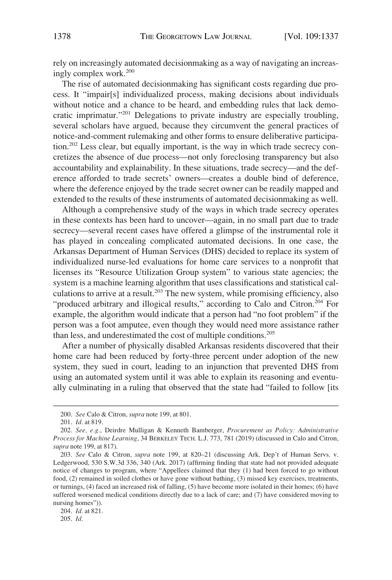rely on increasingly automated decisionmaking as a way of navigating an increasingly complex work.200

The rise of automated decisionmaking has significant costs regarding due process. It "impair[s] individualized process, making decisions about individuals without notice and a chance to be heard, and embedding rules that lack democratic imprimatur."201 Delegations to private industry are especially troubling, several scholars have argued, because they circumvent the general practices of notice-and-comment rulemaking and other forms to ensure deliberative participation.202 Less clear, but equally important, is the way in which trade secrecy concretizes the absence of due process—not only foreclosing transparency but also accountability and explainability. In these situations, trade secrecy—and the deference afforded to trade secrets' owners—creates a double bind of deference, where the deference enjoyed by the trade secret owner can be readily mapped and extended to the results of these instruments of automated decisionmaking as well.

Although a comprehensive study of the ways in which trade secrecy operates in these contexts has been hard to uncover—again, in no small part due to trade secrecy—several recent cases have offered a glimpse of the instrumental role it has played in concealing complicated automated decisions. In one case, the Arkansas Department of Human Services (DHS) decided to replace its system of individualized nurse-led evaluations for home care services to a nonprofit that licenses its "Resource Utilization Group system" to various state agencies; the system is a machine learning algorithm that uses classifications and statistical calculations to arrive at a result.<sup>203</sup> The new system, while promising efficiency, also "produced arbitrary and illogical results," according to Calo and Citron.<sup>204</sup> For example, the algorithm would indicate that a person had "no foot problem" if the person was a foot amputee, even though they would need more assistance rather than less, and underestimated the cost of multiple conditions.<sup>205</sup>

After a number of physically disabled Arkansas residents discovered that their home care had been reduced by forty-three percent under adoption of the new system, they sued in court, leading to an injunction that prevented DHS from using an automated system until it was able to explain its reasoning and eventually culminating in a ruling that observed that the state had "failed to follow [its

<sup>200.</sup> *See* Calo & Citron, *supra* note 199, at 801.

<sup>201.</sup> *Id.* at 819.

<sup>202.</sup> *See, e.g.*, Deirdre Mulligan & Kenneth Bamberger, *Procurement as Policy: Administrative Process for Machine Learning*, 34 BERKELEY TECH. L.J. 773, 781 (2019) (discussed in Calo and Citron, *supra* note 199, at 817).

<sup>203.</sup> *See* Calo & Citron, *supra* note 199, at 820–21 (discussing Ark. Dep't of Human Servs. v. Ledgerwood, 530 S.W.3d 336, 340 (Ark. 2017) (affirming finding that state had not provided adequate notice of changes to program, where "Appellees claimed that they (1) had been forced to go without food, (2) remained in soiled clothes or have gone without bathing, (3) missed key exercises, treatments, or turnings, (4) faced an increased risk of falling, (5) have become more isolated in their homes; (6) have suffered worsened medical conditions directly due to a lack of care; and (7) have considered moving to nursing homes")).

<sup>204.</sup> *Id.* at 821.

<sup>205.</sup> *Id.*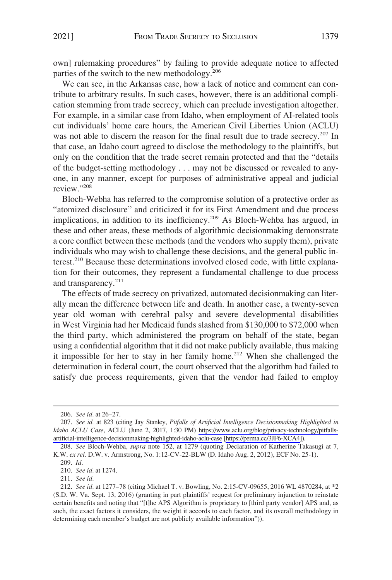own] rulemaking procedures" by failing to provide adequate notice to affected parties of the switch to the new methodology.206

We can see, in the Arkansas case, how a lack of notice and comment can contribute to arbitrary results. In such cases, however, there is an additional complication stemming from trade secrecy, which can preclude investigation altogether. For example, in a similar case from Idaho, when employment of AI-related tools cut individuals' home care hours, the American Civil Liberties Union (ACLU) was not able to discern the reason for the final result due to trade secrecy.<sup>207</sup> In that case, an Idaho court agreed to disclose the methodology to the plaintiffs, but only on the condition that the trade secret remain protected and that the "details of the budget-setting methodology . . . may not be discussed or revealed to anyone, in any manner, except for purposes of administrative appeal and judicial review."208

Bloch-Webha has referred to the compromise solution of a protective order as "atomized disclosure" and criticized it for its First Amendment and due process implications, in addition to its inefficiency.<sup>209</sup> As Bloch-Wehba has argued, in these and other areas, these methods of algorithmic decisionmaking demonstrate a core conflict between these methods (and the vendors who supply them), private individuals who may wish to challenge these decisions, and the general public interest.210 Because these determinations involved closed code, with little explanation for their outcomes, they represent a fundamental challenge to due process and transparency.<sup>211</sup>

The effects of trade secrecy on privatized, automated decisionmaking can literally mean the difference between life and death. In another case, a twenty-seven year old woman with cerebral palsy and severe developmental disabilities in West Virginia had her Medicaid funds slashed from \$130,000 to \$72,000 when the third party, which administered the program on behalf of the state, began using a confidential algorithm that it did not make publicly available, thus making it impossible for her to stay in her family home.<sup>212</sup> When she challenged the determination in federal court, the court observed that the algorithm had failed to satisfy due process requirements, given that the vendor had failed to employ

<sup>206.</sup> *See id.* at 26–27.

*See id.* at 823 (citing Jay Stanley, *Pitfalls of Artificial Intelligence Decisionmaking Highlighted in*  207. *Idaho ACLU Case*, ACLU (June 2, 2017, 1:30 PM) [https://www.aclu.org/blog/privacy-technology/pitfalls](https://www.aclu.org/blog/privacy-technology/pitfalls-artificial-intelligence-decisionmaking-highlighted-idaho-aclu-case)[artificial-intelligence-decisionmaking-highlighted-idaho-aclu-case](https://www.aclu.org/blog/privacy-technology/pitfalls-artificial-intelligence-decisionmaking-highlighted-idaho-aclu-case) [\[https://perma.cc/3JF6-XCA4\]](https://perma.cc/3JF6-XCA4)).

<sup>208.</sup> *See* Bloch-Wehba, *supra* note 152, at 1279 (quoting Declaration of Katherine Takasugi at 7, K.W. *ex rel.* D.W. v. Armstrong, No. 1:12-CV-22-BLW (D. Idaho Aug. 2, 2012), ECF No. 25-1).

<sup>209.</sup> *Id.* 

<sup>210.</sup> *See id.* at 1274.

<sup>211.</sup> *See id.* 

<sup>212.</sup> *See id.* at 1277–78 (citing Michael T. v. Bowling, No. 2:15-CV-09655, 2016 WL 4870284, at \*2 (S.D. W. Va. Sept. 13, 2016) (granting in part plaintiffs' request for preliminary injunction to reinstate certain benefits and noting that "[t]he APS Algorithm is proprietary to [third party vendor] APS and, as such, the exact factors it considers, the weight it accords to each factor, and its overall methodology in determining each member's budget are not publicly available information")).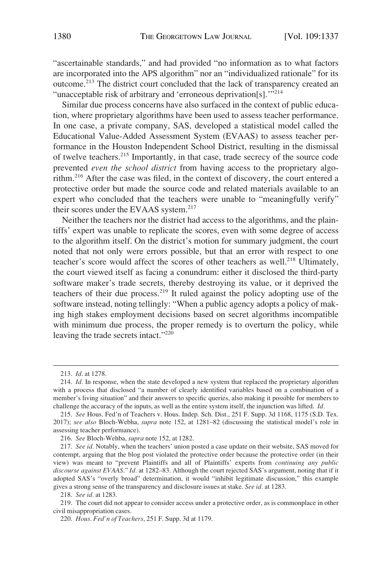"ascertainable standards," and had provided "no information as to what factors are incorporated into the APS algorithm" nor an "individualized rationale" for its outcome.213 The district court concluded that the lack of transparency created an "unacceptable risk of arbitrary and 'erroneous deprivation[s]."<sup>214</sup>

Similar due process concerns have also surfaced in the context of public education, where proprietary algorithms have been used to assess teacher performance. In one case, a private company, SAS, developed a statistical model called the Educational Value-Added Assessment System (EVAAS) to assess teacher performance in the Houston Independent School District, resulting in the dismissal of twelve teachers.215 Importantly, in that case, trade secrecy of the source code prevented *even the school district* from having access to the proprietary algorithm.216 After the case was filed, in the context of discovery, the court entered a protective order but made the source code and related materials available to an expert who concluded that the teachers were unable to "meaningfully verify" their scores under the EVAAS system.<sup>217</sup>

Neither the teachers nor the district had access to the algorithms, and the plaintiffs' expert was unable to replicate the scores, even with some degree of access to the algorithm itself. On the district's motion for summary judgment, the court noted that not only were errors possible, but that an error with respect to one teacher's score would affect the scores of other teachers as well.<sup>218</sup> Ultimately, the court viewed itself as facing a conundrum: either it disclosed the third-party software maker's trade secrets, thereby destroying its value, or it deprived the teachers of their due process.<sup>219</sup> It ruled against the policy adopting use of the software instead, noting tellingly: "When a public agency adopts a policy of making high stakes employment decisions based on secret algorithms incompatible with minimum due process, the proper remedy is to overturn the policy, while leaving the trade secrets intact."<sup>220</sup>

<sup>213.</sup> *Id*. at 1278.

<sup>214.</sup> *Id.* In response, when the state developed a new system that replaced the proprietary algorithm with a process that disclosed "a number of clearly identified variables based on a combination of a member's living situation" and their answers to specific queries, also making it possible for members to challenge the accuracy of the inputs, as well as the entire system itself, the injunction was lifted. *Id.* 

<sup>215.</sup> *See* Hous. Fed'n of Teachers v. Hous. Indep. Sch. Dist., 251 F. Supp. 3d 1168, 1175 (S.D. Tex. 2017); *see also* Bloch-Webha, *supra* note 152, at 1281–82 (discussing the statistical model's role in assessing teacher performance).

<sup>216.</sup> *See* Bloch-Wehba, *supra* note 152, at 1282.

<sup>217.</sup> *See id.* Notably, when the teachers' union posted a case update on their website, SAS moved for contempt, arguing that the blog post violated the protective order because the protective order (in their view) was meant to "prevent Plaintiffs and all of Plaintiffs' experts from *continuing any public discourse against EVAAS*." *Id.* at 1282–83. Although the court rejected SAS's argument, noting that if it adopted SAS's "overly broad" determination, it would "inhibit legitimate discussion," this example gives a strong sense of the transparency and disclosure issues at stake. *See id.* at 1283.

<sup>218.</sup> *See id.* at 1283.

<sup>219.</sup> The court did not appear to consider access under a protective order, as is commonplace in other civil misappropriation cases.

<sup>220.</sup> *Hous. Fed'n of Teachers*, 251 F. Supp. 3d at 1179.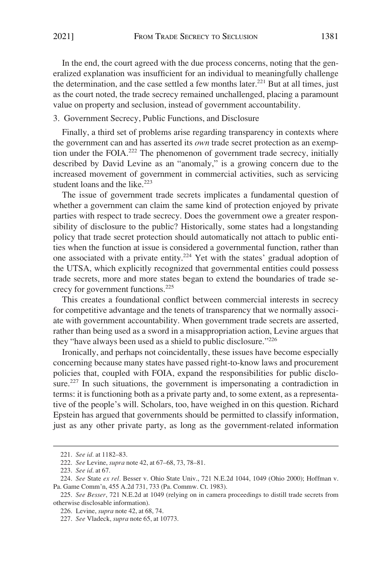In the end, the court agreed with the due process concerns, noting that the generalized explanation was insufficient for an individual to meaningfully challenge the determination, and the case settled a few months later.<sup>221</sup> But at all times, just as the court noted, the trade secrecy remained unchallenged, placing a paramount value on property and seclusion, instead of government accountability.

# 3. Government Secrecy, Public Functions, and Disclosure

Finally, a third set of problems arise regarding transparency in contexts where the government can and has asserted its *own* trade secret protection as an exemption under the FOIA.<sup>222</sup> The phenomenon of government trade secrecy, initially described by David Levine as an "anomaly," is a growing concern due to the increased movement of government in commercial activities, such as servicing student loans and the like. $223$ 

The issue of government trade secrets implicates a fundamental question of whether a government can claim the same kind of protection enjoyed by private parties with respect to trade secrecy. Does the government owe a greater responsibility of disclosure to the public? Historically, some states had a longstanding policy that trade secret protection should automatically not attach to public entities when the function at issue is considered a governmental function, rather than one associated with a private entity.224 Yet with the states' gradual adoption of the UTSA, which explicitly recognized that governmental entities could possess trade secrets, more and more states began to extend the boundaries of trade secrecy for government functions.225

This creates a foundational conflict between commercial interests in secrecy for competitive advantage and the tenets of transparency that we normally associate with government accountability. When government trade secrets are asserted, rather than being used as a sword in a misappropriation action, Levine argues that they "have always been used as a shield to public disclosure."226

Ironically, and perhaps not coincidentally, these issues have become especially concerning because many states have passed right-to-know laws and procurement policies that, coupled with FOIA, expand the responsibilities for public disclosure.<sup>227</sup> In such situations, the government is impersonating a contradiction in terms: it is functioning both as a private party and, to some extent, as a representative of the people's will. Scholars, too, have weighed in on this question. Richard Epstein has argued that governments should be permitted to classify information, just as any other private party, as long as the government-related information

<sup>221.</sup> *See id.* at 1182–83.

<sup>222.</sup> *See* Levine, *supra* note 42, at 67–68, 73, 78–81.

<sup>223.</sup> *See id*. at 67.

<sup>224.</sup> *See* State *ex rel.* Besser v. Ohio State Univ., 721 N.E.2d 1044, 1049 (Ohio 2000); Hoffman v. Pa. Game Comm'n, 455 A.2d 731, 733 (Pa. Commw. Ct. 1983).

<sup>225.</sup> *See Besser*, 721 N.E.2d at 1049 (relying on in camera proceedings to distill trade secrets from otherwise disclosable information).

<sup>226.</sup> Levine, *supra* note 42, at 68, 74.

<sup>227.</sup> *See* Vladeck, *supra* note 65, at 10773.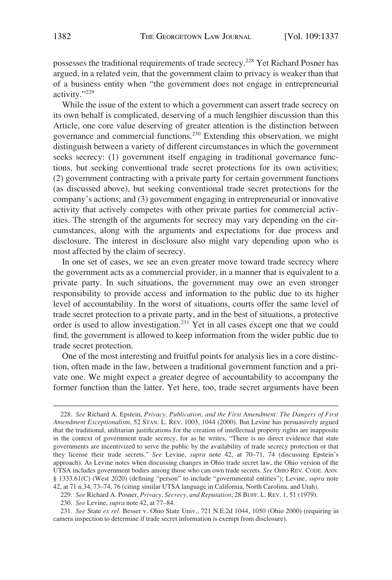possesses the traditional requirements of trade secrecy.<sup>228</sup> Yet Richard Posner has argued, in a related vein, that the government claim to privacy is weaker than that of a business entity when "the government does not engage in entrepreneurial activity."229

While the issue of the extent to which a government can assert trade secrecy on its own behalf is complicated, deserving of a much lengthier discussion than this Article, one core value deserving of greater attention is the distinction between governance and commercial functions.230 Extending this observation, we might distinguish between a variety of different circumstances in which the government seeks secrecy: (1) government itself engaging in traditional governance functions, but seeking conventional trade secret protections for its own activities; (2) government contracting with a private party for certain government functions (as discussed above), but seeking conventional trade secret protections for the company's actions; and (3) government engaging in entrepreneurial or innovative activity that actively competes with other private parties for commercial activities. The strength of the arguments for secrecy may vary depending on the circumstances, along with the arguments and expectations for due process and disclosure. The interest in disclosure also might vary depending upon who is most affected by the claim of secrecy.

In one set of cases, we see an even greater move toward trade secrecy where the government acts as a commercial provider, in a manner that is equivalent to a private party. In such situations, the government may owe an even stronger responsibility to provide access and information to the public due to its higher level of accountability. In the worst of situations, courts offer the same level of trade secret protection to a private party, and in the best of situations, a protective order is used to allow investigation.231 Yet in all cases except one that we could find, the government is allowed to keep information from the wider public due to trade secret protection.

One of the most interesting and fruitful points for analysis lies in a core distinction, often made in the law, between a traditional government function and a private one. We might expect a greater degree of accountability to accompany the former function than the latter. Yet here, too, trade secret arguments have been

<sup>228.</sup> *See* Richard A. Epstein, *Privacy, Publication, and the First Amendment: The Dangers of First Amendment Exceptionalism*, 52 STAN. L. REV. 1003, 1044 (2000). But Levine has persuasively argued that the traditional, utilitarian justifications for the creation of intellectual property rights are inapposite in the context of government trade secrecy, for as he writes, "There is no direct evidence that state governments are incentivized to serve the public by the availability of trade secrecy protection or that they license their trade secrets." *See* Levine, *supra* note 42, at 70–71, 74 (discussing Epstein's approach). As Levine notes when discussing changes in Ohio trade secret law, the Ohio version of the UTSA includes government bodies among those who can own trade secrets. *See* OHIO REV. CODE. ANN. § 1333.61(C) (West 2020) (defining "person" to include "governmental entities"); Levine, *supra* note 42, at 71 n.34, 73–74, 76 (citing similar UTSA language in California, North Carolina, and Utah).

<sup>229.</sup> *See* Richard A. Posner, *Privacy, Secrecy, and Reputation*, 28 BUFF. L. REV. 1, 51 (1979).

<sup>230.</sup> *See* Levine, *supra* note 42, at 77–84.

<sup>231.</sup> *See* State *ex rel.* Besser v. Ohio State Univ., 721 N.E.2d 1044, 1050 (Ohio 2000) (requiring in camera inspection to determine if trade secret information is exempt from disclosure).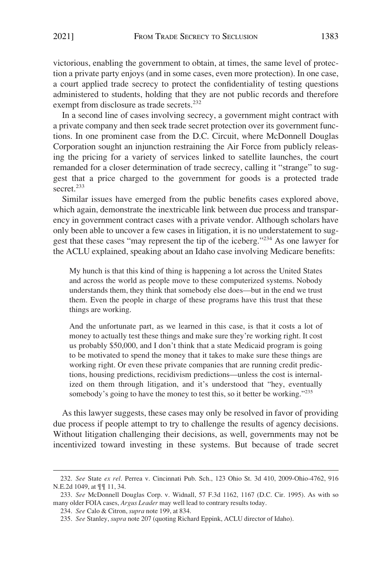victorious, enabling the government to obtain, at times, the same level of protection a private party enjoys (and in some cases, even more protection). In one case, a court applied trade secrecy to protect the confidentiality of testing questions administered to students, holding that they are not public records and therefore exempt from disclosure as trade secrets.<sup>232</sup>

In a second line of cases involving secrecy, a government might contract with a private company and then seek trade secret protection over its government functions. In one prominent case from the D.C. Circuit, where McDonnell Douglas Corporation sought an injunction restraining the Air Force from publicly releasing the pricing for a variety of services linked to satellite launches, the court remanded for a closer determination of trade secrecy, calling it "strange" to suggest that a price charged to the government for goods is a protected trade secret.<sup>233</sup>

Similar issues have emerged from the public benefits cases explored above, which again, demonstrate the inextricable link between due process and transparency in government contract cases with a private vendor. Although scholars have only been able to uncover a few cases in litigation, it is no understatement to suggest that these cases "may represent the tip of the iceberg."234 As one lawyer for the ACLU explained, speaking about an Idaho case involving Medicare benefits:

My hunch is that this kind of thing is happening a lot across the United States and across the world as people move to these computerized systems. Nobody understands them, they think that somebody else does—but in the end we trust them. Even the people in charge of these programs have this trust that these things are working.

And the unfortunate part, as we learned in this case, is that it costs a lot of money to actually test these things and make sure they're working right. It cost us probably \$50,000, and I don't think that a state Medicaid program is going to be motivated to spend the money that it takes to make sure these things are working right. Or even these private companies that are running credit predictions, housing predictions, recidivism predictions—unless the cost is internalized on them through litigation, and it's understood that "hey, eventually somebody's going to have the money to test this, so it better be working."<sup>235</sup>

As this lawyer suggests, these cases may only be resolved in favor of providing due process if people attempt to try to challenge the results of agency decisions. Without litigation challenging their decisions, as well, governments may not be incentivized toward investing in these systems. But because of trade secret

<sup>232.</sup> *See* State *ex rel.* Perrea v. Cincinnati Pub. Sch., 123 Ohio St. 3d 410, 2009-Ohio-4762, 916 N.E.2d 1049, at ¶¶ 11, 34.

<sup>233.</sup> *See* McDonnell Douglas Corp. v. Widnall, 57 F.3d 1162, 1167 (D.C. Cir. 1995). As with so many older FOIA cases, *Argus Leader* may well lead to contrary results today.

<sup>234.</sup> *See* Calo & Citron, *supra* note 199, at 834.

<sup>235.</sup> *See* Stanley, *supra* note 207 (quoting Richard Eppink, ACLU director of Idaho).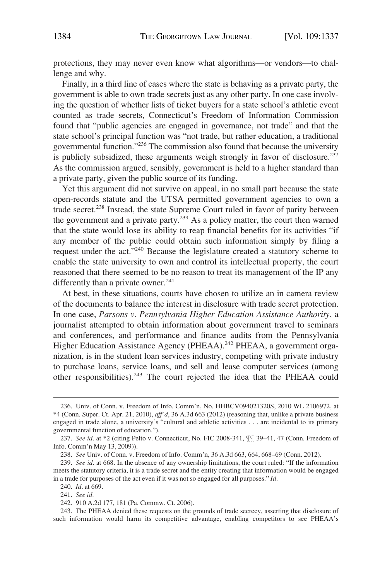protections, they may never even know what algorithms—or vendors—to challenge and why.

Finally, in a third line of cases where the state is behaving as a private party, the government is able to own trade secrets just as any other party. In one case involving the question of whether lists of ticket buyers for a state school's athletic event counted as trade secrets, Connecticut's Freedom of Information Commission found that "public agencies are engaged in governance, not trade" and that the state school's principal function was "not trade, but rather education, a traditional governmental function."236 The commission also found that because the university is publicly subsidized, these arguments weigh strongly in favor of disclosure.<sup>237</sup> As the commission argued, sensibly, government is held to a higher standard than a private party, given the public source of its funding.

Yet this argument did not survive on appeal, in no small part because the state open-records statute and the UTSA permitted government agencies to own a trade secret.238 Instead, the state Supreme Court ruled in favor of parity between the government and a private party.<sup>239</sup> As a policy matter, the court then warned that the state would lose its ability to reap financial benefits for its activities "if any member of the public could obtain such information simply by filing a request under the act."240 Because the legislature created a statutory scheme to enable the state university to own and control its intellectual property, the court reasoned that there seemed to be no reason to treat its management of the IP any differently than a private owner. $^{241}$ 

At best, in these situations, courts have chosen to utilize an in camera review of the documents to balance the interest in disclosure with trade secret protection. In one case, *Parsons v. Pennsylvania Higher Education Assistance Authority*, a journalist attempted to obtain information about government travel to seminars and conferences, and performance and finance audits from the Pennsylvania Higher Education Assistance Agency (PHEAA).<sup>242</sup> PHEAA, a government organization, is in the student loan services industry, competing with private industry to purchase loans, service loans, and sell and lease computer services (among other responsibilities).243 The court rejected the idea that the PHEAA could

<sup>236.</sup> Univ. of Conn. v. Freedom of Info. Comm'n, No. HHBCV094021320S, 2010 WL 2106972, at \*4 (Conn. Super. Ct. Apr. 21, 2010), *aff'd*, 36 A.3d 663 (2012) (reasoning that, unlike a private business engaged in trade alone, a university's "cultural and athletic activities . . . are incidental to its primary governmental function of education.").

<sup>237.</sup> *See id.* at \*2 (citing Pelto v. Connecticut, No. FIC 2008-341, ¶¶ 39–41, 47 (Conn. Freedom of Info. Comm'n May 13, 2009)).

<sup>238.</sup> *See* Univ. of Conn. v. Freedom of Info. Comm'n, 36 A.3d 663, 664, 668–69 (Conn. 2012).

<sup>239.</sup> *See id.* at 668. In the absence of any ownership limitations, the court ruled: "If the information meets the statutory criteria, it is a trade secret and the entity creating that information would be engaged in a trade for purposes of the act even if it was not so engaged for all purposes." *Id.* 

<sup>240.</sup> *Id.* at 669.

<sup>241.</sup> *See id.* 

<sup>242. 910</sup> A.2d 177, 181 (Pa. Commw. Ct. 2006).

<sup>243.</sup> The PHEAA denied these requests on the grounds of trade secrecy, asserting that disclosure of such information would harm its competitive advantage, enabling competitors to see PHEAA's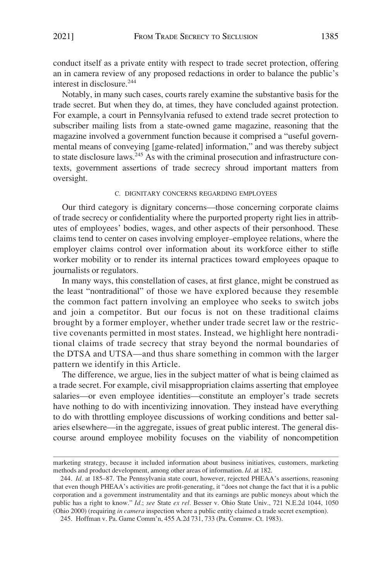conduct itself as a private entity with respect to trade secret protection, offering an in camera review of any proposed redactions in order to balance the public's interest in disclosure.244

Notably, in many such cases, courts rarely examine the substantive basis for the trade secret. But when they do, at times, they have concluded against protection. For example, a court in Pennsylvania refused to extend trade secret protection to subscriber mailing lists from a state-owned game magazine, reasoning that the magazine involved a government function because it comprised a "useful governmental means of conveying [game-related] information," and was thereby subject to state disclosure laws.245 As with the criminal prosecution and infrastructure contexts, government assertions of trade secrecy shroud important matters from oversight.

#### C. DIGNITARY CONCERNS REGARDING EMPLOYEES

Our third category is dignitary concerns—those concerning corporate claims of trade secrecy or confidentiality where the purported property right lies in attributes of employees' bodies, wages, and other aspects of their personhood. These claims tend to center on cases involving employer–employee relations, where the employer claims control over information about its workforce either to stifle worker mobility or to render its internal practices toward employees opaque to journalists or regulators.

In many ways, this constellation of cases, at first glance, might be construed as the least "nontraditional" of those we have explored because they resemble the common fact pattern involving an employee who seeks to switch jobs and join a competitor. But our focus is not on these traditional claims brought by a former employer, whether under trade secret law or the restrictive covenants permitted in most states. Instead, we highlight here nontraditional claims of trade secrecy that stray beyond the normal boundaries of the DTSA and UTSA—and thus share something in common with the larger pattern we identify in this Article.

The difference, we argue, lies in the subject matter of what is being claimed as a trade secret. For example, civil misappropriation claims asserting that employee salaries—or even employee identities—constitute an employer's trade secrets have nothing to do with incentivizing innovation. They instead have everything to do with throttling employee discussions of working conditions and better salaries elsewhere—in the aggregate, issues of great public interest. The general discourse around employee mobility focuses on the viability of noncompetition

marketing strategy, because it included information about business initiatives, customers, marketing methods and product development, among other areas of information. *Id.* at 182.

<sup>244.</sup> *Id.* at 185–87. The Pennsylvania state court, however, rejected PHEAA's assertions, reasoning that even though PHEAA's activities are profit-generating, it "does not change the fact that it is a public corporation and a government instrumentality and that its earnings are public moneys about which the public has a right to know." *Id.*; *see* State *ex rel.* Besser v. Ohio State Univ., 721 N.E.2d 1044, 1050 (Ohio 2000) (requiring *in camera* inspection where a public entity claimed a trade secret exemption).

<sup>245.</sup> Hoffman v. Pa. Game Comm'n, 455 A.2d 731, 733 (Pa. Commw. Ct. 1983).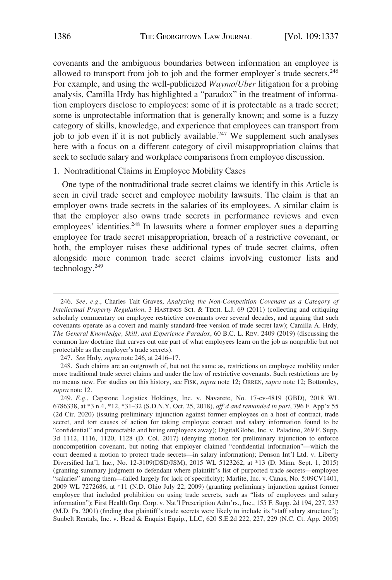covenants and the ambiguous boundaries between information an employee is allowed to transport from job to job and the former employer's trade secrets.<sup>246</sup> For example, and using the well-publicized *Waymo/Uber* litigation for a probing analysis, Camilla Hrdy has highlighted a "paradox" in the treatment of information employers disclose to employees: some of it is protectable as a trade secret; some is unprotectable information that is generally known; and some is a fuzzy category of skills, knowledge, and experience that employees can transport from job to job even if it is not publicly available.<sup>247</sup> We supplement such analyses here with a focus on a different category of civil misappropriation claims that seek to seclude salary and workplace comparisons from employee discussion.

## 1. Nontraditional Claims in Employee Mobility Cases

One type of the nontraditional trade secret claims we identify in this Article is seen in civil trade secret and employee mobility lawsuits. The claim is that an employer owns trade secrets in the salaries of its employees. A similar claim is that the employer also owns trade secrets in performance reviews and even employees' identities.<sup>248</sup> In lawsuits where a former employer sues a departing employee for trade secret misappropriation, breach of a restrictive covenant, or both, the employer raises these additional types of trade secret claims, often alongside more common trade secret claims involving customer lists and technology.249

<sup>246.</sup> *See, e.g.*, Charles Tait Graves, *Analyzing the Non-Competition Covenant as a Category of Intellectual Property Regulation*, 3 HASTINGS SCI. & TECH. L.J. 69 (2011) (collecting and critiquing scholarly commentary on employee restrictive covenants over several decades, and arguing that such covenants operate as a covert and mainly standard-free version of trade secret law); Camilla A. Hrdy, *The General Knowledge, Skill, and Experience Paradox*, 60 B.C. L. REV. 2409 (2019) (discussing the common law doctrine that carves out one part of what employees learn on the job as nonpublic but not protectable as the employer's trade secrets).

<sup>247.</sup> *See* Hrdy, *supra* note 246, at 2416–17.

<sup>248.</sup> Such claims are an outgrowth of, but not the same as, restrictions on employee mobility under more traditional trade secret claims and under the law of restrictive covenants. Such restrictions are by no means new. For studies on this history, see FISK, *supra* note 12; ORREN, *supra* note 12; Bottomley, *supra* note 12.

<sup>249.</sup> *E.g.*, Capstone Logistics Holdings, Inc. v. Navarete, No. 17-cv-4819 (GBD), 2018 WL 6786338, at \*3 n.4, \*12, \*31–32 (S.D.N.Y. Oct. 25, 2018), *aff'd and remanded in part*, 796 F. App'x 55 (2d Cir. 2020) (issuing preliminary injunction against former employees on a host of contract, trade secret, and tort causes of action for taking employee contact and salary information found to be "confidential" and protectable and hiring employees away); DigitalGlobe, Inc. v. Paladino, 269 F. Supp. 3d 1112, 1116, 1120, 1128 (D. Col. 2017) (denying motion for preliminary injunction to enforce noncompetition covenant, but noting that employer claimed "confidential information"—which the court deemed a motion to protect trade secrets—in salary information); Denson Int'l Ltd. v. Liberty Diversified Int'l, Inc., No. 12-3109(DSD/JSM), 2015 WL 5123262, at \*13 (D. Minn. Sept. 1, 2015) (granting summary judgment to defendant where plaintiff's list of purported trade secrets—employee "salaries" among them—failed largely for lack of specificity); Marlite, Inc. v. Canas, No. 5:09CV1401, 2009 WL 7272686, at \*11 (N.D. Ohio July 22, 2009) (granting preliminary injunction against former employee that included prohibition on using trade secrets, such as "lists of employees and salary information"); First Health Grp. Corp. v. Nat'l Prescription Adm'rs., Inc., 155 F. Supp. 2d 194, 227, 237 (M.D. Pa. 2001) (finding that plaintiff's trade secrets were likely to include its "staff salary structure"); Sunbelt Rentals, Inc. v. Head & Enquist Equip., LLC, 620 S.E.2d 222, 227, 229 (N.C. Ct. App. 2005)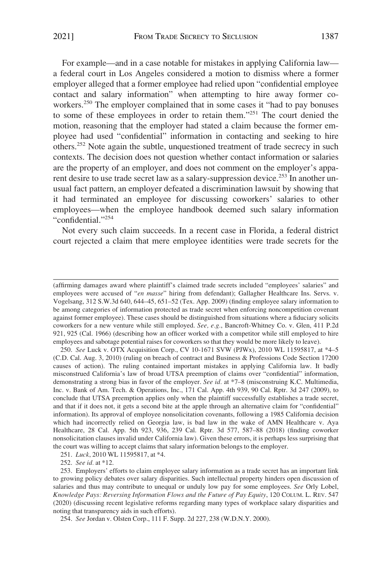For example—and in a case notable for mistakes in applying California law a federal court in Los Angeles considered a motion to dismiss where a former employer alleged that a former employee had relied upon "confidential employee contact and salary information" when attempting to hire away former coworkers.<sup>250</sup> The employer complained that in some cases it "had to pay bonuses" to some of these employees in order to retain them."251 The court denied the motion, reasoning that the employer had stated a claim because the former employee had used "confidential" information in contacting and seeking to hire others.252 Note again the subtle, unquestioned treatment of trade secrecy in such contexts. The decision does not question whether contact information or salaries are the property of an employer, and does not comment on the employer's apparent desire to use trade secret law as a salary-suppression device.<sup>253</sup> In another unusual fact pattern, an employer defeated a discrimination lawsuit by showing that it had terminated an employee for discussing coworkers' salaries to other employees—when the employee handbook deemed such salary information "confidential."<sup>254</sup>

Not every such claim succeeds. In a recent case in Florida, a federal district court rejected a claim that mere employee identities were trade secrets for the

250. *See* Luck v. OTX Acquisition Corp., CV 10-1671 SVW (PJWx), 2010 WL 11595817, at \*4–5 (C.D. Cal. Aug. 3, 2010) (ruling on breach of contract and Business & Professions Code Section 17200 causes of action). The ruling contained important mistakes in applying California law. It badly misconstrued California's law of broad UTSA preemption of claims over "confidential" information, demonstrating a strong bias in favor of the employer. *See id.* at \*7–8 (misconstruing K.C. Multimedia, Inc. v. Bank of Am. Tech. & Operations, Inc., 171 Cal. App. 4th 939, 90 Cal. Rptr. 3d 247 (2009), to conclude that UTSA preemption applies only when the plaintiff successfully establishes a trade secret, and that if it does not, it gets a second bite at the apple through an alternative claim for "confidential" information). Its approval of employee nonsolicitation covenants, following a 1985 California decision which had incorrectly relied on Georgia law, is bad law in the wake of AMN Healthcare v. Aya Healthcare, 28 Cal. App. 5th 923, 936, 239 Cal. Rptr. 3d 577, 587–88 (2018) (finding coworker nonsolicitation clauses invalid under California law). Given these errors, it is perhaps less surprising that the court was willing to accept claims that salary information belongs to the employer.

251. *Luck*, 2010 WL 11595817, at \*4.

252. *See id.* at \*12.

<sup>(</sup>affirming damages award where plaintiff's claimed trade secrets included "employees' salaries" and employees were accused of "en masse" hiring from defendant); Gallagher Healthcare Ins. Servs. v. Vogelsang, 312 S.W.3d 640, 644–45, 651–52 (Tex. App. 2009) (finding employee salary information to be among categories of information protected as trade secret when enforcing noncompetition covenant against former employee). These cases should be distinguished from situations where a fiduciary solicits coworkers for a new venture while still employed. *See, e.g.*, Bancroft-Whitney Co. v. Glen, 411 P.2d 921, 925 (Cal. 1966) (describing how an officer worked with a competitor while still employed to hire employees and sabotage potential raises for coworkers so that they would be more likely to leave).

<sup>253.</sup> Employers' efforts to claim employee salary information as a trade secret has an important link to growing policy debates over salary disparities. Such intellectual property hinders open discussion of salaries and thus may contribute to unequal or unduly low pay for some employees. *See* Orly Lobel, *Knowledge Pays: Reversing Information Flows and the Future of Pay Equity*, 120 COLUM. L. REV. 547 (2020) (discussing recent legislative reforms regarding many types of workplace salary disparities and noting that transparency aids in such efforts).

<sup>254.</sup> *See* Jordan v. Olsten Corp., 111 F. Supp. 2d 227, 238 (W.D.N.Y. 2000).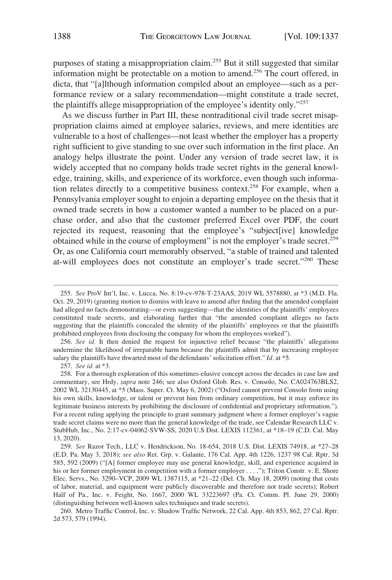purposes of stating a misappropriation claim.255 But it still suggested that similar information might be protectable on a motion to amend.256 The court offered, in dicta, that "[a]lthough information compiled about an employee—such as a performance review or a salary recommendation—might constitute a trade secret, the plaintiffs allege misappropriation of the employee's identity only."257

As we discuss further in Part III, these nontraditional civil trade secret misappropriation claims aimed at employee salaries, reviews, and mere identities are vulnerable to a host of challenges—not least whether the employer has a property right sufficient to give standing to sue over such information in the first place. An analogy helps illustrate the point. Under any version of trade secret law, it is widely accepted that no company holds trade secret rights in the general knowledge, training, skills, and experience of its workforce, even though such information relates directly to a competitive business context.<sup>258</sup> For example, when a Pennsylvania employer sought to enjoin a departing employee on the thesis that it owned trade secrets in how a customer wanted a number to be placed on a purchase order, and also that the customer preferred Excel over PDF, the court rejected its request, reasoning that the employee's "subject[ive] knowledge obtained while in the course of employment" is not the employer's trade secret.<sup>259</sup> Or, as one California court memorably observed, "a stable of trained and talented at-will employees does not constitute an employer's trade secret."260 These

256. *See id.* It then denied the request for injunctive relief because "the plaintiffs' allegations undermine the likelihood of irreparable harm because the plaintiffs admit that by increasing employee salary the plaintiffs have thwarted most of the defendants' solicitation effort." *Id.* at \*5.

257. *See id.* at \*3.

260. Metro Traffic Control, Inc. v. Shadow Traffic Network, 22 Cal. App. 4th 853, 862, 27 Cal. Rptr. 2d 573, 579 (1994).

<sup>255.</sup> *See* ProV Int'l, Inc. v. Lucca, No. 8:19-cv-978-T-23AAS, 2019 WL 5578880, at \*3 (M.D. Fla. Oct. 29, 2019) (granting motion to dismiss with leave to amend after finding that the amended complaint had alleged no facts demonstrating—or even suggesting—that the identities of the plaintiffs' employees constituted trade secrets, and elaborating further that "the amended complaint alleges no facts suggesting that the plaintiffs concealed the identity of the plaintiffs' employees or that the plaintiffs prohibited employees from disclosing the company for whom the employees worked").

<sup>258.</sup> For a thorough exploration of this sometimes-elusive concept across the decades in case law and commentary, see Hrdy, *supra* note 246; see also Oxford Glob. Res. v. Consolo, No. CA024763BLS2, 2002 WL 32130445, at \*5 (Mass. Super. Ct. May 6, 2002) ("Oxford cannot prevent Consolo from using his own skills, knowledge, or talent or prevent him from ordinary competition, but it may enforce its legitimate business interests by prohibiting the disclosure of confidential and proprietary information."). For a recent ruling applying the principle to grant summary judgment where a former employer's vague trade secret claims were no more than the general knowledge of the trade, see Calendar Research LLC v. StubHub, Inc., No. 2:17-cv-04062-SVW-SS, 2020 U.S Dist. LEXIS 112361, at \*18–19 (C.D. Cal. May 13, 2020).

<sup>259.</sup> *See* Razor Tech., LLC v. Hendrickson, No. 18-654, 2018 U.S. Dist. LEXIS 74918, at \*27–28 (E.D. Pa. May 3, 2018); *see also* Ret. Grp. v. Galante, 176 Cal. App. 4th 1226, 1237 98 Cal. Rptr. 3d 585, 592 (2009) ("[A] former employee may use general knowledge, skill, and experience acquired in his or her former employment in competition with a former employer . . . ."); Triton Constr. v. E. Shore Elec. Servs., No. 3290–VCP, 2009 WL 1387115, at \*21–22 (Del. Ch. May 18, 2009) (noting that costs of labor, material, and equipment were publicly discoverable and therefore not trade secrets); Robert Half of Pa., Inc. v. Feight, No. 1667, 2000 WL 33223697 (Pa. Ct. Comm. Pl. June 29, 2000) (distinguishing between well-known sales techniques and trade secrets).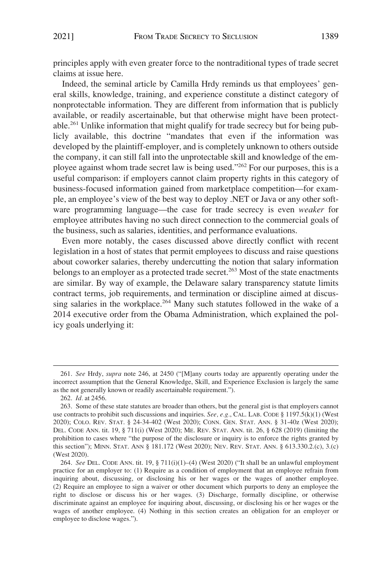principles apply with even greater force to the nontraditional types of trade secret claims at issue here.

Indeed, the seminal article by Camilla Hrdy reminds us that employees' general skills, knowledge, training, and experience constitute a distinct category of nonprotectable information. They are different from information that is publicly available, or readily ascertainable, but that otherwise might have been protectable.261 Unlike information that might qualify for trade secrecy but for being publicly available, this doctrine "mandates that even if the information was developed by the plaintiff-employer, and is completely unknown to others outside the company, it can still fall into the unprotectable skill and knowledge of the employee against whom trade secret law is being used."262 For our purposes, this is a useful comparison: if employers cannot claim property rights in this category of business-focused information gained from marketplace competition—for example, an employee's view of the best way to deploy .NET or Java or any other software programming language—the case for trade secrecy is even *weaker* for employee attributes having no such direct connection to the commercial goals of the business, such as salaries, identities, and performance evaluations.

Even more notably, the cases discussed above directly conflict with recent legislation in a host of states that permit employees to discuss and raise questions about coworker salaries, thereby undercutting the notion that salary information belongs to an employer as a protected trade secret.<sup>263</sup> Most of the state enactments are similar. By way of example, the Delaware salary transparency statute limits contract terms, job requirements, and termination or discipline aimed at discussing salaries in the workplace.<sup>264</sup> Many such statutes followed in the wake of a 2014 executive order from the Obama Administration, which explained the policy goals underlying it:

<sup>261.</sup> *See* Hrdy, *supra* note 246, at 2450 ("[M]any courts today are apparently operating under the incorrect assumption that the General Knowledge, Skill, and Experience Exclusion is largely the same as the not generally known or readily ascertainable requirement.").

<sup>262.</sup> *Id.* at 2456.

<sup>263.</sup> Some of these state statutes are broader than others, but the general gist is that employers cannot use contracts to prohibit such discussions and inquiries. *See, e.g.*, CAL. LAB. CODE § 1197.5(k)(1) (West 2020); COLO. REV. STAT. § 24-34-402 (West 2020); CONN. GEN. STAT. ANN. § 31-40z (West 2020); DEL. CODE ANN. tit. 19, § 711(i) (West 2020); ME. REV. STAT. ANN. tit. 26, § 628 (2019) (limiting the prohibition to cases where "the purpose of the disclosure or inquiry is to enforce the rights granted by this section"); MINN. STAT. ANN § 181.172 (West 2020); NEV. REV. STAT. ANN. § 613.330.2.(c), 3.(c) (West 2020).

<sup>264.</sup> *See* DEL. CODE ANN. tit. 19, § 711(i)(1)–(4) (West 2020) ("It shall be an unlawful employment practice for an employer to: (1) Require as a condition of employment that an employee refrain from inquiring about, discussing, or disclosing his or her wages or the wages of another employee. (2) Require an employee to sign a waiver or other document which purports to deny an employee the right to disclose or discuss his or her wages. (3) Discharge, formally discipline, or otherwise discriminate against an employee for inquiring about, discussing, or disclosing his or her wages or the wages of another employee. (4) Nothing in this section creates an obligation for an employer or employee to disclose wages.").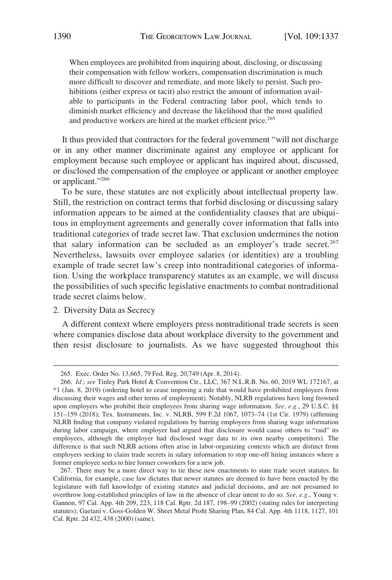When employees are prohibited from inquiring about, disclosing, or discussing their compensation with fellow workers, compensation discrimination is much more difficult to discover and remediate, and more likely to persist. Such prohibitions (either express or tacit) also restrict the amount of information available to participants in the Federal contracting labor pool, which tends to diminish market efficiency and decrease the likelihood that the most qualified and productive workers are hired at the market efficient price.<sup>265</sup>

It thus provided that contractors for the federal government "will not discharge or in any other manner discriminate against any employee or applicant for employment because such employee or applicant has inquired about, discussed, or disclosed the compensation of the employee or applicant or another employee or applicant."266

To be sure, these statutes are not explicitly about intellectual property law. Still, the restriction on contract terms that forbid disclosing or discussing salary information appears to be aimed at the confidentiality clauses that are ubiquitous in employment agreements and generally cover information that falls into traditional categories of trade secret law. That exclusion undermines the notion that salary information can be secluded as an employer's trade secret.<sup>267</sup> Nevertheless, lawsuits over employee salaries (or identities) are a troubling example of trade secret law's creep into nontraditional categories of information. Using the workplace transparency statutes as an example, we will discuss the possibilities of such specific legislative enactments to combat nontraditional trade secret claims below.

# 2. Diversity Data as Secrecy

A different context where employers press nontraditional trade secrets is seen where companies disclose data about workplace diversity to the government and then resist disclosure to journalists. As we have suggested throughout this

<sup>265.</sup> Exec. Order No. 13,665, 79 Fed. Reg. 20,749 (Apr. 8, 2014).

<sup>266.</sup> *Id.*; *see* Tinley Park Hotel & Convention Ctr., LLC, 367 N.L.R.B. No. 60, 2019 WL 172167, at \*1 (Jan. 8, 2019) (ordering hotel to cease imposing a rule that would have prohibited employees from discussing their wages and other terms of employment). Notably, NLRB regulations have long frowned upon employers who prohibit their employees from sharing wage information. *See, e.g.*, 29 U.S.C. §§ 151–159 (2018); Tex. Instruments, Inc. v. NLRB, 599 F.2d 1067, 1073–74 (1st Cir. 1979) (affirming NLRB finding that company violated regulations by barring employees from sharing wage information during labor campaign, where employer had argued that disclosure would cause others to "raid" its employees, although the employer had disclosed wage data to its own nearby competitors). The difference is that such NLRB actions often arise in labor-organizing contexts which are distinct from employers seeking to claim trade secrets in salary information to stop one-off hiring instances where a former employee seeks to hire former coworkers for a new job.

<sup>267.</sup> There may be a more direct way to tie these new enactments to state trade secret statutes. In California, for example, case law dictates that newer statutes are deemed to have been enacted by the legislature with full knowledge of existing statutes and judicial decisions, and are not presumed to overthrow long-established principles of law in the absence of clear intent to do so. *See, e.g.*, Young v. Gannon, 97 Cal. App. 4th 209, 223, 118 Cal. Rptr. 2d 187, 198–99 (2002) (stating rules for interpreting statutes); Gaetani v. Goss-Golden W. Sheet Metal Profit Sharing Plan, 84 Cal. App. 4th 1118, 1127, 101 Cal. Rptr. 2d 432, 438 (2000) (same).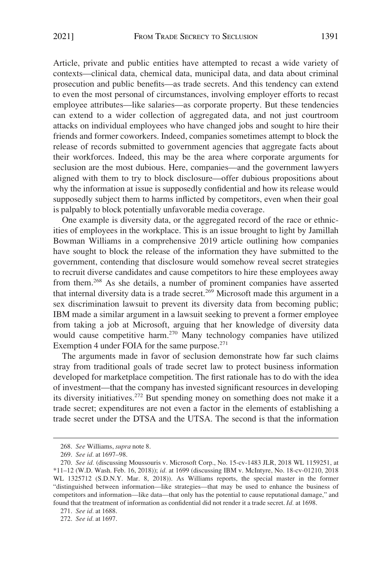Article, private and public entities have attempted to recast a wide variety of contexts—clinical data, chemical data, municipal data, and data about criminal prosecution and public benefits—as trade secrets. And this tendency can extend to even the most personal of circumstances, involving employer efforts to recast employee attributes—like salaries—as corporate property. But these tendencies can extend to a wider collection of aggregated data, and not just courtroom attacks on individual employees who have changed jobs and sought to hire their friends and former coworkers. Indeed, companies sometimes attempt to block the release of records submitted to government agencies that aggregate facts about their workforces. Indeed, this may be the area where corporate arguments for seclusion are the most dubious. Here, companies—and the government lawyers aligned with them to try to block disclosure—offer dubious propositions about why the information at issue is supposedly confidential and how its release would supposedly subject them to harms inflicted by competitors, even when their goal is palpably to block potentially unfavorable media coverage.

One example is diversity data, or the aggregated record of the race or ethnicities of employees in the workplace. This is an issue brought to light by Jamillah Bowman Williams in a comprehensive 2019 article outlining how companies have sought to block the release of the information they have submitted to the government, contending that disclosure would somehow reveal secret strategies to recruit diverse candidates and cause competitors to hire these employees away from them.268 As she details, a number of prominent companies have asserted that internal diversity data is a trade secret.<sup>269</sup> Microsoft made this argument in a sex discrimination lawsuit to prevent its diversity data from becoming public; IBM made a similar argument in a lawsuit seeking to prevent a former employee from taking a job at Microsoft, arguing that her knowledge of diversity data would cause competitive harm.<sup>270</sup> Many technology companies have utilized Exemption 4 under FOIA for the same purpose. $271$ 

The arguments made in favor of seclusion demonstrate how far such claims stray from traditional goals of trade secret law to protect business information developed for marketplace competition. The first rationale has to do with the idea of investment—that the company has invested significant resources in developing its diversity initiatives.272 But spending money on something does not make it a trade secret; expenditures are not even a factor in the elements of establishing a trade secret under the DTSA and the UTSA. The second is that the information

<sup>268.</sup> *See* Williams, *supra* note 8.

<sup>269.</sup> *See id.* at 1697–98.

<sup>270.</sup> *See id.* (discussing Moussouris v. Microsoft Corp., No. 15-cv-1483 JLR, 2018 WL 1159251, at \*11–12 (W.D. Wash. Feb. 16, 2018)); *id.* at 1699 (discussing IBM v. McIntyre, No. 18-cv-01210, 2018 WL 1325712 (S.D.N.Y. Mar. 8, 2018)). As Williams reports, the special master in the former "distinguished between information—like strategies—that may be used to enhance the business of competitors and information—like data—that only has the potential to cause reputational damage," and found that the treatment of information as confidential did not render it a trade secret. *Id.* at 1698.

<sup>271.</sup> *See id.* at 1688.

<sup>272.</sup> *See id.* at 1697.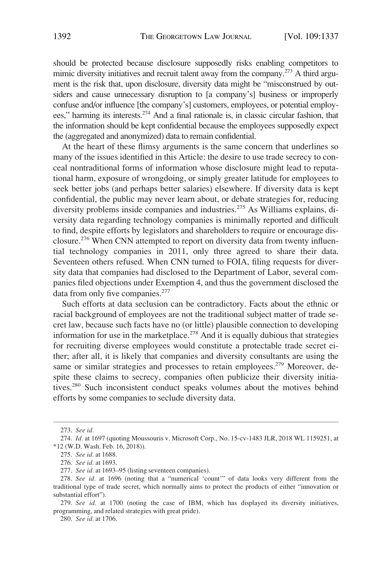should be protected because disclosure supposedly risks enabling competitors to mimic diversity initiatives and recruit talent away from the company.<sup>273</sup> A third argument is the risk that, upon disclosure, diversity data might be "misconstrued by outsiders and cause unnecessary disruption to [a company's] business or improperly confuse and/or influence [the company's] customers, employees, or potential employees," harming its interests.274 And a final rationale is, in classic circular fashion, that the information should be kept confidential because the employees supposedly expect the (aggregated and anonymized) data to remain confidential.

At the heart of these flimsy arguments is the same concern that underlines so many of the issues identified in this Article: the desire to use trade secrecy to conceal nontraditional forms of information whose disclosure might lead to reputational harm, exposure of wrongdoing, or simply greater latitude for employees to seek better jobs (and perhaps better salaries) elsewhere. If diversity data is kept confidential, the public may never learn about, or debate strategies for, reducing diversity problems inside companies and industries.<sup>275</sup> As Williams explains, diversity data regarding technology companies is minimally reported and difficult to find, despite efforts by legislators and shareholders to require or encourage disclosure.<sup>276</sup> When CNN attempted to report on diversity data from twenty influential technology companies in 2011, only three agreed to share their data. Seventeen others refused. When CNN turned to FOIA, filing requests for diversity data that companies had disclosed to the Department of Labor, several companies filed objections under Exemption 4, and thus the government disclosed the data from only five companies.<sup>277</sup>

Such efforts at data seclusion can be contradictory. Facts about the ethnic or racial background of employees are not the traditional subject matter of trade secret law, because such facts have no (or little) plausible connection to developing information for use in the marketplace.<sup>278</sup> And it is equally dubious that strategies for recruiting diverse employees would constitute a protectable trade secret either; after all, it is likely that companies and diversity consultants are using the same or similar strategies and processes to retain employees.<sup>279</sup> Moreover, despite these claims to secrecy, companies often publicize their diversity initiatives.<sup>280</sup> Such inconsistent conduct speaks volumes about the motives behind efforts by some companies to seclude diversity data.

279. *See id.* at 1700 (noting the case of IBM, which has displayed its diversity initiatives, programming, and related strategies with great pride).

280. *See id.* at 1706.

<sup>273.</sup> *See id.* 

<sup>274.</sup> *Id.* at 1697 (quoting Moussouris v. Microsoft Corp., No. 15-cv-1483 JLR, 2018 WL 1159251, at \*12 (W.D. Wash. Feb. 16, 2018)).

<sup>275.</sup> *See id.* at 1688.

<sup>276.</sup> *See id.* at 1693.

<sup>277.</sup> *See id.* at 1693–95 (listing seventeen companies).

<sup>278.</sup> *See id.* at 1696 (noting that a "numerical 'count'" of data looks very different from the traditional type of trade secret, which normally aims to protect the products of either "innovation or substantial effort").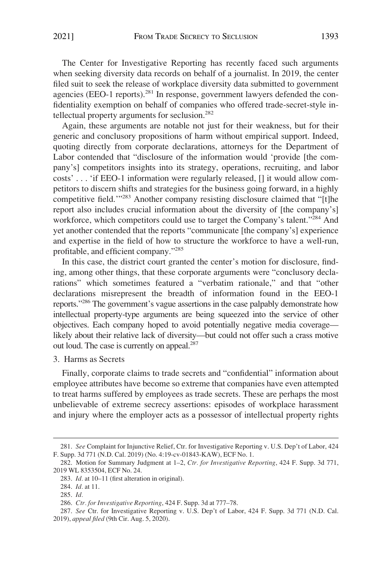The Center for Investigative Reporting has recently faced such arguments when seeking diversity data records on behalf of a journalist. In 2019, the center filed suit to seek the release of workplace diversity data submitted to government agencies (EEO-1 reports).<sup>281</sup> In response, government lawyers defended the confidentiality exemption on behalf of companies who offered trade-secret-style intellectual property arguments for seclusion.<sup>282</sup>

Again, these arguments are notable not just for their weakness, but for their generic and conclusory propositions of harm without empirical support. Indeed, quoting directly from corporate declarations, attorneys for the Department of Labor contended that "disclosure of the information would 'provide [the company's] competitors insights into its strategy, operations, recruiting, and labor costs' . . . 'if EEO-1 information were regularly released, [] it would allow competitors to discern shifts and strategies for the business going forward, in a highly competitive field."<sup>283</sup> Another company resisting disclosure claimed that "[t]he report also includes crucial information about the diversity of [the company's] workforce, which competitors could use to target the Company's talent."<sup>284</sup> And yet another contended that the reports "communicate [the company's] experience and expertise in the field of how to structure the workforce to have a well-run, profitable, and efficient company."285

In this case, the district court granted the center's motion for disclosure, finding, among other things, that these corporate arguments were "conclusory declarations" which sometimes featured a "verbatim rationale," and that "other declarations misrepresent the breadth of information found in the EEO-1 reports."286 The government's vague assertions in the case palpably demonstrate how intellectual property-type arguments are being squeezed into the service of other objectives. Each company hoped to avoid potentially negative media coverage likely about their relative lack of diversity—but could not offer such a crass motive out loud. The case is currently on appeal.<sup>287</sup>

3. Harms as Secrets

Finally, corporate claims to trade secrets and "confidential" information about employee attributes have become so extreme that companies have even attempted to treat harms suffered by employees as trade secrets. These are perhaps the most unbelievable of extreme secrecy assertions: episodes of workplace harassment and injury where the employer acts as a possessor of intellectual property rights

<sup>281.</sup> *See* Complaint for Injunctive Relief, Ctr. for Investigative Reporting v. U.S. Dep't of Labor, 424 F. Supp. 3d 771 (N.D. Cal. 2019) (No. 4:19-cv-01843-KAW), ECF No. 1.

<sup>282.</sup> Motion for Summary Judgment at 1–2, *Ctr. for Investigative Reporting*, 424 F. Supp. 3d 771, 2019 WL 8353504, ECF No. 24.

<sup>283.</sup> *Id.* at 10–11 (first alteration in original).

<sup>284.</sup> *Id.* at 11.

<sup>285.</sup> *Id.* 

<sup>286.</sup> *Ctr. for Investigative Reporting*, 424 F. Supp. 3d at 777–78.

<sup>287.</sup> *See* Ctr. for Investigative Reporting v. U.S. Dep't of Labor, 424 F. Supp. 3d 771 (N.D. Cal. 2019), *appeal filed* (9th Cir. Aug. 5, 2020).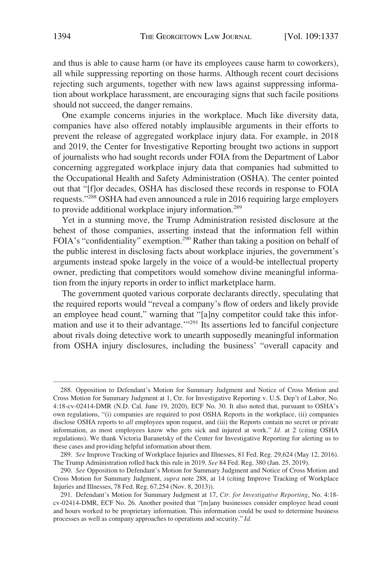and thus is able to cause harm (or have its employees cause harm to coworkers), all while suppressing reporting on those harms. Although recent court decisions rejecting such arguments, together with new laws against suppressing information about workplace harassment, are encouraging signs that such facile positions should not succeed, the danger remains.

One example concerns injuries in the workplace. Much like diversity data, companies have also offered notably implausible arguments in their efforts to prevent the release of aggregated workplace injury data. For example, in 2018 and 2019, the Center for Investigative Reporting brought two actions in support of journalists who had sought records under FOIA from the Department of Labor concerning aggregated workplace injury data that companies had submitted to the Occupational Health and Safety Administration (OSHA). The center pointed out that "[f]or decades, OSHA has disclosed these records in response to FOIA requests."288 OSHA had even announced a rule in 2016 requiring large employers to provide additional workplace injury information.<sup>289</sup>

Yet in a stunning move, the Trump Administration resisted disclosure at the behest of those companies, asserting instead that the information fell within FOIA's "confidentiality" exemption.<sup>290</sup> Rather than taking a position on behalf of the public interest in disclosing facts about workplace injuries, the government's arguments instead spoke largely in the voice of a would-be intellectual property owner, predicting that competitors would somehow divine meaningful information from the injury reports in order to inflict marketplace harm.

The government quoted various corporate declarants directly, speculating that the required reports would "reveal a company's flow of orders and likely provide an employee head count," warning that "[a]ny competitor could take this information and use it to their advantage.'"291 Its assertions led to fanciful conjecture about rivals doing detective work to unearth supposedly meaningful information from OSHA injury disclosures, including the business' "overall capacity and

<sup>288.</sup> Opposition to Defendant's Motion for Summary Judgment and Notice of Cross Motion and Cross Motion for Summary Judgment at 1, Ctr. for Investigative Reporting v. U.S. Dep't of Labor, No. 4:18-cv-02414-DMR (N.D. Cal. June 19, 2020), ECF No. 30. It also noted that, pursuant to OSHA's own regulations, "(i) companies are required to post OSHA Reports in the workplace, (ii) companies disclose OSHA reports to *all* employees upon request, and (iii) the Reports contain no secret or private information, as most employees know who gets sick and injured at work." *Id.* at 2 (citing OSHA regulations). We thank Victoria Baranetsky of the Center for Investigative Reporting for alerting us to these cases and providing helpful information about them.

<sup>289.</sup> *See* Improve Tracking of Workplace Injuries and Illnesses, 81 Fed. Reg. 29,624 (May 12, 2016). The Trump Administration rolled back this rule in 2019. *See* 84 Fed. Reg. 380 (Jan. 25, 2019).

<sup>290.</sup> *See* Opposition to Defendant's Motion for Summary Judgment and Notice of Cross Motion and Cross Motion for Summary Judgment, *supra* note 288, at 14 (citing Improve Tracking of Workplace Injuries and Illnesses, 78 Fed. Reg. 67,254 (Nov. 8, 2013)).

<sup>291.</sup> Defendant's Motion for Summary Judgment at 17, *Ctr. for Investigative Reporting*, No. 4:18 cv-02414-DMR, ECF No. 26. Another posited that "[m]any businesses consider employee head count and hours worked to be proprietary information. This information could be used to determine business processes as well as company approaches to operations and security." *Id.*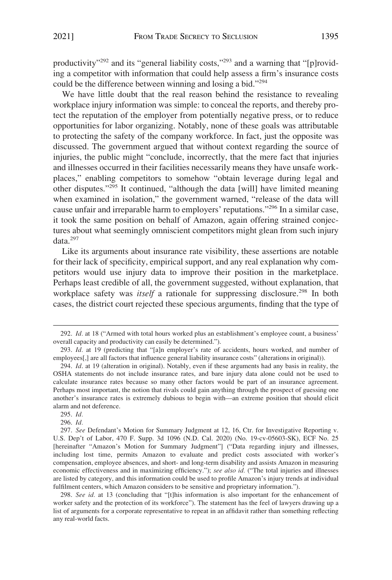productivity"<sup>292</sup> and its "general liability costs,"<sup>293</sup> and a warning that "[p]roviding a competitor with information that could help assess a firm's insurance costs could be the difference between winning and losing a bid."294

We have little doubt that the real reason behind the resistance to revealing workplace injury information was simple: to conceal the reports, and thereby protect the reputation of the employer from potentially negative press, or to reduce opportunities for labor organizing. Notably, none of these goals was attributable to protecting the safety of the company workforce. In fact, just the opposite was discussed. The government argued that without context regarding the source of injuries, the public might "conclude, incorrectly, that the mere fact that injuries and illnesses occurred in their facilities necessarily means they have unsafe workplaces," enabling competitors to somehow "obtain leverage during legal and other disputes."295 It continued, "although the data [will] have limited meaning when examined in isolation," the government warned, "release of the data will cause unfair and irreparable harm to employers' reputations."296 In a similar case, it took the same position on behalf of Amazon, again offering strained conjectures about what seemingly omniscient competitors might glean from such injury data.297

Like its arguments about insurance rate visibility, these assertions are notable for their lack of specificity, empirical support, and any real explanation why competitors would use injury data to improve their position in the marketplace. Perhaps least credible of all, the government suggested, without explanation, that workplace safety was *itself* a rationale for suppressing disclosure.<sup>298</sup> In both cases, the district court rejected these specious arguments, finding that the type of

298. *See id.* at 13 (concluding that "[t]his information is also important for the enhancement of worker safety and the protection of its workforce"). The statement has the feel of lawyers drawing up a list of arguments for a corporate representative to repeat in an affidavit rather than something reflecting any real-world facts.

<sup>292.</sup> *Id.* at 18 ("Armed with total hours worked plus an establishment's employee count, a business' overall capacity and productivity can easily be determined.").

<sup>293.</sup> *Id.* at 19 (predicting that "[a]n employer's rate of accidents, hours worked, and number of employees[,] are all factors that influence general liability insurance costs" (alterations in original)).

<sup>294.</sup> *Id*. at 19 (alteration in original). Notably, even if these arguments had any basis in reality, the OSHA statements do not include insurance rates, and bare injury data alone could not be used to calculate insurance rates because so many other factors would be part of an insurance agreement. Perhaps most important, the notion that rivals could gain anything through the prospect of guessing one another's insurance rates is extremely dubious to begin with—an extreme position that should elicit alarm and not deference.

<sup>295.</sup> *Id.* 

<sup>296.</sup> *Id.* 

<sup>297.</sup> *See* Defendant's Motion for Summary Judgment at 12, 16, Ctr. for Investigative Reporting v. U.S. Dep't of Labor, 470 F. Supp. 3d 1096 (N.D. Cal. 2020) (No. 19-cv-05603-SK), ECF No. 25 [hereinafter "Amazon's Motion for Summary Judgment"] ("Data regarding injury and illnesses, including lost time, permits Amazon to evaluate and predict costs associated with worker's compensation, employee absences, and short- and long-term disability and assists Amazon in measuring economic effectiveness and in maximizing efficiency."); *see also id.* ("The total injuries and illnesses are listed by category, and this information could be used to profile Amazon's injury trends at individual fulfilment centers, which Amazon considers to be sensitive and proprietary information.").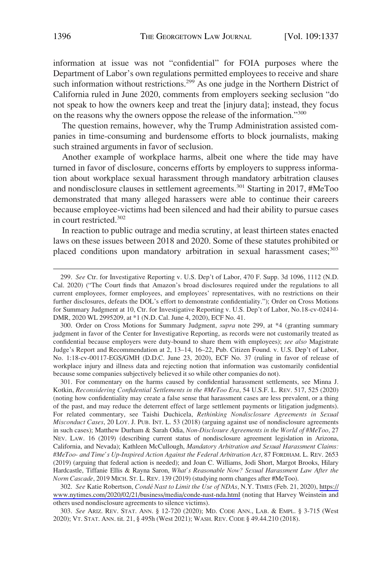information at issue was not "confidential" for FOIA purposes where the Department of Labor's own regulations permitted employees to receive and share such information without restrictions.<sup>299</sup> As one judge in the Northern District of California ruled in June 2020, comments from employers seeking seclusion "do not speak to how the owners keep and treat the [injury data]; instead, they focus on the reasons why the owners oppose the release of the information."<sup>300</sup>

The question remains, however, why the Trump Administration assisted companies in time-consuming and burdensome efforts to block journalists, making such strained arguments in favor of seclusion.

Another example of workplace harms, albeit one where the tide may have turned in favor of disclosure, concerns efforts by employers to suppress information about workplace sexual harassment through mandatory arbitration clauses and nondisclosure clauses in settlement agreements.301 Starting in 2017, #MeToo demonstrated that many alleged harassers were able to continue their careers because employee-victims had been silenced and had their ability to pursue cases in court restricted.<sup>302</sup>

In reaction to public outrage and media scrutiny, at least thirteen states enacted laws on these issues between 2018 and 2020. Some of these statutes prohibited or placed conditions upon mandatory arbitration in sexual harassment cases;<sup>303</sup>

300. Order on Cross Motions for Summary Judgment, *supra* note 299, at \*4 (granting summary judgment in favor of the Center for Investigative Reporting, as records were not customarily treated as confidential because employers were duty-bound to share them with employees); *see also* Magistrate Judge's Report and Recommendation at 2, 13–14, 16–22, Pub. Citizen Found. v. U.S. Dep't of Labor, No. 1:18-cv-00117-EGS/GMH (D.D.C. June 23, 2020), ECF No. 37 (ruling in favor of release of workplace injury and illness data and rejecting notion that information was customarily confidential because some companies subjectively believed it so while other companies do not).

301. For commentary on the harms caused by confidential harassment settlements, see Minna J. Kotkin, *Reconsidering Confidential Settlements in the #MeToo Era*, 54 U.S.F. L. REV. 517, 525 (2020) (noting how confidentiality may create a false sense that harassment cases are less prevalent, or a thing of the past, and may reduce the deterrent effect of large settlement payments or litigation judgments). For related commentary, see Taishi Duchicela, *Rethinking Nondisclosure Agreements in Sexual Misconduct Cases*, 20 LOY. J. PUB. INT. L. 53 (2018) (arguing against use of nondisclosure agreements in such cases); Matthew Durham & Sarah Odia, *Non-Disclosure Agreements in the World of #MeToo*, 27 NEV. LAW. 16 (2019) (describing current status of nondisclosure agreement legislation in Arizona, California, and Nevada); Kathleen McCullough, *Mandatory Arbitration and Sexual Harassment Claims: #MeToo- and Time's Up-Inspired Action Against the Federal Arbitration Act*, 87 FORDHAM. L. REV. 2653 (2019) (arguing that federal action is needed); and Joan C. Williams, Jodi Short, Margot Brooks, Hilary Hardcastle, Tiffanie Ellis & Rayna Saron, *What's Reasonable Now? Sexual Harassment Law After the Norm Cascade*, 2019 MICH. ST. L. REV. 139 (2019) (studying norm changes after #MeToo).

*See* Katie Robertson, *Condé Nast to Limit the Use of NDAs*, N.Y. TIMES (Feb. 21, 2020), [https://](https://www.nytimes.com/2020/02/21/business/media/conde-nast-nda.html)  302. [www.nytimes.com/2020/02/21/business/media/conde-nast-nda.html](https://www.nytimes.com/2020/02/21/business/media/conde-nast-nda.html) (noting that Harvey Weinstein and others used nondisclosure agreements to silence victims).

303. *See* ARIZ. REV. STAT. ANN. § 12-720 (2020); MD. CODE ANN., LAB. & EMPL. § 3-715 (West 2020); VT. STAT. ANN. tit. 21, § 495h (West 2021); WASH. REV. CODE § 49.44.210 (2018).

<sup>299.</sup> *See* Ctr. for Investigative Reporting v. U.S. Dep't of Labor, 470 F. Supp. 3d 1096, 1112 (N.D. Cal. 2020) ("The Court finds that Amazon's broad disclosures required under the regulations to all current employees, former employees, and employees' representatives, with no restrictions on their further disclosures, defeats the DOL's effort to demonstrate confidentiality."); Order on Cross Motions for Summary Judgment at 10, Ctr. for Investigative Reporting v. U.S. Dep't of Labor, No.18-cv-02414- DMR, 2020 WL 2995209, at \*1 (N.D. Cal. June 4, 2020), ECF No. 41.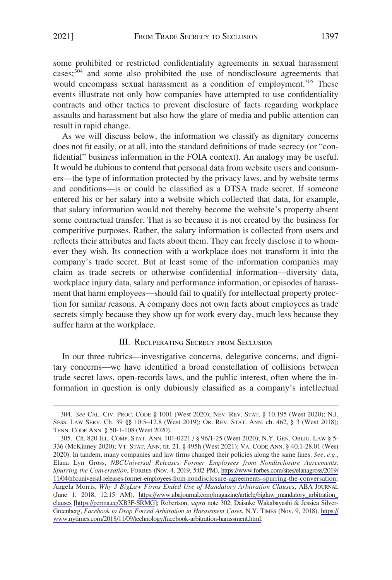some prohibited or restricted confidentiality agreements in sexual harassment cases;304 and some also prohibited the use of nondisclosure agreements that would encompass sexual harassment as a condition of employment.<sup>305</sup> These events illustrate not only how companies have attempted to use confidentiality contracts and other tactics to prevent disclosure of facts regarding workplace assaults and harassment but also how the glare of media and public attention can result in rapid change.

As we will discuss below, the information we classify as dignitary concerns does not fit easily, or at all, into the standard definitions of trade secrecy (or "confidential" business information in the FOIA context). An analogy may be useful. It would be dubious to contend that personal data from website users and consumers—the type of information protected by the privacy laws, and by website terms and conditions—is or could be classified as a DTSA trade secret. If someone entered his or her salary into a website which collected that data, for example, that salary information would not thereby become the website's property absent some contractual transfer. That is so because it is not created by the business for competitive purposes. Rather, the salary information is collected from users and reflects their attributes and facts about them. They can freely disclose it to whomever they wish. Its connection with a workplace does not transform it into the company's trade secret. But at least some of the information companies may claim as trade secrets or otherwise confidential information—diversity data, workplace injury data, salary and performance information, or episodes of harassment that harm employees—should fail to qualify for intellectual property protection for similar reasons. A company does not own facts about employees as trade secrets simply because they show up for work every day, much less because they suffer harm at the workplace.

# III. RECUPERATING SECRECY FROM SECLUSION

In our three rubrics—investigative concerns, delegative concerns, and dignitary concerns—we have identified a broad constellation of collisions between trade secret laws, open-records laws, and the public interest, often where the information in question is only dubiously classified as a company's intellectual

<sup>304.</sup> *See* CAL. CIV. PROC. CODE § 1001 (West 2020); NEV. REV. STAT. § 10.195 (West 2020); N.J. SESS. LAW SERV. Ch. 39 §§ 10:5–12.8 (West 2019); OR. REV. STAT. ANN. ch. 462, § 3 (West 2018); TENN. CODE ANN. § 50-1-108 (West 2020).

Ch. 820 ILL. COMP. STAT. ANN. 101-0221 / § 96/1-25 (West 2020); N.Y. GEN. OBLIG. LAW § 5- 305. 336 (McKinney 2020); VT. STAT. ANN. tit. 21, § 495h (West 2021); VA. CODE ANN. § 40.1-28.01 (West 2020). In tandem, many companies and law firms changed their policies along the same lines. *See, e.g.*, Elana Lyn Gross, *NBCUniversal Releases Former Employees from Nondisclosure Agreements, Spurring the Conversation*, FORBES (Nov. 4, 2019, 5:02 PM), [https://www.forbes.com/sites/elanagross/2019/](https://www.forbes.com/sites/elanagross/2019/11/04/nbcuniversal-releases-former-employees-from-nondisclosure-agreements-spurring-the-conversation)  [11/04/nbcuniversal-releases-former-employees-from-nondisclosure-agreements-spurring-the-conversation;](https://www.forbes.com/sites/elanagross/2019/11/04/nbcuniversal-releases-former-employees-from-nondisclosure-agreements-spurring-the-conversation) Angela Morris, *Why 3 BigLaw Firms Ended Use of Mandatory Arbitration Clauses*, ABA JOURNAL (June 1, 2018, 12:15 AM), [https://www.abajournal.com/magazine/article/biglaw\\_mandatory\\_arbitration\\_](https://www.abajournal.com/magazine/article/biglaw_mandatory_arbitration_clauses)  [clauses](https://www.abajournal.com/magazine/article/biglaw_mandatory_arbitration_clauses) [\[https://perma.cc/XB3F-SRMG](https://perma.cc/XB3F-SRMG)]; Robertson, *supra* note 302; Daisuke Wakabayashi & Jessica Silver-Greenberg, *Facebook to Drop Forced Arbitration in Harassment Cases*, N.Y. TIMES (Nov. 9, 2018), [https://](https://www.nytimes.com/2018/11/09/technology/facebook-arbitration-harassment.html)  [www.nytimes.com/2018/11/09/technology/facebook-arbitration-harassment.html.](https://www.nytimes.com/2018/11/09/technology/facebook-arbitration-harassment.html)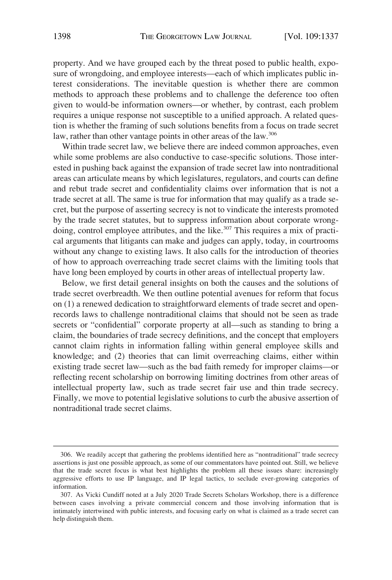property. And we have grouped each by the threat posed to public health, exposure of wrongdoing, and employee interests—each of which implicates public interest considerations. The inevitable question is whether there are common methods to approach these problems and to challenge the deference too often given to would-be information owners—or whether, by contrast, each problem requires a unique response not susceptible to a unified approach. A related question is whether the framing of such solutions benefits from a focus on trade secret law, rather than other vantage points in other areas of the law.<sup>306</sup>

Within trade secret law, we believe there are indeed common approaches, even while some problems are also conductive to case-specific solutions. Those interested in pushing back against the expansion of trade secret law into nontraditional areas can articulate means by which legislatures, regulators, and courts can define and rebut trade secret and confidentiality claims over information that is not a trade secret at all. The same is true for information that may qualify as a trade secret, but the purpose of asserting secrecy is not to vindicate the interests promoted by the trade secret statutes, but to suppress information about corporate wrongdoing, control employee attributes, and the like.<sup>307</sup> This requires a mix of practical arguments that litigants can make and judges can apply, today, in courtrooms without any change to existing laws. It also calls for the introduction of theories of how to approach overreaching trade secret claims with the limiting tools that have long been employed by courts in other areas of intellectual property law.

Below, we first detail general insights on both the causes and the solutions of trade secret overbreadth. We then outline potential avenues for reform that focus on (1) a renewed dedication to straightforward elements of trade secret and openrecords laws to challenge nontraditional claims that should not be seen as trade secrets or "confidential" corporate property at all—such as standing to bring a claim, the boundaries of trade secrecy definitions, and the concept that employers cannot claim rights in information falling within general employee skills and knowledge; and (2) theories that can limit overreaching claims, either within existing trade secret law—such as the bad faith remedy for improper claims—or reflecting recent scholarship on borrowing limiting doctrines from other areas of intellectual property law, such as trade secret fair use and thin trade secrecy. Finally, we move to potential legislative solutions to curb the abusive assertion of nontraditional trade secret claims.

<sup>306.</sup> We readily accept that gathering the problems identified here as "nontraditional" trade secrecy assertions is just one possible approach, as some of our commentators have pointed out. Still, we believe that the trade secret focus is what best highlights the problem all these issues share: increasingly aggressive efforts to use IP language, and IP legal tactics, to seclude ever-growing categories of information.

<sup>307.</sup> As Vicki Cundiff noted at a July 2020 Trade Secrets Scholars Workshop, there is a difference between cases involving a private commercial concern and those involving information that is intimately intertwined with public interests, and focusing early on what is claimed as a trade secret can help distinguish them.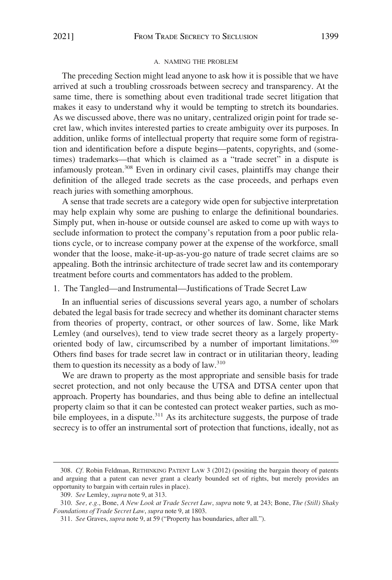#### A. NAMING THE PROBLEM

The preceding Section might lead anyone to ask how it is possible that we have arrived at such a troubling crossroads between secrecy and transparency. At the same time, there is something about even traditional trade secret litigation that makes it easy to understand why it would be tempting to stretch its boundaries. As we discussed above, there was no unitary, centralized origin point for trade secret law, which invites interested parties to create ambiguity over its purposes. In addition, unlike forms of intellectual property that require some form of registration and identification before a dispute begins—patents, copyrights, and (sometimes) trademarks—that which is claimed as a "trade secret" in a dispute is infamously protean.308 Even in ordinary civil cases, plaintiffs may change their definition of the alleged trade secrets as the case proceeds, and perhaps even reach juries with something amorphous.

A sense that trade secrets are a category wide open for subjective interpretation may help explain why some are pushing to enlarge the definitional boundaries. Simply put, when in-house or outside counsel are asked to come up with ways to seclude information to protect the company's reputation from a poor public relations cycle, or to increase company power at the expense of the workforce, small wonder that the loose, make-it-up-as-you-go nature of trade secret claims are so appealing. Both the intrinsic architecture of trade secret law and its contemporary treatment before courts and commentators has added to the problem.

1. The Tangled—and Instrumental—Justifications of Trade Secret Law

In an influential series of discussions several years ago, a number of scholars debated the legal basis for trade secrecy and whether its dominant character stems from theories of property, contract, or other sources of law. Some, like Mark Lemley (and ourselves), tend to view trade secret theory as a largely propertyoriented body of law, circumscribed by a number of important limitations.<sup>309</sup> Others find bases for trade secret law in contract or in utilitarian theory, leading them to question its necessity as a body of law.<sup>310</sup>

We are drawn to property as the most appropriate and sensible basis for trade secret protection, and not only because the UTSA and DTSA center upon that approach. Property has boundaries, and thus being able to define an intellectual property claim so that it can be contested can protect weaker parties, such as mobile employees, in a dispute.<sup>311</sup> As its architecture suggests, the purpose of trade secrecy is to offer an instrumental sort of protection that functions, ideally, not as

<sup>308.</sup> *Cf.* Robin Feldman, RETHINKING PATENT LAW 3 (2012) (positing the bargain theory of patents and arguing that a patent can never grant a clearly bounded set of rights, but merely provides an opportunity to bargain with certain rules in place).

<sup>309.</sup> *See* Lemley, *supra* note 9, at 313.

<sup>310.</sup> *See, e.g.*, Bone, *A New Look at Trade Secret Law*, *supra* note 9, at 243; Bone, *The (Still) Shaky Foundations of Trade Secret Law*, *supra* note 9, at 1803.

<sup>311.</sup> *See* Graves, *supra* note 9, at 59 ("Property has boundaries, after all.").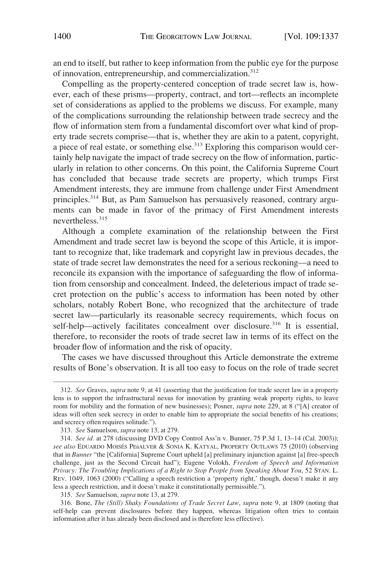an end to itself, but rather to keep information from the public eye for the purpose of innovation, entrepreneurship, and commercialization.<sup>312</sup>

Compelling as the property-centered conception of trade secret law is, however, each of these prisms—property, contract, and tort—reflects an incomplete set of considerations as applied to the problems we discuss. For example, many of the complications surrounding the relationship between trade secrecy and the flow of information stem from a fundamental discomfort over what kind of property trade secrets comprise—that is, whether they are akin to a patent, copyright, a piece of real estate, or something else.<sup>313</sup> Exploring this comparison would certainly help navigate the impact of trade secrecy on the flow of information, particularly in relation to other concerns. On this point, the California Supreme Court has concluded that because trade secrets are property, which trumps First Amendment interests, they are immune from challenge under First Amendment principles.314 But, as Pam Samuelson has persuasively reasoned, contrary arguments can be made in favor of the primacy of First Amendment interests nevertheless.315

Although a complete examination of the relationship between the First Amendment and trade secret law is beyond the scope of this Article, it is important to recognize that, like trademark and copyright law in previous decades, the state of trade secret law demonstrates the need for a serious reckoning—a need to reconcile its expansion with the importance of safeguarding the flow of information from censorship and concealment. Indeed, the deleterious impact of trade secret protection on the public's access to information has been noted by other scholars, notably Robert Bone, who recognized that the architecture of trade secret law—particularly its reasonable secrecy requirements, which focus on self-help—actively facilitates concealment over disclosure.<sup>316</sup> It is essential, therefore, to reconsider the roots of trade secret law in terms of its effect on the broader flow of information and the risk of opacity.

The cases we have discussed throughout this Article demonstrate the extreme results of Bone's observation. It is all too easy to focus on the role of trade secret

315. *See* Samuelson, *supra* note 13, at 279.

316. Bone, *The (Still) Shaky Foundations of Trade Secret Law*, *supra* note 9, at 1809 (noting that self-help can prevent disclosures before they happen, whereas litigation often tries to contain information after it has already been disclosed and is therefore less effective).

<sup>312.</sup> *See* Graves, *supra* note 9, at 41 (asserting that the justification for trade secret law in a property lens is to support the infrastructural nexus for innovation by granting weak property rights, to leave room for mobility and the formation of new businesses); Posner, *supra* note 229, at 8 ("[A] creator of ideas will often seek secrecy in order to enable him to appropriate the social benefits of his creations; and secrecy often requires solitude.").

<sup>313.</sup> *See* Samuelson, *supra* note 13, at 279.

<sup>314.</sup> *See id.* at 278 (discussing DVD Copy Control Ass'n v. Bunner, 75 P.3d 1, 13–14 (Cal. 2003)); see also EDUARDO MOISÉS PEñALVER & SONIA K. KATYAL, PROPERTY OUTLAWS 75 (2010) (observing that in *Bunner* "the [California] Supreme Court upheld [a] preliminary injunction against [a] free-speech challenge, just as the Second Circuit had"); Eugene Volokh, *Freedom of Speech and Information Privacy: The Troubling Implications of a Right to Stop People from Speaking About You*, 52 STAN. L. REV. 1049, 1063 (2000) ("Calling a speech restriction a 'property right,' though, doesn't make it any less a speech restriction, and it doesn't make it constitutionally permissible.").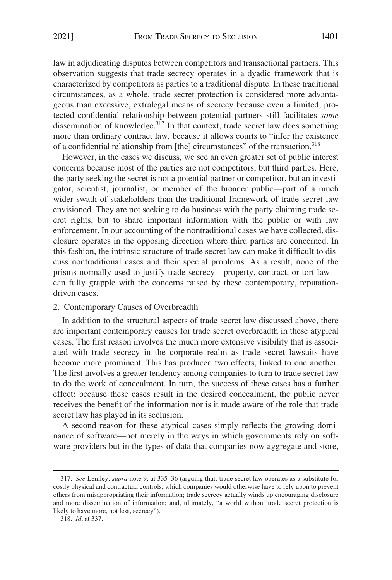law in adjudicating disputes between competitors and transactional partners. This observation suggests that trade secrecy operates in a dyadic framework that is characterized by competitors as parties to a traditional dispute. In these traditional circumstances, as a whole, trade secret protection is considered more advantageous than excessive, extralegal means of secrecy because even a limited, protected confidential relationship between potential partners still facilitates *some*  dissemination of knowledge. $3^{37}$  In that context, trade secret law does something more than ordinary contract law, because it allows courts to "infer the existence of a confidential relationship from [the] circumstances" of the transaction.<sup>318</sup>

However, in the cases we discuss, we see an even greater set of public interest concerns because most of the parties are not competitors, but third parties. Here, the party seeking the secret is not a potential partner or competitor, but an investigator, scientist, journalist, or member of the broader public—part of a much wider swath of stakeholders than the traditional framework of trade secret law envisioned. They are not seeking to do business with the party claiming trade secret rights, but to share important information with the public or with law enforcement. In our accounting of the nontraditional cases we have collected, disclosure operates in the opposing direction where third parties are concerned. In this fashion, the intrinsic structure of trade secret law can make it difficult to discuss nontraditional cases and their special problems. As a result, none of the prisms normally used to justify trade secrecy—property, contract, or tort law can fully grapple with the concerns raised by these contemporary, reputationdriven cases.

### 2. Contemporary Causes of Overbreadth

In addition to the structural aspects of trade secret law discussed above, there are important contemporary causes for trade secret overbreadth in these atypical cases. The first reason involves the much more extensive visibility that is associated with trade secrecy in the corporate realm as trade secret lawsuits have become more prominent. This has produced two effects, linked to one another. The first involves a greater tendency among companies to turn to trade secret law to do the work of concealment. In turn, the success of these cases has a further effect: because these cases result in the desired concealment, the public never receives the benefit of the information nor is it made aware of the role that trade secret law has played in its seclusion.

A second reason for these atypical cases simply reflects the growing dominance of software—not merely in the ways in which governments rely on software providers but in the types of data that companies now aggregate and store,

<sup>317.</sup> *See* Lemley, *supra* note 9, at 335–36 (arguing that: trade secret law operates as a substitute for costly physical and contractual controls, which companies would otherwise have to rely upon to prevent others from misappropriating their information; trade secrecy actually winds up encouraging disclosure and more dissemination of information; and, ultimately, "a world without trade secret protection is likely to have more, not less, secrecy").

<sup>318.</sup> *Id.* at 337.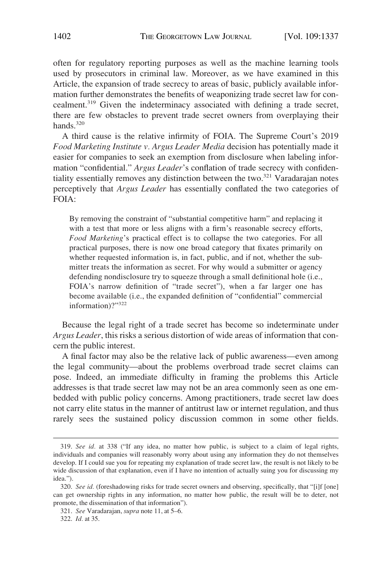often for regulatory reporting purposes as well as the machine learning tools used by prosecutors in criminal law. Moreover, as we have examined in this Article, the expansion of trade secrecy to areas of basic, publicly available information further demonstrates the benefits of weaponizing trade secret law for concealment.319 Given the indeterminacy associated with defining a trade secret, there are few obstacles to prevent trade secret owners from overplaying their hands. $320$ 

A third cause is the relative infirmity of FOIA. The Supreme Court's 2019 *Food Marketing Institute v. Argus Leader Media* decision has potentially made it easier for companies to seek an exemption from disclosure when labeling information "confidential." *Argus Leader*'s conflation of trade secrecy with confidentiality essentially removes any distinction between the two. $321$  Varadarajan notes perceptively that *Argus Leader* has essentially conflated the two categories of FOIA:

By removing the constraint of "substantial competitive harm" and replacing it with a test that more or less aligns with a firm's reasonable secrecy efforts, *Food Marketing*'s practical effect is to collapse the two categories. For all practical purposes, there is now one broad category that fixates primarily on whether requested information is, in fact, public, and if not, whether the submitter treats the information as secret. For why would a submitter or agency defending nondisclosure try to squeeze through a small definitional hole (i.e., FOIA's narrow definition of "trade secret"), when a far larger one has become available (i.e., the expanded definition of "confidential" commercial information)?"<sup>322</sup>

Because the legal right of a trade secret has become so indeterminate under *Argus Leader*, this risks a serious distortion of wide areas of information that concern the public interest.

A final factor may also be the relative lack of public awareness—even among the legal community—about the problems overbroad trade secret claims can pose. Indeed, an immediate difficulty in framing the problems this Article addresses is that trade secret law may not be an area commonly seen as one embedded with public policy concerns. Among practitioners, trade secret law does not carry elite status in the manner of antitrust law or internet regulation, and thus rarely sees the sustained policy discussion common in some other fields.

<sup>319.</sup> *See id.* at 338 ("If any idea, no matter how public, is subject to a claim of legal rights, individuals and companies will reasonably worry about using any information they do not themselves develop. If I could sue you for repeating my explanation of trade secret law, the result is not likely to be wide discussion of that explanation, even if I have no intention of actually suing you for discussing my idea.").

<sup>320.</sup> *See id.* (foreshadowing risks for trade secret owners and observing, specifically, that "[i]f [one] can get ownership rights in any information, no matter how public, the result will be to deter, not promote, the dissemination of that information").

<sup>321.</sup> *See* Varadarajan, *supra* note 11, at 5–6.

<sup>322.</sup> *Id.* at 35.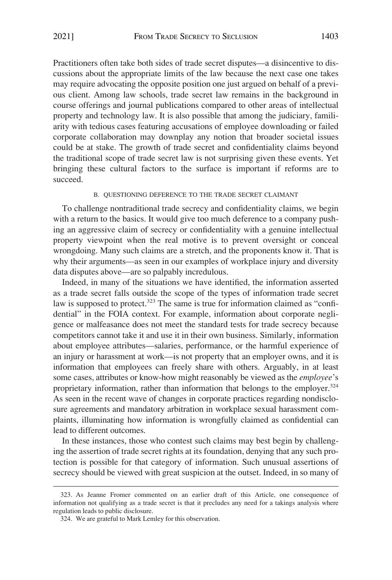Practitioners often take both sides of trade secret disputes—a disincentive to discussions about the appropriate limits of the law because the next case one takes may require advocating the opposite position one just argued on behalf of a previous client. Among law schools, trade secret law remains in the background in course offerings and journal publications compared to other areas of intellectual property and technology law. It is also possible that among the judiciary, familiarity with tedious cases featuring accusations of employee downloading or failed corporate collaboration may downplay any notion that broader societal issues could be at stake. The growth of trade secret and confidentiality claims beyond the traditional scope of trade secret law is not surprising given these events. Yet bringing these cultural factors to the surface is important if reforms are to succeed.

### B. QUESTIONING DEFERENCE TO THE TRADE SECRET CLAIMANT

To challenge nontraditional trade secrecy and confidentiality claims, we begin with a return to the basics. It would give too much deference to a company pushing an aggressive claim of secrecy or confidentiality with a genuine intellectual property viewpoint when the real motive is to prevent oversight or conceal wrongdoing. Many such claims are a stretch, and the proponents know it. That is why their arguments—as seen in our examples of workplace injury and diversity data disputes above—are so palpably incredulous.

Indeed, in many of the situations we have identified, the information asserted as a trade secret falls outside the scope of the types of information trade secret law is supposed to protect.<sup>323</sup> The same is true for information claimed as "confidential" in the FOIA context. For example, information about corporate negligence or malfeasance does not meet the standard tests for trade secrecy because competitors cannot take it and use it in their own business. Similarly, information about employee attributes—salaries, performance, or the harmful experience of an injury or harassment at work—is not property that an employer owns, and it is information that employees can freely share with others. Arguably, in at least some cases, attributes or know-how might reasonably be viewed as the *employee*'s proprietary information, rather than information that belongs to the employer.<sup>324</sup> As seen in the recent wave of changes in corporate practices regarding nondisclosure agreements and mandatory arbitration in workplace sexual harassment complaints, illuminating how information is wrongfully claimed as confidential can lead to different outcomes.

In these instances, those who contest such claims may best begin by challenging the assertion of trade secret rights at its foundation, denying that any such protection is possible for that category of information. Such unusual assertions of secrecy should be viewed with great suspicion at the outset. Indeed, in so many of

<sup>323.</sup> As Jeanne Fromer commented on an earlier draft of this Article, one consequence of information not qualifying as a trade secret is that it precludes any need for a takings analysis where regulation leads to public disclosure.

<sup>324.</sup> We are grateful to Mark Lemley for this observation.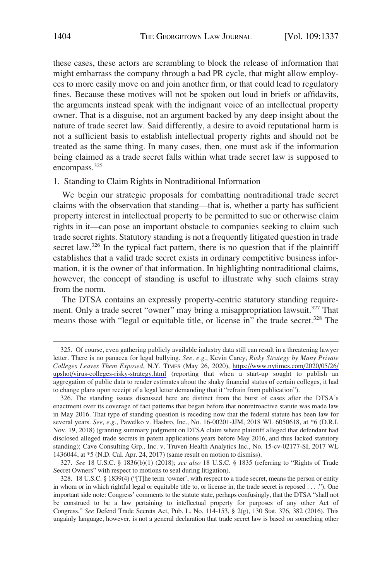these cases, these actors are scrambling to block the release of information that might embarrass the company through a bad PR cycle, that might allow employees to more easily move on and join another firm, or that could lead to regulatory fines. Because these motives will not be spoken out loud in briefs or affidavits, the arguments instead speak with the indignant voice of an intellectual property owner. That is a disguise, not an argument backed by any deep insight about the nature of trade secret law. Said differently, a desire to avoid reputational harm is not a sufficient basis to establish intellectual property rights and should not be treated as the same thing. In many cases, then, one must ask if the information being claimed as a trade secret falls within what trade secret law is supposed to encompass.<sup>325</sup>

## 1. Standing to Claim Rights in Nontraditional Information

We begin our strategic proposals for combatting nontraditional trade secret claims with the observation that standing—that is, whether a party has sufficient property interest in intellectual property to be permitted to sue or otherwise claim rights in it—can pose an important obstacle to companies seeking to claim such trade secret rights. Statutory standing is not a frequently litigated question in trade secret law.<sup>326</sup> In the typical fact pattern, there is no question that if the plaintiff establishes that a valid trade secret exists in ordinary competitive business information, it is the owner of that information. In highlighting nontraditional claims, however, the concept of standing is useful to illustrate why such claims stray from the norm.

The DTSA contains an expressly property-centric statutory standing requirement. Only a trade secret "owner" may bring a misappropriation lawsuit.<sup>327</sup> That means those with "legal or equitable title, or license in" the trade secret.<sup>328</sup> The

<sup>325.</sup> Of course, even gathering publicly available industry data still can result in a threatening lawyer letter. There is no panacea for legal bullying. *See, e.g.*, Kevin Carey, *Risky Strategy by Many Private Colleges Leaves Them Exposed*, N.Y. TIMES (May 26, 2020), [https://www.nytimes.com/2020/05/26/](https://www.nytimes.com/2020/05/26/upshot/virus-colleges-risky-strategy.html)  [upshot/virus-colleges-risky-strategy.html](https://www.nytimes.com/2020/05/26/upshot/virus-colleges-risky-strategy.html) (reporting that when a start-up sought to publish an aggregation of public data to render estimates about the shaky financial status of certain colleges, it had to change plans upon receipt of a legal letter demanding that it "refrain from publication").

<sup>326.</sup> The standing issues discussed here are distinct from the burst of cases after the DTSA's enactment over its coverage of fact patterns that began before that nonretroactive statute was made law in May 2016. That type of standing question is receding now that the federal statute has been law for several years. *See, e.g.*, Pawelko v. Hasbro, Inc., No. 16-00201-JJM, 2018 WL 6050618, at \*6 (D.R.I. Nov. 19, 2018) (granting summary judgment on DTSA claim where plaintiff alleged that defendant had disclosed alleged trade secrets in patent applications years before May 2016, and thus lacked statutory standing); Cave Consulting Grp., Inc. v. Truven Health Analytics Inc., No. 15-cv-02177-SI, 2017 WL 1436044, at \*5 (N.D. Cal. Apr. 24, 2017) (same result on motion to dismiss).

<sup>327.</sup> *See* 18 U.S.C. § 1836(b)(1) (2018); *see also* 18 U.S.C. § 1835 (referring to "Rights of Trade Secret Owners" with respect to motions to seal during litigation).

<sup>328. 18</sup> U.S.C. § 1839(4) ("[T]he term 'owner', with respect to a trade secret, means the person or entity in whom or in which rightful legal or equitable title to, or license in, the trade secret is reposed . . . ."). One important side note: Congress' comments to the statute state, perhaps confusingly, that the DTSA "shall not be construed to be a law pertaining to intellectual property for purposes of any other Act of Congress." *See* Defend Trade Secrets Act, Pub. L. No. 114-153, § 2(g), 130 Stat. 376, 382 (2016). This ungainly language, however, is not a general declaration that trade secret law is based on something other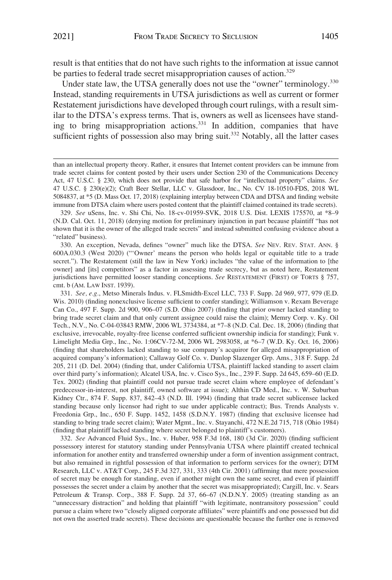result is that entities that do not have such rights to the information at issue cannot be parties to federal trade secret misappropriation causes of action.<sup>329</sup>

Under state law, the UTSA generally does not use the "owner" terminology.<sup>330</sup> Instead, standing requirements in UTSA jurisdictions as well as current or former Restatement jurisdictions have developed through court rulings, with a result similar to the DTSA's express terms. That is, owners as well as licensees have standing to bring misappropriation actions.<sup>331</sup> In addition, companies that have sufficient rights of possession also may bring suit.<sup>332</sup> Notably, all the latter cases

330. An exception, Nevada, defines "owner" much like the DTSA. *See* NEV. REV. STAT. ANN. § 600A.030.3 (West 2020) ("'Owner' means the person who holds legal or equitable title to a trade secret."). The Restatement (still the law in New York) includes "the value of the information to [the owner] and [its] competitors" as a factor in assessing trade secrecy, but as noted here, Restatement jurisdictions have permitted looser standing conceptions. *See* RESTATEMENT (FIRST) OF TORTS § 757, cmt. b (AM. LAW INST. 1939).

331. *See, e.g.*, Metso Minerals Indus. v. FLSmidth-Excel LLC, 733 F. Supp. 2d 969, 977, 979 (E.D. Wis. 2010) (finding nonexclusive license sufficient to confer standing); Williamson v. Rexam Beverage Can Co., 497 F. Supp. 2d 900, 906–07 (S.D. Ohio 2007) (finding that prior owner lacked standing to bring trade secret claim and that only current assignee could raise the claim); Memry Corp. v. Ky. Oil Tech., N.V., No. C-04-03843 RMW, 2006 WL 3734384, at \*7–8 (N.D. Cal. Dec. 18, 2006) (finding that exclusive, irrevocable, royalty-free license conferred sufficient ownership indicia for standing); Funk v. Limelight Media Grp., Inc., No. 1:06CV-72-M, 2006 WL 2983058, at \*6–7 (W.D. Ky. Oct. 16, 2006) (finding that shareholders lacked standing to sue company's acquiror for alleged misappropriation of acquired company's information); Callaway Golf Co. v. Dunlop Slazenger Grp. Ams., 318 F. Supp. 2d 205, 211 (D. Del. 2004) (finding that, under California UTSA, plaintiff lacked standing to assert claim over third party's information); Alcatel USA, Inc. v. Cisco Sys., Inc., 239 F. Supp. 2d 645, 659–60 (E.D. Tex. 2002) (finding that plaintiff could not pursue trade secret claim where employee of defendant's predecessor-in-interest, not plaintiff, owned software at issue); Althin CD Med., Inc. v. W. Suburban Kidney Ctr., 874 F. Supp. 837, 842–43 (N.D. Ill. 1994) (finding that trade secret sublicensee lacked standing because only licensor had right to sue under applicable contract); Bus. Trends Analysts v. Freedonia Grp., Inc., 650 F. Supp. 1452, 1458 (S.D.N.Y. 1987) (finding that exclusive licensee had standing to bring trade secret claim); Water Mgmt., Inc. v. Stayanchi, 472 N.E.2d 715, 718 (Ohio 1984) (finding that plaintiff lacked standing where secret belonged to plaintiff's customers).

332. *See* Advanced Fluid Sys., Inc. v. Huber, 958 F.3d 168, 180 (3d Cir. 2020) (finding sufficient possessory interest for statutory standing under Pennsylvania UTSA where plaintiff created technical information for another entity and transferred ownership under a form of invention assignment contract, but also remained in rightful possession of that information to perform services for the owner); DTM Research, LLC v. AT&T Corp., 245 F.3d 327, 331, 333 (4th Cir. 2001) (affirming that mere possession of secret may be enough for standing, even if another might own the same secret, and even if plaintiff possesses the secret under a claim by another that the secret was misappropriated); Cargill, Inc. v. Sears Petroleum & Transp. Corp., 388 F. Supp. 2d 37, 66–67 (N.D.N.Y. 2005) (treating standing as an "unnecessary distraction" and holding that plaintiff "with legitimate, nontransitory possession" could pursue a claim where two "closely aligned corporate affiliates" were plaintiffs and one possessed but did not own the asserted trade secrets). These decisions are questionable because the further one is removed

than an intellectual property theory. Rather, it ensures that Internet content providers can be immune from trade secret claims for content posted by their users under Section 230 of the Communications Decency Act, 47 U.S.C. § 230, which does not provide that safe harbor for "intellectual property" claims. *See*  47 U.S.C. § 230(e)(2); Craft Beer Stellar, LLC v. Glassdoor, Inc., No. CV 18-10510-FDS, 2018 WL 5084837, at \*5 (D. Mass Oct. 17, 2018) (explaining interplay between CDA and DTSA and finding website immune from DTSA claim where users posted content that the plaintiff claimed contained its trade secrets).

<sup>329.</sup> *See* uSens, Inc. v. Shi Chi, No. 18-cv-01959-SVK, 2018 U.S. Dist. LEXIS 175570, at \*8–9 (N.D. Cal. Oct. 11, 2018) (denying motion for preliminary injunction in part because plaintiff "has not shown that it is the owner of the alleged trade secrets" and instead submitted confusing evidence about a "related" business).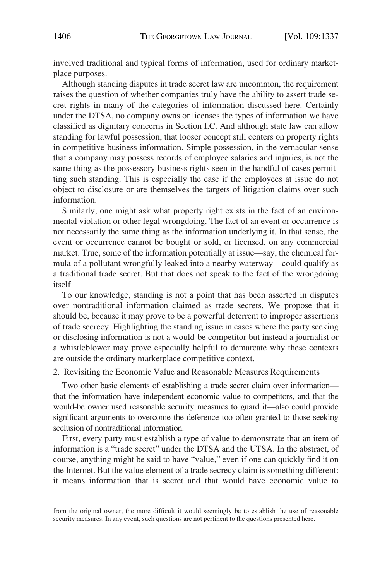involved traditional and typical forms of information, used for ordinary marketplace purposes.

Although standing disputes in trade secret law are uncommon, the requirement raises the question of whether companies truly have the ability to assert trade secret rights in many of the categories of information discussed here. Certainly under the DTSA, no company owns or licenses the types of information we have classified as dignitary concerns in Section I.C. And although state law can allow standing for lawful possession, that looser concept still centers on property rights in competitive business information. Simple possession, in the vernacular sense that a company may possess records of employee salaries and injuries, is not the same thing as the possessory business rights seen in the handful of cases permitting such standing. This is especially the case if the employees at issue do not object to disclosure or are themselves the targets of litigation claims over such information.

Similarly, one might ask what property right exists in the fact of an environmental violation or other legal wrongdoing. The fact of an event or occurrence is not necessarily the same thing as the information underlying it. In that sense, the event or occurrence cannot be bought or sold, or licensed, on any commercial market. True, some of the information potentially at issue—say, the chemical formula of a pollutant wrongfully leaked into a nearby waterway—could qualify as a traditional trade secret. But that does not speak to the fact of the wrongdoing itself.

To our knowledge, standing is not a point that has been asserted in disputes over nontraditional information claimed as trade secrets. We propose that it should be, because it may prove to be a powerful deterrent to improper assertions of trade secrecy. Highlighting the standing issue in cases where the party seeking or disclosing information is not a would-be competitor but instead a journalist or a whistleblower may prove especially helpful to demarcate why these contexts are outside the ordinary marketplace competitive context.

2. Revisiting the Economic Value and Reasonable Measures Requirements

Two other basic elements of establishing a trade secret claim over information that the information have independent economic value to competitors, and that the would-be owner used reasonable security measures to guard it—also could provide significant arguments to overcome the deference too often granted to those seeking seclusion of nontraditional information.

First, every party must establish a type of value to demonstrate that an item of information is a "trade secret" under the DTSA and the UTSA. In the abstract, of course, anything might be said to have "value," even if one can quickly find it on the Internet. But the value element of a trade secrecy claim is something different: it means information that is secret and that would have economic value to

from the original owner, the more difficult it would seemingly be to establish the use of reasonable security measures. In any event, such questions are not pertinent to the questions presented here.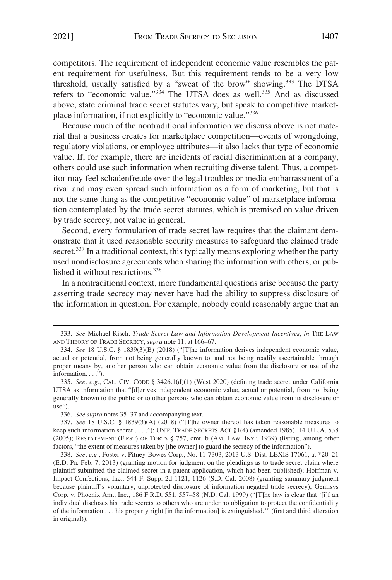competitors. The requirement of independent economic value resembles the patent requirement for usefulness. But this requirement tends to be a very low threshold, usually satisfied by a "sweat of the brow" showing.<sup>333</sup> The DTSA refers to "economic value."<sup>334</sup> The UTSA does as well.<sup>335</sup> And as discussed above, state criminal trade secret statutes vary, but speak to competitive marketplace information, if not explicitly to "economic value."<sup>336</sup>

Because much of the nontraditional information we discuss above is not material that a business creates for marketplace competition—events of wrongdoing, regulatory violations, or employee attributes—it also lacks that type of economic value. If, for example, there are incidents of racial discrimination at a company, others could use such information when recruiting diverse talent. Thus, a competitor may feel schadenfreude over the legal troubles or media embarrassment of a rival and may even spread such information as a form of marketing, but that is not the same thing as the competitive "economic value" of marketplace information contemplated by the trade secret statutes, which is premised on value driven by trade secrecy, not value in general.

Second, every formulation of trade secret law requires that the claimant demonstrate that it used reasonable security measures to safeguard the claimed trade secret.<sup>337</sup> In a traditional context, this typically means exploring whether the party used nondisclosure agreements when sharing the information with others, or published it without restrictions.<sup>338</sup>

In a nontraditional context, more fundamental questions arise because the party asserting trade secrecy may never have had the ability to suppress disclosure of the information in question. For example, nobody could reasonably argue that an

<sup>333.</sup> *See* Michael Risch, *Trade Secret Law and Information Development Incentives*, *in* THE LAW AND THEORY OF TRADE SECRECY, *supra* note 11, at 166–67.

<sup>334.</sup> *See* 18 U.S.C. § 1839(3)(B) (2018) ("[T]he information derives independent economic value, actual or potential, from not being generally known to, and not being readily ascertainable through proper means by, another person who can obtain economic value from the disclosure or use of the information. . . .").

<sup>335.</sup> *See, e.g.*, CAL. CIV. CODE § 3426.1(d)(1) (West 2020) (defining trade secret under California UTSA as information that "[d]erives independent economic value, actual or potential, from not being generally known to the public or to other persons who can obtain economic value from its disclosure or use").

<sup>336.</sup> *See supra* notes 35–37 and accompanying text.

<sup>337.</sup> *See* 18 U.S.C. § 1839(3)(A) (2018) ("[T]he owner thereof has taken reasonable measures to keep such information secret . . . ."); UNIF. TRADE SECRETS ACT §1(4) (amended 1985), 14 U.L.A. 538 (2005); RESTATEMENT (FIRST) OF TORTS § 757, cmt. b (AM. LAW. INST. 1939) (listing, among other factors, "the extent of measures taken by [the owner] to guard the secrecy of the information").

<sup>338.</sup> *See, e.g*., Foster v. Pitney-Bowes Corp., No. 11-7303, 2013 U.S. Dist. LEXIS 17061, at \*20–21 (E.D. Pa. Feb. 7, 2013) (granting motion for judgment on the pleadings as to trade secret claim where plaintiff submitted the claimed secret in a patent application, which had been published); Hoffman v. Impact Confections, Inc., 544 F. Supp. 2d 1121, 1126 (S.D. Cal. 2008) (granting summary judgment because plaintiff's voluntary, unprotected disclosure of information negated trade secrecy); Gemisys Corp. v. Phoenix Am., Inc., 186 F.R.D. 551, 557–58 (N.D. Cal. 1999) ("[T]he law is clear that '[i]f an individual discloses his trade secrets to others who are under no obligation to protect the confidentiality of the information . . . his property right [in the information] is extinguished.'" (first and third alteration in original)).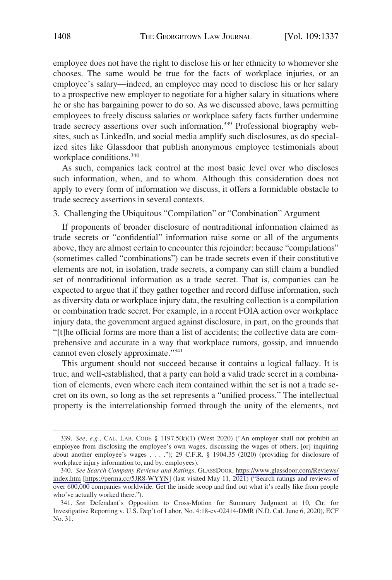employee does not have the right to disclose his or her ethnicity to whomever she chooses. The same would be true for the facts of workplace injuries, or an employee's salary—indeed, an employee may need to disclose his or her salary to a prospective new employer to negotiate for a higher salary in situations where he or she has bargaining power to do so. As we discussed above, laws permitting employees to freely discuss salaries or workplace safety facts further undermine trade secrecy assertions over such information.<sup>339</sup> Professional biography websites, such as LinkedIn, and social media amplify such disclosures, as do specialized sites like Glassdoor that publish anonymous employee testimonials about workplace conditions.<sup>340</sup>

As such, companies lack control at the most basic level over who discloses such information, when, and to whom. Although this consideration does not apply to every form of information we discuss, it offers a formidable obstacle to trade secrecy assertions in several contexts.

3. Challenging the Ubiquitous "Compilation" or "Combination" Argument

If proponents of broader disclosure of nontraditional information claimed as trade secrets or "confidential" information raise some or all of the arguments above, they are almost certain to encounter this rejoinder: because "compilations" (sometimes called "combinations") can be trade secrets even if their constitutive elements are not, in isolation, trade secrets, a company can still claim a bundled set of nontraditional information as a trade secret. That is, companies can be expected to argue that if they gather together and record diffuse information, such as diversity data or workplace injury data, the resulting collection is a compilation or combination trade secret. For example, in a recent FOIA action over workplace injury data, the government argued against disclosure, in part, on the grounds that "[t]he official forms are more than a list of accidents; the collective data are comprehensive and accurate in a way that workplace rumors, gossip, and innuendo cannot even closely approximate."341

This argument should not succeed because it contains a logical fallacy. It is true, and well-established, that a party can hold a valid trade secret in a combination of elements, even where each item contained within the set is not a trade secret on its own, so long as the set represents a "unified process." The intellectual property is the interrelationship formed through the unity of the elements, not

<sup>339.</sup> *See, e.g.*, CAL. LAB. CODE § 1197.5(k)(1) (West 2020) ("An employer shall not prohibit an employee from disclosing the employee's own wages, discussing the wages of others, [or] inquiring about another employee's wages . . . ."); 29 C.F.R. § 1904.35 (2020) (providing for disclosure of workplace injury information to, and by, employees).

*See Search Company Reviews and Ratings*, GLASSDOOR, [https://www.glassdoor.com/Reviews/](https://www.glassdoor.com/Reviews/index.htm)  340. [index.htm](https://www.glassdoor.com/Reviews/index.htm) [[https://perma.cc/5JR8-WYYN\]](https://perma.cc/5JR8-WYYN) (last visited May 11, 2021) ("Search ratings and reviews of over 600,000 companies worldwide. Get the inside scoop and find out what it's really like from people who've actually worked there.").

<sup>341.</sup> *See* Defendant's Opposition to Cross-Motion for Summary Judgment at 10, Ctr. for Investigative Reporting v. U.S. Dep't of Labor, No. 4:18-cv-02414-DMR (N.D. Cal. June 6, 2020), ECF No. 31.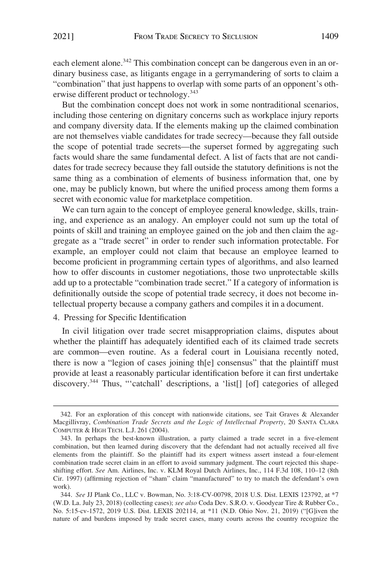But the combination concept does not work in some nontraditional scenarios, including those centering on dignitary concerns such as workplace injury reports and company diversity data. If the elements making up the claimed combination are not themselves viable candidates for trade secrecy—because they fall outside the scope of potential trade secrets—the superset formed by aggregating such facts would share the same fundamental defect. A list of facts that are not candidates for trade secrecy because they fall outside the statutory definitions is not the same thing as a combination of elements of business information that, one by one, may be publicly known, but where the unified process among them forms a secret with economic value for marketplace competition.

We can turn again to the concept of employee general knowledge, skills, training, and experience as an analogy. An employer could not sum up the total of points of skill and training an employee gained on the job and then claim the aggregate as a "trade secret" in order to render such information protectable. For example, an employer could not claim that because an employee learned to become proficient in programming certain types of algorithms, and also learned how to offer discounts in customer negotiations, those two unprotectable skills add up to a protectable "combination trade secret." If a category of information is definitionally outside the scope of potential trade secrecy, it does not become intellectual property because a company gathers and compiles it in a document.

## 4. Pressing for Specific Identification

In civil litigation over trade secret misappropriation claims, disputes about whether the plaintiff has adequately identified each of its claimed trade secrets are common—even routine. As a federal court in Louisiana recently noted, there is now a "legion of cases joining th[e] consensus" that the plaintiff must provide at least a reasonably particular identification before it can first undertake discovery.344 Thus, "'catchall' descriptions, a 'list[] [of] categories of alleged

<sup>342.</sup> For an exploration of this concept with nationwide citations, see Tait Graves & Alexander Macgillivray, *Combination Trade Secrets and the Logic of Intellectual Property*, 20 SANTA CLARA COMPUTER & HIGH TECH. L.J. 261 (2004).

<sup>343.</sup> In perhaps the best-known illustration, a party claimed a trade secret in a five-element combination, but then learned during discovery that the defendant had not actually received all five elements from the plaintiff. So the plaintiff had its expert witness assert instead a four-element combination trade secret claim in an effort to avoid summary judgment. The court rejected this shapeshifting effort. *See* Am. Airlines, Inc. v. KLM Royal Dutch Airlines, Inc., 114 F.3d 108, 110–12 (8th Cir. 1997) (affirming rejection of "sham" claim "manufactured" to try to match the defendant's own work).

<sup>344.</sup> *See* JJ Plank Co., LLC v. Bowman, No. 3:18-CV-00798, 2018 U.S. Dist. LEXIS 123792, at \*7 (W.D. La. July 23, 2018) (collecting cases); *see also* Coda Dev. S.R.O. v. Goodyear Tire & Rubber Co., No. 5:15-cv-1572, 2019 U.S. Dist. LEXIS 202114, at \*11 (N.D. Ohio Nov. 21, 2019) ("[G]iven the nature of and burdens imposed by trade secret cases, many courts across the country recognize the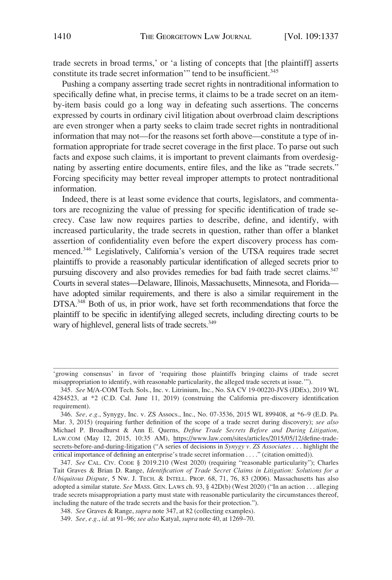trade secrets in broad terms,' or 'a listing of concepts that [the plaintiff] asserts constitute its trade secret information'" tend to be insufficient.<sup>345</sup>

Pushing a company asserting trade secret rights in nontraditional information to specifically define what, in precise terms, it claims to be a trade secret on an itemby-item basis could go a long way in defeating such assertions. The concerns expressed by courts in ordinary civil litigation about overbroad claim descriptions are even stronger when a party seeks to claim trade secret rights in nontraditional information that may not—for the reasons set forth above—constitute a type of information appropriate for trade secret coverage in the first place. To parse out such facts and expose such claims, it is important to prevent claimants from overdesignating by asserting entire documents, entire files, and the like as "trade secrets." Forcing specificity may better reveal improper attempts to protect nontraditional information.

Indeed, there is at least some evidence that courts, legislators, and commentators are recognizing the value of pressing for specific identification of trade secrecy. Case law now requires parties to describe, define, and identify, with increased particularity, the trade secrets in question, rather than offer a blanket assertion of confidentiality even before the expert discovery process has commenced.<sup>346</sup> Legislatively, California's version of the UTSA requires trade secret plaintiffs to provide a reasonably particular identification of alleged secrets prior to pursuing discovery and also provides remedies for bad faith trade secret claims.<sup>347</sup> Courts in several states—Delaware, Illinois, Massachusetts, Minnesota, and Florida have adopted similar requirements, and there is also a similar requirement in the DTSA.<sup>348</sup> Both of us, in prior work, have set forth recommendations that force the plaintiff to be specific in identifying alleged secrets, including directing courts to be wary of highlevel, general lists of trade secrets.<sup>349</sup>

<sup>&#</sup>x27;growing consensus' in favor of 'requiring those plaintiffs bringing claims of trade secret misappropriation to identify, with reasonable particularity, the alleged trade secrets at issue.'").

<sup>345.</sup> *See* M/A-COM Tech. Sols., Inc. v. Litrinium, Inc., No. SA CV 19-00220-JVS (JDEx), 2019 WL 4284523, at \*2 (C.D. Cal. June 11, 2019) (construing the California pre-discovery identification requirement).

*See, e.g.*, Synygy, Inc. v. ZS Assocs., Inc., No. 07-3536, 2015 WL 899408, at \*6–9 (E.D. Pa. 346. Mar. 3, 2015) (requiring further definition of the scope of a trade secret during discovery); *see also*  Michael P. Broadhurst & Ann E. Querns, *Define Trade Secrets Before and During Litigation*, LAW.COM (May 12, 2015, 10:35 AM), [https://www.law.com/sites/articles/2015/05/12/define-trade](https://www.law.com/sites/articles/2015/05/12/define-trade-secrets-before-and-during-litigation)[secrets-before-and-during-litigation](https://www.law.com/sites/articles/2015/05/12/define-trade-secrets-before-and-during-litigation) ("A series of decisions in *Synygy v. ZS Associates* . . . highlight the critical importance of defining an enterprise's trade secret information . . . ." (citation omitted)).

<sup>347.</sup> *See* CAL. CIV. CODE § 2019.210 (West 2020) (requiring "reasonable particularity"); Charles Tait Graves & Brian D. Range, *Identification of Trade Secret Claims in Litigation: Solutions for a Ubiquitous Dispute*, 5 NW. J. TECH. & INTELL. PROP. 68, 71, 76, 83 (2006). Massachusetts has also adopted a similar statute. *See* MASS. GEN. LAWS ch. 93, § 42D(b) (West 2020) ("In an action . . . alleging trade secrets misappropriation a party must state with reasonable particularity the circumstances thereof, including the nature of the trade secrets and the basis for their protection.").

<sup>348.</sup> *See* Graves & Range, *supra* note 347, at 82 (collecting examples).

<sup>349.</sup> *See, e.g.*, *id.* at 91–96; *see also* Katyal, *supra* note 40, at 1269–70.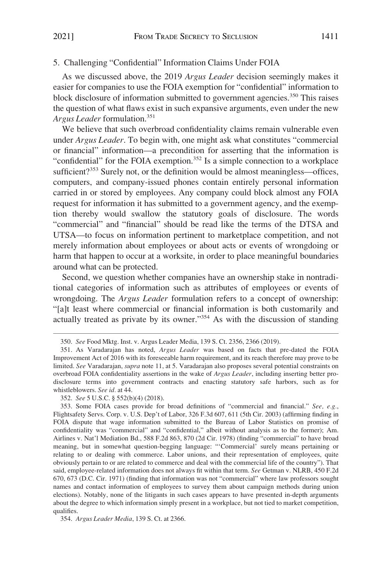## 5. Challenging "Confidential" Information Claims Under FOIA

As we discussed above, the 2019 *Argus Leader* decision seemingly makes it easier for companies to use the FOIA exemption for "confidential" information to block disclosure of information submitted to government agencies.<sup>350</sup> This raises the question of what flaws exist in such expansive arguments, even under the new *Argus Leader* formulation.<sup>351</sup>

We believe that such overbroad confidentiality claims remain vulnerable even under *Argus Leader*. To begin with, one might ask what constitutes "commercial or financial" information—a precondition for asserting that the information is "confidential" for the FOIA exemption.<sup>352</sup> Is a simple connection to a workplace sufficient?<sup>353</sup> Surely not, or the definition would be almost meaningless—offices, computers, and company-issued phones contain entirely personal information carried in or stored by employees. Any company could block almost any FOIA request for information it has submitted to a government agency, and the exemption thereby would swallow the statutory goals of disclosure. The words "commercial" and "financial" should be read like the terms of the DTSA and UTSA—to focus on information pertinent to marketplace competition, and not merely information about employees or about acts or events of wrongdoing or harm that happen to occur at a worksite, in order to place meaningful boundaries around what can be protected.

Second, we question whether companies have an ownership stake in nontraditional categories of information such as attributes of employees or events of wrongdoing. The *Argus Leader* formulation refers to a concept of ownership: "[a]t least where commercial or financial information is both customarily and actually treated as private by its owner."354 As with the discussion of standing

354. *Argus Leader Media*, 139 S. Ct. at 2366.

<sup>350.</sup> *See* Food Mktg. Inst. v. Argus Leader Media, 139 S. Ct. 2356, 2366 (2019).

<sup>351.</sup> As Varadarajan has noted, *Argus Leader* was based on facts that pre-dated the FOIA Improvement Act of 2016 with its foreseeable harm requirement, and its reach therefore may prove to be limited. *See* Varadarajan, *supra* note 11, at 5. Varadarajan also proposes several potential constraints on overbroad FOIA confidentiality assertions in the wake of *Argus Leader*, including inserting better prodisclosure terms into government contracts and enacting statutory safe harbors, such as for whistleblowers. *See id.* at 44.

<sup>352.</sup> *See* 5 U.S.C. § 552(b)(4) (2018).

<sup>353.</sup> Some FOIA cases provide for broad definitions of "commercial and financial." *See, e.g.*, Flightsafety Servs. Corp. v. U.S. Dep't of Labor, 326 F.3d 607, 611 (5th Cir. 2003) (affirming finding in FOIA dispute that wage information submitted to the Bureau of Labor Statistics on promise of confidentiality was "commercial" and "confidential," albeit without analysis as to the former); Am. Airlines v. Nat'l Mediation Bd., 588 F.2d 863, 870 (2d Cir. 1978) (finding "commercial" to have broad meaning, but in somewhat question-begging language: "'Commercial' surely means pertaining or relating to or dealing with commerce. Labor unions, and their representation of employees, quite obviously pertain to or are related to commerce and deal with the commercial life of the country"). That said, employee-related information does not always fit within that term. *See* Getman v. NLRB, 450 F.2d 670, 673 (D.C. Cir. 1971) (finding that information was not "commercial" where law professors sought names and contact information of employees to survey them about campaign methods during union elections). Notably, none of the litigants in such cases appears to have presented in-depth arguments about the degree to which information simply present in a workplace, but not tied to market competition, qualifies.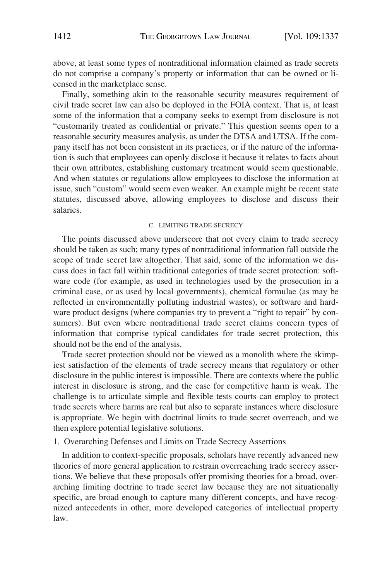above, at least some types of nontraditional information claimed as trade secrets do not comprise a company's property or information that can be owned or licensed in the marketplace sense.

Finally, something akin to the reasonable security measures requirement of civil trade secret law can also be deployed in the FOIA context. That is, at least some of the information that a company seeks to exempt from disclosure is not "customarily treated as confidential or private." This question seems open to a reasonable security measures analysis, as under the DTSA and UTSA. If the company itself has not been consistent in its practices, or if the nature of the information is such that employees can openly disclose it because it relates to facts about their own attributes, establishing customary treatment would seem questionable. And when statutes or regulations allow employees to disclose the information at issue, such "custom" would seem even weaker. An example might be recent state statutes, discussed above, allowing employees to disclose and discuss their salaries.

#### C. LIMITING TRADE SECRECY

The points discussed above underscore that not every claim to trade secrecy should be taken as such; many types of nontraditional information fall outside the scope of trade secret law altogether. That said, some of the information we discuss does in fact fall within traditional categories of trade secret protection: software code (for example, as used in technologies used by the prosecution in a criminal case, or as used by local governments), chemical formulae (as may be reflected in environmentally polluting industrial wastes), or software and hardware product designs (where companies try to prevent a "right to repair" by consumers). But even where nontraditional trade secret claims concern types of information that comprise typical candidates for trade secret protection, this should not be the end of the analysis.

Trade secret protection should not be viewed as a monolith where the skimpiest satisfaction of the elements of trade secrecy means that regulatory or other disclosure in the public interest is impossible. There are contexts where the public interest in disclosure is strong, and the case for competitive harm is weak. The challenge is to articulate simple and flexible tests courts can employ to protect trade secrets where harms are real but also to separate instances where disclosure is appropriate. We begin with doctrinal limits to trade secret overreach, and we then explore potential legislative solutions.

### 1. Overarching Defenses and Limits on Trade Secrecy Assertions

In addition to context-specific proposals, scholars have recently advanced new theories of more general application to restrain overreaching trade secrecy assertions. We believe that these proposals offer promising theories for a broad, overarching limiting doctrine to trade secret law because they are not situationally specific, are broad enough to capture many different concepts, and have recognized antecedents in other, more developed categories of intellectual property law.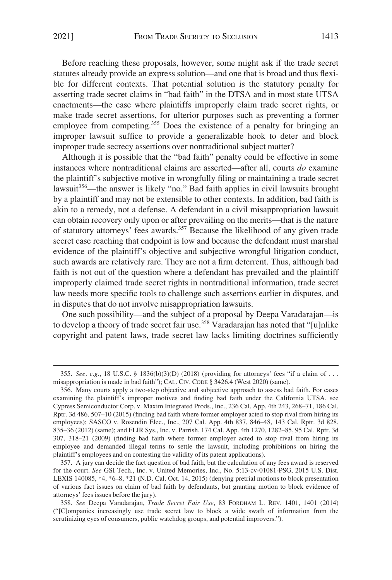Before reaching these proposals, however, some might ask if the trade secret statutes already provide an express solution—and one that is broad and thus flexible for different contexts. That potential solution is the statutory penalty for asserting trade secret claims in "bad faith" in the DTSA and in most state UTSA enactments—the case where plaintiffs improperly claim trade secret rights, or make trade secret assertions, for ulterior purposes such as preventing a former employee from competing.<sup>355</sup> Does the existence of a penalty for bringing an improper lawsuit suffice to provide a generalizable hook to deter and block improper trade secrecy assertions over nontraditional subject matter?

Although it is possible that the "bad faith" penalty could be effective in some instances where nontraditional claims are asserted—after all, courts *do* examine the plaintiff's subjective motive in wrongfully filing or maintaining a trade secret lawsuit<sup>356</sup>—the answer is likely "no." Bad faith applies in civil lawsuits brought by a plaintiff and may not be extensible to other contexts. In addition, bad faith is akin to a remedy, not a defense. A defendant in a civil misappropriation lawsuit can obtain recovery only upon or after prevailing on the merits—that is the nature of statutory attorneys' fees awards.357 Because the likelihood of any given trade secret case reaching that endpoint is low and because the defendant must marshal evidence of the plaintiff's objective and subjective wrongful litigation conduct, such awards are relatively rare. They are not a firm deterrent. Thus, although bad faith is not out of the question where a defendant has prevailed and the plaintiff improperly claimed trade secret rights in nontraditional information, trade secret law needs more specific tools to challenge such assertions earlier in disputes, and in disputes that do not involve misappropriation lawsuits.

One such possibility—and the subject of a proposal by Deepa Varadarajan—is to develop a theory of trade secret fair use.<sup>358</sup> Varadarajan has noted that "[u]nlike copyright and patent laws, trade secret law lacks limiting doctrines sufficiently

<sup>355.</sup> *See, e.g.*, 18 U.S.C. § 1836(b)(3)(D) (2018) (providing for attorneys' fees "if a claim of . . . misappropriation is made in bad faith"); CAL. CIV. CODE § 3426.4 (West 2020) (same).

<sup>356.</sup> Many courts apply a two-step objective and subjective approach to assess bad faith. For cases examining the plaintiff's improper motives and finding bad faith under the California UTSA, see Cypress Semiconductor Corp. v. Maxim Integrated Prods., Inc., 236 Cal. App. 4th 243, 268–71, 186 Cal. Rptr. 3d 486, 507–10 (2015) (finding bad faith where former employer acted to stop rival from hiring its employees); SASCO v. Rosendin Elec., Inc., 207 Cal. App. 4th 837, 846–48, 143 Cal. Rptr. 3d 828, 835–36 (2012) (same); and FLIR Sys., Inc. v. Parrish, 174 Cal. App. 4th 1270, 1282–85, 95 Cal. Rptr. 3d 307, 318–21 (2009) (finding bad faith where former employer acted to stop rival from hiring its employee and demanded illegal terms to settle the lawsuit, including prohibitions on hiring the plaintiff's employees and on contesting the validity of its patent applications).

<sup>357.</sup> A jury can decide the fact question of bad faith, but the calculation of any fees award is reserved for the court. *See* GSI Tech., Inc. v. United Memories, Inc., No. 5:13-cv-01081-PSG, 2015 U.S. Dist. LEXIS 140085, \*4, \*6–8, \*21 (N.D. Cal. Oct. 14, 2015) (denying pretrial motions to block presentation of various fact issues on claim of bad faith by defendants, but granting motion to block evidence of attorneys' fees issues before the jury).

<sup>358.</sup> *See* Deepa Varadarajan, *Trade Secret Fair Use*, 83 FORDHAM L. REV. 1401, 1401 (2014) ("[C]ompanies increasingly use trade secret law to block a wide swath of information from the scrutinizing eyes of consumers, public watchdog groups, and potential improvers.").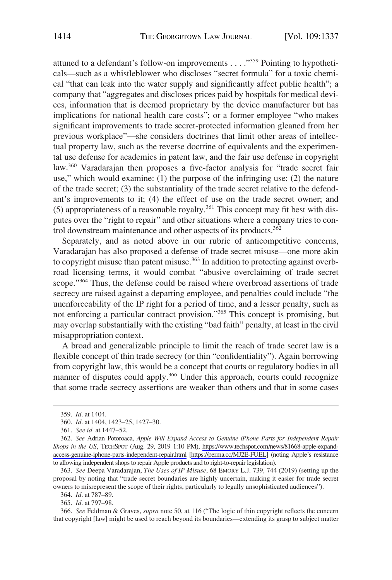attuned to a defendant's follow-on improvements . . . ."359 Pointing to hypotheticals—such as a whistleblower who discloses "secret formula" for a toxic chemical "that can leak into the water supply and significantly affect public health"; a company that "aggregates and discloses prices paid by hospitals for medical devices, information that is deemed proprietary by the device manufacturer but has implications for national health care costs"; or a former employee "who makes significant improvements to trade secret-protected information gleaned from her previous workplace"—she considers doctrines that limit other areas of intellectual property law, such as the reverse doctrine of equivalents and the experimental use defense for academics in patent law, and the fair use defense in copyright law.360 Varadarajan then proposes a five-factor analysis for "trade secret fair use," which would examine: (1) the purpose of the infringing use; (2) the nature of the trade secret; (3) the substantiality of the trade secret relative to the defendant's improvements to it; (4) the effect of use on the trade secret owner; and  $(5)$  appropriateness of a reasonable royalty.<sup>361</sup> This concept may fit best with disputes over the "right to repair" and other situations where a company tries to control downstream maintenance and other aspects of its products.<sup>362</sup>

Separately, and as noted above in our rubric of anticompetitive concerns, Varadarajan has also proposed a defense of trade secret misuse—one more akin to copyright misuse than patent misuse.<sup>363</sup> In addition to protecting against overbroad licensing terms, it would combat "abusive overclaiming of trade secret scope."<sup>364</sup> Thus, the defense could be raised where overbroad assertions of trade secrecy are raised against a departing employee, and penalties could include "the unenforceability of the IP right for a period of time, and a lesser penalty, such as not enforcing a particular contract provision."365 This concept is promising, but may overlap substantially with the existing "bad faith" penalty, at least in the civil misappropriation context.

A broad and generalizable principle to limit the reach of trade secret law is a flexible concept of thin trade secrecy (or thin "confidentiality"). Again borrowing from copyright law, this would be a concept that courts or regulatory bodies in all manner of disputes could apply.<sup>366</sup> Under this approach, courts could recognize that some trade secrecy assertions are weaker than others and that in some cases

<sup>359.</sup> *Id.* at 1404.

<sup>360.</sup> *Id.* at 1404, 1423–25, 1427–30.

<sup>361.</sup> *See id.* at 1447–52.

*See* Adrian Potoroaca, *Apple Will Expand Access to Genuine iPhone Parts for Independent Repair*  362. *Shops in the US*, TECHSPOT (Aug. 29, 2019 1:10 PM), [https://www.techspot.com/news/81668-apple-expand](https://www.techspot.com/news/81668-apple-expand-access-genuine-iphone-parts-independent-repair.html)[access-genuine-iphone-parts-independent-repair.html](https://www.techspot.com/news/81668-apple-expand-access-genuine-iphone-parts-independent-repair.html) [\[https://perma.cc/MJ2E-FUEL](https://perma.cc/MJ2E-FUEL)] (noting Apple's resistance to allowing independent shops to repair Apple products and to right-to-repair legislation).

<sup>363.</sup> *See* Deepa Varadarajan, *The Uses of IP Misuse*, 68 EMORY L.J. 739, 744 (2019) (setting up the proposal by noting that "trade secret boundaries are highly uncertain, making it easier for trade secret owners to misrepresent the scope of their rights, particularly to legally unsophisticated audiences").

<sup>364.</sup> *Id.* at 787–89.

<sup>365.</sup> *Id.* at 797–98.

<sup>366.</sup> *See* Feldman & Graves, *supra* note 50, at 116 ("The logic of thin copyright reflects the concern that copyright [law] might be used to reach beyond its boundaries—extending its grasp to subject matter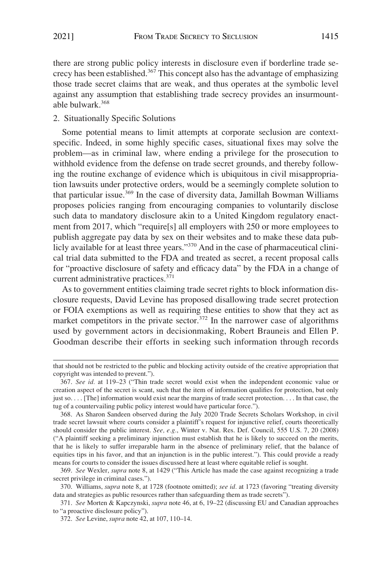there are strong public policy interests in disclosure even if borderline trade secrecy has been established.<sup>367</sup> This concept also has the advantage of emphasizing those trade secret claims that are weak, and thus operates at the symbolic level against any assumption that establishing trade secrecy provides an insurmountable bulwark.368

## 2. Situationally Specific Solutions

Some potential means to limit attempts at corporate seclusion are contextspecific. Indeed, in some highly specific cases, situational fixes may solve the problem—as in criminal law, where ending a privilege for the prosecution to withhold evidence from the defense on trade secret grounds, and thereby following the routine exchange of evidence which is ubiquitous in civil misappropriation lawsuits under protective orders, would be a seemingly complete solution to that particular issue.369 In the case of diversity data, Jamillah Bowman Williams proposes policies ranging from encouraging companies to voluntarily disclose such data to mandatory disclosure akin to a United Kingdom regulatory enactment from 2017, which "require[s] all employers with 250 or more employees to publish aggregate pay data by sex on their websites and to make these data publicly available for at least three years."<sup>370</sup> And in the case of pharmaceutical clinical trial data submitted to the FDA and treated as secret, a recent proposal calls for "proactive disclosure of safety and efficacy data" by the FDA in a change of current administrative practices.<sup>371</sup>

As to government entities claiming trade secret rights to block information disclosure requests, David Levine has proposed disallowing trade secret protection or FOIA exemptions as well as requiring these entities to show that they act as market competitors in the private sector.<sup>372</sup> In the narrower case of algorithms used by government actors in decisionmaking, Robert Brauneis and Ellen P. Goodman describe their efforts in seeking such information through records

that should not be restricted to the public and blocking activity outside of the creative appropriation that copyright was intended to prevent.").

<sup>367.</sup> *See id.* at 119–23 ("Thin trade secret would exist when the independent economic value or creation aspect of the secret is scant, such that the item of information qualifies for protection, but only just so. . . . [The] information would exist near the margins of trade secret protection. . . . In that case, the tug of a countervailing public policy interest would have particular force.").

<sup>368.</sup> As Sharon Sandeen observed during the July 2020 Trade Secrets Scholars Workshop, in civil trade secret lawsuit where courts consider a plaintiff's request for injunctive relief, courts theoretically should consider the public interest. *See, e.g.*, Winter v. Nat. Res. Def. Council, 555 U.S. 7, 20 (2008) ("A plaintiff seeking a preliminary injunction must establish that he is likely to succeed on the merits, that he is likely to suffer irreparable harm in the absence of preliminary relief, that the balance of equities tips in his favor, and that an injunction is in the public interest."). This could provide a ready means for courts to consider the issues discussed here at least where equitable relief is sought.

<sup>369.</sup> *See* Wexler, *supra* note 8, at 1429 ("This Article has made the case against recognizing a trade secret privilege in criminal cases.").

<sup>370.</sup> Williams, *supra* note 8, at 1728 (footnote omitted); *see id.* at 1723 (favoring "treating diversity data and strategies as public resources rather than safeguarding them as trade secrets").

<sup>371.</sup> *See* Morten & Kapczynski, *supra* note 46, at 6, 19–22 (discussing EU and Canadian approaches to "a proactive disclosure policy").

<sup>372.</sup> *See* Levine, *supra* note 42, at 107, 110–14.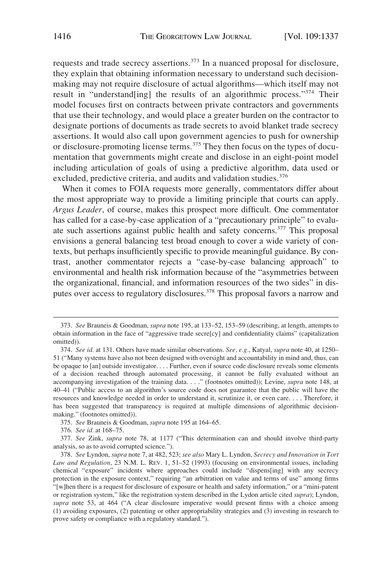requests and trade secrecy assertions.<sup>373</sup> In a nuanced proposal for disclosure, they explain that obtaining information necessary to understand such decisionmaking may not require disclosure of actual algorithms—which itself may not result in "understand[ing] the results of an algorithmic process."374 Their model focuses first on contracts between private contractors and governments that use their technology, and would place a greater burden on the contractor to designate portions of documents as trade secrets to avoid blanket trade secrecy assertions. It would also call upon government agencies to push for ownership or disclosure-promoting license terms.<sup>375</sup> They then focus on the types of documentation that governments might create and disclose in an eight-point model including articulation of goals of using a predictive algorithm, data used or excluded, predictive criteria, and audits and validation studies.<sup>376</sup>

When it comes to FOIA requests more generally, commentators differ about the most appropriate way to provide a limiting principle that courts can apply. *Argus Leader*, of course, makes this prospect more difficult. One commentator has called for a case-by-case application of a "precautionary principle" to evaluate such assertions against public health and safety concerns.377 This proposal envisions a general balancing test broad enough to cover a wide variety of contexts, but perhaps insufficiently specific to provide meaningful guidance. By contrast, another commentator rejects a "case-by-case balancing approach" to environmental and health risk information because of the "asymmetries between the organizational, financial, and information resources of the two sides" in disputes over access to regulatory disclosures.<sup>378</sup> This proposal favors a narrow and

<sup>373.</sup> *See* Brauneis & Goodman, *supra* note 195, at 133–52, 153–59 (describing, at length, attempts to obtain information in the face of "aggressive trade secre[cy] and confidentiality claims" (capitalization omitted)).

<sup>374.</sup> *See id.* at 131. Others have made similar observations. *See, e.g.*, Katyal, *supra* note 40, at 1250– 51 ("Many systems have also not been designed with oversight and accountability in mind and, thus, can be opaque to [an] outside investigator. . . . Further, even if source code disclosure reveals some elements of a decision reached through automated processing, it cannot be fully evaluated without an accompanying investigation of the training data. . . ." (footnotes omitted)); Levine, *supra* note 148, at 40–41 ("Public access to an algorithm's source code does not guarantee that the public will have the resources and knowledge needed in order to understand it, scrutinize it, or even care. . . . Therefore, it has been suggested that transparency is required at multiple dimensions of algorithmic decisionmaking." (footnotes omitted)).

<sup>375.</sup> *See* Brauneis & Goodman, *supra* note 195 at 164–65.

<sup>376.</sup> *See id.* at 168–75.

<sup>377.</sup> *See* Zink, *supra* note 78, at 1177 ("This determination can and should involve third-party analysis, so as to avoid corrupted science.").

<sup>378.</sup> *See* Lyndon, *supra* note 7, at 482, 523; *see also* Mary L. Lyndon, *Secrecy and Innovation in Tort Law and Regulation*, 23 N.M. L. REV. 1, 51–52 (1993) (focusing on environmental issues, including chemical "exposure" incidents where approaches could include "dispens[ing] with any secrecy protection in the exposure context," requiring "an arbitration on value and terms of use" among firms "[w]hen there is a request for disclosure of exposure or health and safety information," or a "mini-patent or registration system," like the registration system described in the Lydon article cited *supra*); Lyndon, *supra* note 53, at 464 ("A clear disclosure imperative would present firms with a choice among (1) avoiding exposures, (2) patenting or other appropriability strategies and (3) investing in research to prove safety or compliance with a regulatory standard.").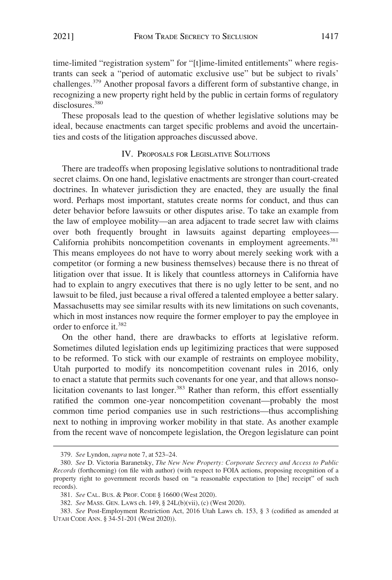time-limited "registration system" for "[t]ime-limited entitlements" where registrants can seek a "period of automatic exclusive use" but be subject to rivals' challenges.379 Another proposal favors a different form of substantive change, in recognizing a new property right held by the public in certain forms of regulatory disclosures.<sup>380</sup>

These proposals lead to the question of whether legislative solutions may be ideal, because enactments can target specific problems and avoid the uncertainties and costs of the litigation approaches discussed above.

### IV. PROPOSALS FOR LEGISLATIVE SOLUTIONS

There are tradeoffs when proposing legislative solutions to nontraditional trade secret claims. On one hand, legislative enactments are stronger than court-created doctrines. In whatever jurisdiction they are enacted, they are usually the final word. Perhaps most important, statutes create norms for conduct, and thus can deter behavior before lawsuits or other disputes arise. To take an example from the law of employee mobility—an area adjacent to trade secret law with claims over both frequently brought in lawsuits against departing employees— California prohibits noncompetition covenants in employment agreements.<sup>381</sup> This means employees do not have to worry about merely seeking work with a competitor (or forming a new business themselves) because there is no threat of litigation over that issue. It is likely that countless attorneys in California have had to explain to angry executives that there is no ugly letter to be sent, and no lawsuit to be filed, just because a rival offered a talented employee a better salary. Massachusetts may see similar results with its new limitations on such covenants, which in most instances now require the former employer to pay the employee in order to enforce it.<sup>382</sup>

On the other hand, there are drawbacks to efforts at legislative reform. Sometimes diluted legislation ends up legitimizing practices that were supposed to be reformed. To stick with our example of restraints on employee mobility, Utah purported to modify its noncompetition covenant rules in 2016, only to enact a statute that permits such covenants for one year, and that allows nonsolicitation covenants to last longer.<sup>383</sup> Rather than reform, this effort essentially ratified the common one-year noncompetition covenant—probably the most common time period companies use in such restrictions—thus accomplishing next to nothing in improving worker mobility in that state. As another example from the recent wave of noncompete legislation, the Oregon legislature can point

<sup>379.</sup> *See* Lyndon, *supra* note 7, at 523–24.

<sup>380.</sup> *See* D. Victoria Baranetsky, *The New New Property: Corporate Secrecy and Access to Public Records* (forthcoming) (on file with author) (with respect to FOIA actions, proposing recognition of a property right to government records based on "a reasonable expectation to [the] receipt" of such records).

<sup>381.</sup> *See* CAL. BUS. & PROF. CODE § 16600 (West 2020).

<sup>382.</sup> *See* MASS. GEN. LAWS ch. 149, § 24L(b)(vii), (c) (West 2020).

<sup>383.</sup> *See* Post-Employment Restriction Act, 2016 Utah Laws ch. 153, § 3 (codified as amended at UTAH CODE ANN. § 34-51-201 (West 2020)).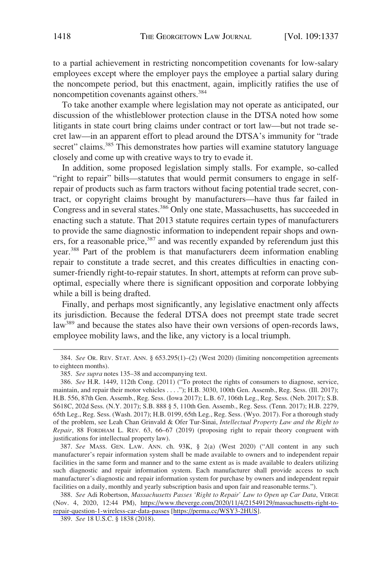to a partial achievement in restricting noncompetition covenants for low-salary employees except where the employer pays the employee a partial salary during the noncompete period, but this enactment, again, implicitly ratifies the use of noncompetition covenants against others.<sup>384</sup>

To take another example where legislation may not operate as anticipated, our discussion of the whistleblower protection clause in the DTSA noted how some litigants in state court bring claims under contract or tort law—but not trade secret law—in an apparent effort to plead around the DTSA's immunity for "trade secret" claims.<sup>385</sup> This demonstrates how parties will examine statutory language closely and come up with creative ways to try to evade it.

In addition, some proposed legislation simply stalls. For example, so-called "right to repair" bills—statutes that would permit consumers to engage in selfrepair of products such as farm tractors without facing potential trade secret, contract, or copyright claims brought by manufacturers—have thus far failed in Congress and in several states.<sup>386</sup> Only one state, Massachusetts, has succeeded in enacting such a statute. That 2013 statute requires certain types of manufacturers to provide the same diagnostic information to independent repair shops and owners, for a reasonable price,<sup>387</sup> and was recently expanded by referendum just this year.<sup>388</sup> Part of the problem is that manufacturers deem information enabling repair to constitute a trade secret, and this creates difficulties in enacting consumer-friendly right-to-repair statutes. In short, attempts at reform can prove suboptimal, especially where there is significant opposition and corporate lobbying while a bill is being drafted.

Finally, and perhaps most significantly, any legislative enactment only affects its jurisdiction. Because the federal DTSA does not preempt state trade secret law<sup>389</sup> and because the states also have their own versions of open-records laws, employee mobility laws, and the like, any victory is a local triumph.

387. *See* MASS. GEN. LAW. ANN. ch. 93K, § 2(a) (West 2020) ("All content in any such manufacturer's repair information system shall be made available to owners and to independent repair facilities in the same form and manner and to the same extent as is made available to dealers utilizing such diagnostic and repair information system. Each manufacturer shall provide access to such manufacturer's diagnostic and repair information system for purchase by owners and independent repair facilities on a daily, monthly and yearly subscription basis and upon fair and reasonable terms.").

*See* Adi Robertson, *Massachusetts Passes 'Right to Repair' Law to Open up Car Data*, VERGE 388. (Nov. 4, 2020, 12:44 PM), [https://www.theverge.com/2020/11/4/21549129/massachusetts-right-to](https://www.theverge.com/2020/11/4/21549129/massachusetts-right-to-repair-question-1-wireless-car-data-passes)[repair-question-1-wireless-car-data-passes](https://www.theverge.com/2020/11/4/21549129/massachusetts-right-to-repair-question-1-wireless-car-data-passes) [<https://perma.cc/WSY3-2HUS>].

<sup>384.</sup> *See* OR. REV. STAT. ANN. § 653.295(1)–(2) (West 2020) (limiting noncompetition agreements to eighteen months).

<sup>385.</sup> *See supra* notes 135–38 and accompanying text.

<sup>386.</sup> *See* H.R. 1449, 112th Cong. (2011) ("To protect the rights of consumers to diagnose, service, maintain, and repair their motor vehicles . . . ."); H.B. 3030, 100th Gen. Assemb., Reg. Sess. (Ill. 2017); H.B. 556, 87th Gen. Assemb., Reg. Sess. (Iowa 2017); L.B. 67, 106th Leg., Reg. Sess. (Neb. 2017); S.B. S618C, 202d Sess. (N.Y. 2017); S.B. 888 § 5, 110th Gen. Assemb., Reg. Sess. (Tenn. 2017); H.B. 2279, 65th Leg., Reg. Sess. (Wash. 2017); H.B. 0199, 65th Leg., Reg. Sess. (Wyo. 2017). For a thorough study of the problem, see Leah Chan Grinvald & Ofer Tur-Sinai, *Intellectual Property Law and the Right to Repair*, 88 FORDHAM L. REV. 63, 66–67 (2019) (proposing right to repair theory congruent with justifications for intellectual property law).

<sup>389.</sup> *See* 18 U.S.C. § 1838 (2018).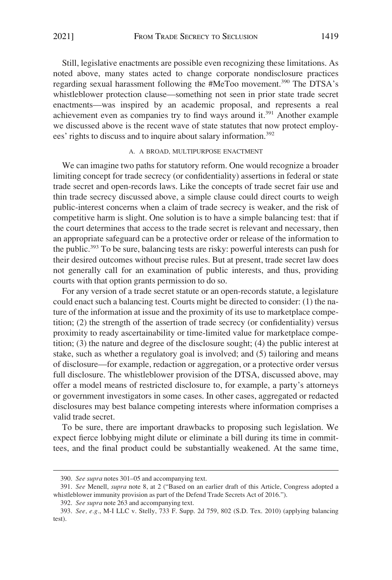Still, legislative enactments are possible even recognizing these limitations. As noted above, many states acted to change corporate nondisclosure practices regarding sexual harassment following the #MeToo movement.<sup>390</sup> The DTSA's whistleblower protection clause—something not seen in prior state trade secret enactments—was inspired by an academic proposal, and represents a real achievement even as companies try to find ways around it.<sup>391</sup> Another example we discussed above is the recent wave of state statutes that now protect employees' rights to discuss and to inquire about salary information.<sup>392</sup>

# A. A BROAD, MULTIPURPOSE ENACTMENT

We can imagine two paths for statutory reform. One would recognize a broader limiting concept for trade secrecy (or confidentiality) assertions in federal or state trade secret and open-records laws. Like the concepts of trade secret fair use and thin trade secrecy discussed above, a simple clause could direct courts to weigh public-interest concerns when a claim of trade secrecy is weaker, and the risk of competitive harm is slight. One solution is to have a simple balancing test: that if the court determines that access to the trade secret is relevant and necessary, then an appropriate safeguard can be a protective order or release of the information to the public.393 To be sure, balancing tests are risky: powerful interests can push for their desired outcomes without precise rules. But at present, trade secret law does not generally call for an examination of public interests, and thus, providing courts with that option grants permission to do so.

For any version of a trade secret statute or an open-records statute, a legislature could enact such a balancing test. Courts might be directed to consider: (1) the nature of the information at issue and the proximity of its use to marketplace competition; (2) the strength of the assertion of trade secrecy (or confidentiality) versus proximity to ready ascertainability or time-limited value for marketplace competition; (3) the nature and degree of the disclosure sought; (4) the public interest at stake, such as whether a regulatory goal is involved; and (5) tailoring and means of disclosure—for example, redaction or aggregation, or a protective order versus full disclosure. The whistleblower provision of the DTSA, discussed above, may offer a model means of restricted disclosure to, for example, a party's attorneys or government investigators in some cases. In other cases, aggregated or redacted disclosures may best balance competing interests where information comprises a valid trade secret.

To be sure, there are important drawbacks to proposing such legislation. We expect fierce lobbying might dilute or eliminate a bill during its time in committees, and the final product could be substantially weakened. At the same time,

<sup>390.</sup> *See supra* notes 301–05 and accompanying text.

<sup>391.</sup> *See* Menell, *supra* note 8, at 2 ("Based on an earlier draft of this Article, Congress adopted a whistleblower immunity provision as part of the Defend Trade Secrets Act of 2016.").

<sup>392.</sup> *See supra* note 263 and accompanying text.

<sup>393.</sup> *See, e.g.*, M-I LLC v. Stelly, 733 F. Supp. 2d 759, 802 (S.D. Tex. 2010) (applying balancing test).